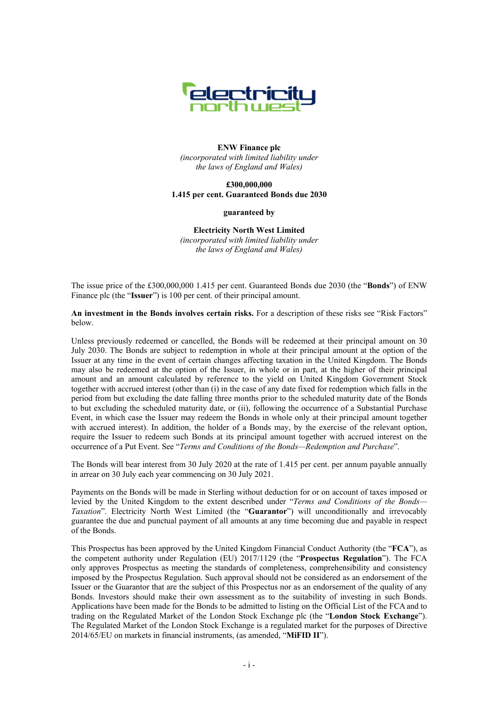

## **ENW Finance plc**  *(incorporated with limited liability under the laws of England and Wales)*

## **£300,000,000 1.415 per cent. Guaranteed Bonds due 2030**

#### **guaranteed by**

**Electricity North West Limited**  *(incorporated with limited liability under the laws of England and Wales)* 

The issue price of the £300,000,000 1.415 per cent. Guaranteed Bonds due 2030 (the "**Bonds**") of ENW Finance plc (the "**Issuer**") is 100 per cent. of their principal amount.

**An investment in the Bonds involves certain risks.** For a description of these risks see "Risk Factors" below.

Unless previously redeemed or cancelled, the Bonds will be redeemed at their principal amount on 30 July 2030. The Bonds are subject to redemption in whole at their principal amount at the option of the Issuer at any time in the event of certain changes affecting taxation in the United Kingdom. The Bonds may also be redeemed at the option of the Issuer, in whole or in part, at the higher of their principal amount and an amount calculated by reference to the yield on United Kingdom Government Stock together with accrued interest (other than (i) in the case of any date fixed for redemption which falls in the period from but excluding the date falling three months prior to the scheduled maturity date of the Bonds to but excluding the scheduled maturity date, or (ii), following the occurrence of a Substantial Purchase Event, in which case the Issuer may redeem the Bonds in whole only at their principal amount together with accrued interest). In addition, the holder of a Bonds may, by the exercise of the relevant option, require the Issuer to redeem such Bonds at its principal amount together with accrued interest on the occurrence of a Put Event. See "*Terms and Conditions of the Bonds—Redemption and Purchase*".

The Bonds will bear interest from 30 July 2020 at the rate of 1.415 per cent. per annum payable annually in arrear on 30 July each year commencing on 30 July 2021.

Payments on the Bonds will be made in Sterling without deduction for or on account of taxes imposed or levied by the United Kingdom to the extent described under "*Terms and Conditions of the Bonds— Taxation*". Electricity North West Limited (the "**Guarantor**") will unconditionally and irrevocably guarantee the due and punctual payment of all amounts at any time becoming due and payable in respect of the Bonds.

This Prospectus has been approved by the United Kingdom Financial Conduct Authority (the "**FCA**"), as the competent authority under Regulation (EU) 2017/1129 (the "**Prospectus Regulation**"). The FCA only approves Prospectus as meeting the standards of completeness, comprehensibility and consistency imposed by the Prospectus Regulation. Such approval should not be considered as an endorsement of the Issuer or the Guarantor that are the subject of this Prospectus nor as an endorsement of the quality of any Bonds. Investors should make their own assessment as to the suitability of investing in such Bonds. Applications have been made for the Bonds to be admitted to listing on the Official List of the FCAand to trading on the Regulated Market of the London Stock Exchange plc (the "**London Stock Exchange**"). The Regulated Market of the London Stock Exchange is a regulated market for the purposes of Directive 2014/65/EU on markets in financial instruments, (as amended, "**MiFID II**").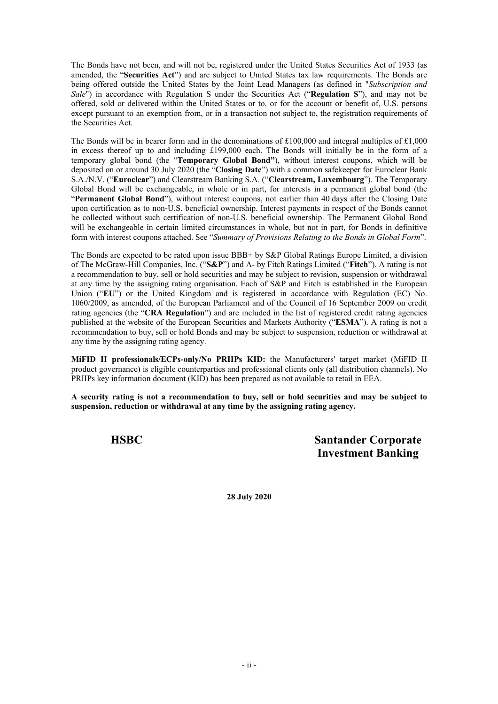The Bonds have not been, and will not be, registered under the United States Securities Act of 1933 (as amended, the "**Securities Act**") and are subject to United States tax law requirements. The Bonds are being offered outside the United States by the Joint Lead Managers (as defined in "*Subscription and Sale*") in accordance with Regulation S under the Securities Act ("**Regulation S**"), and may not be offered, sold or delivered within the United States or to, or for the account or benefit of, U.S. persons except pursuant to an exemption from, or in a transaction not subject to, the registration requirements of the Securities Act.

The Bonds will be in bearer form and in the denominations of  $\pounds100,000$  and integral multiples of  $\pounds1,000$ in excess thereof up to and including £199,000 each. The Bonds will initially be in the form of a temporary global bond (the "**Temporary Global Bond"**), without interest coupons, which will be deposited on or around 30 July 2020 (the "**Closing Date**") with a common safekeeper for Euroclear Bank S.A./N.V. ("**Euroclear**") and Clearstream Banking S.A. ("**Clearstream, Luxembourg**"). The Temporary Global Bond will be exchangeable, in whole or in part, for interests in a permanent global bond (the "**Permanent Global Bond**"), without interest coupons, not earlier than 40 days after the Closing Date upon certification as to non-U.S. beneficial ownership. Interest payments in respect of the Bonds cannot be collected without such certification of non-U.S. beneficial ownership. The Permanent Global Bond will be exchangeable in certain limited circumstances in whole, but not in part, for Bonds in definitive form with interest coupons attached. See "*Summary of Provisions Relating to the Bonds in Global Form*".

The Bonds are expected to be rated upon issue BBB+ by S&P Global Ratings Europe Limited, a division of The McGraw-Hill Companies, Inc. ("**S&P**") and A- by Fitch Ratings Limited ("**Fitch**"). A rating is not a recommendation to buy, sell or hold securities and may be subject to revision, suspension or withdrawal at any time by the assigning rating organisation. Each of S&P and Fitch is established in the European Union ("**EU**") or the United Kingdom and is registered in accordance with Regulation (EC) No. 1060/2009, as amended, of the European Parliament and of the Council of 16 September 2009 on credit rating agencies (the "**CRA Regulation**") and are included in the list of registered credit rating agencies published at the website of the European Securities and Markets Authority ("**ESMA**"). A rating is not a recommendation to buy, sell or hold Bonds and may be subject to suspension, reduction or withdrawal at any time by the assigning rating agency.

**MiFID II professionals/ECPs-only/No PRIIPs KID:** the Manufacturers' target market (MiFID II product governance) is eligible counterparties and professional clients only (all distribution channels). No PRIIPs key information document (KID) has been prepared as not available to retail in EEA.

**A security rating is not a recommendation to buy, sell or hold securities and may be subject to suspension, reduction or withdrawal at any time by the assigning rating agency.**

**HSBC Santander Corporate Investment Banking**

**28 July 2020**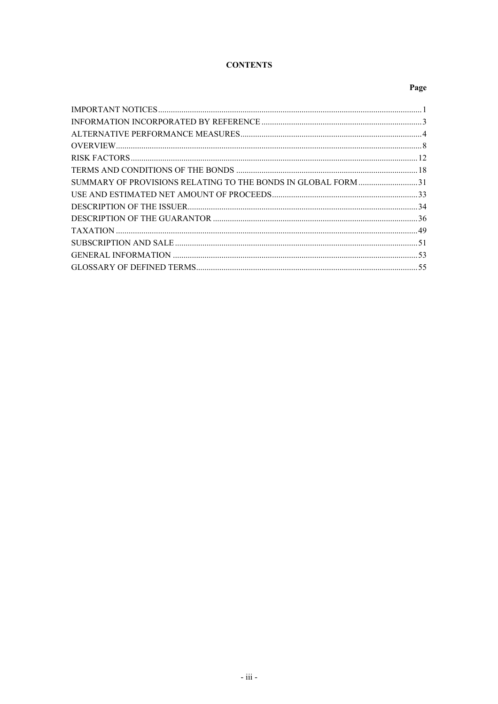# **CONTENTS**

## Page

| SUMMARY OF PROVISIONS RELATING TO THE BONDS IN GLOBAL FORM 31 |  |
|---------------------------------------------------------------|--|
|                                                               |  |
|                                                               |  |
|                                                               |  |
|                                                               |  |
|                                                               |  |
|                                                               |  |
|                                                               |  |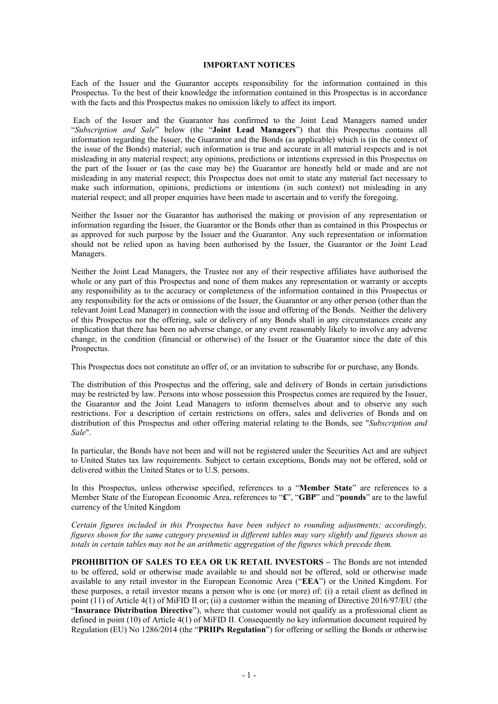#### **IMPORTANT NOTICES**

Each of the Issuer and the Guarantor accepts responsibility for the information contained in this Prospectus. To the best of their knowledge the information contained in this Prospectus is in accordance with the facts and this Prospectus makes no omission likely to affect its import.

 Each of the Issuer and the Guarantor has confirmed to the Joint Lead Managers named under "*Subscription and Sale*" below (the "**Joint Lead Managers**") that this Prospectus contains all information regarding the Issuer, the Guarantor and the Bonds (as applicable) which is (in the context of the issue of the Bonds) material; such information is true and accurate in all material respects and is not misleading in any material respect; any opinions, predictions or intentions expressed in this Prospectus on the part of the Issuer or (as the case may be) the Guarantor are honestly held or made and are not misleading in any material respect; this Prospectus does not omit to state any material fact necessary to make such information, opinions, predictions or intentions (in such context) not misleading in any material respect; and all proper enquiries have been made to ascertain and to verify the foregoing.

Neither the Issuer nor the Guarantor has authorised the making or provision of any representation or information regarding the Issuer, the Guarantor or the Bonds other than as contained in this Prospectus or as approved for such purpose by the Issuer and the Guarantor. Any such representation or information should not be relied upon as having been authorised by the Issuer, the Guarantor or the Joint Lead Managers.

Neither the Joint Lead Managers, the Trustee nor any of their respective affiliates have authorised the whole or any part of this Prospectus and none of them makes any representation or warranty or accepts any responsibility as to the accuracy or completeness of the information contained in this Prospectus or any responsibility for the acts or omissions of the Issuer, the Guarantor or any other person (other than the relevant Joint Lead Manager) in connection with the issue and offering of the Bonds. Neither the delivery of this Prospectus nor the offering, sale or delivery of any Bonds shall in any circumstances create any implication that there has been no adverse change, or any event reasonably likely to involve any adverse change, in the condition (financial or otherwise) of the Issuer or the Guarantor since the date of this Prospectus.

This Prospectus does not constitute an offer of, or an invitation to subscribe for or purchase, any Bonds.

The distribution of this Prospectus and the offering, sale and delivery of Bonds in certain jurisdictions may be restricted by law. Persons into whose possession this Prospectus comes are required by the Issuer, the Guarantor and the Joint Lead Managers to inform themselves about and to observe any such restrictions. For a description of certain restrictions on offers, sales and deliveries of Bonds and on distribution of this Prospectus and other offering material relating to the Bonds, see "*Subscription and Sale*".

In particular, the Bonds have not been and will not be registered under the Securities Act and are subject to United States tax law requirements. Subject to certain exceptions, Bonds may not be offered, sold or delivered within the United States or to U.S. persons.

In this Prospectus, unless otherwise specified, references to a "**Member State**" are references to a Member State of the European Economic Area, references to "**£**", "**GBP**" and "**pounds**" are to the lawful currency of the United Kingdom

*Certain figures included in this Prospectus have been subject to rounding adjustments; accordingly, figures shown for the same category presented in different tables may vary slightly and figures shown as totals in certain tables may not be an arithmetic aggregation of the figures which precede them.*

**PROHIBITION OF SALES TO EEA OR UK RETAIL INVESTORS –** The Bonds are not intended to be offered, sold or otherwise made available to and should not be offered, sold or otherwise made available to any retail investor in the European Economic Area ("**EEA**") or the United Kingdom. For these purposes, a retail investor means a person who is one (or more) of: (i) a retail client as defined in point (11) of Article 4(1) of MiFID II or; (ii) a customer within the meaning of Directive 2016/97/EU (the "**Insurance Distribution Directive**"), where that customer would not qualify as a professional client as defined in point (10) of Article 4(1) of MiFID II. Consequently no key information document required by Regulation (EU) No 1286/2014 (the "**PRIIPs Regulation**") for offering or selling the Bonds or otherwise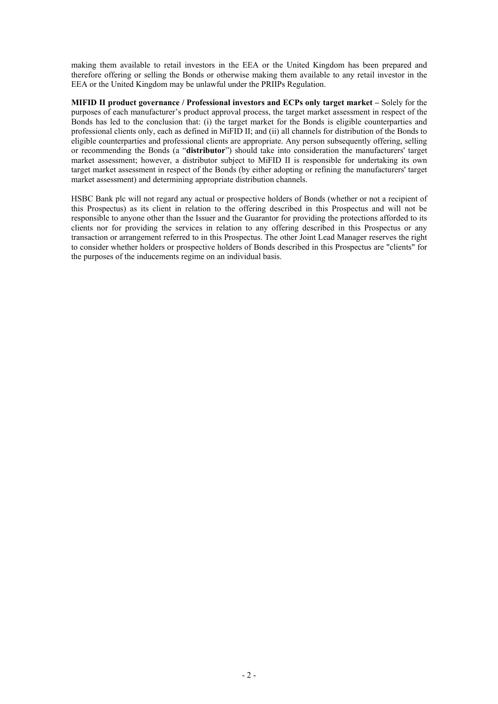making them available to retail investors in the EEA or the United Kingdom has been prepared and therefore offering or selling the Bonds or otherwise making them available to any retail investor in the EEA or the United Kingdom may be unlawful under the PRIIPs Regulation.

**MIFID II product governance / Professional investors and ECPs only target market –** Solely for the purposes of each manufacturer's product approval process, the target market assessment in respect of the Bonds has led to the conclusion that: (i) the target market for the Bonds is eligible counterparties and professional clients only, each as defined in MiFID II; and (ii) all channels for distribution of the Bonds to eligible counterparties and professional clients are appropriate. Any person subsequently offering, selling or recommending the Bonds (a "**distributor**") should take into consideration the manufacturers' target market assessment; however, a distributor subject to MiFID II is responsible for undertaking its own target market assessment in respect of the Bonds (by either adopting or refining the manufacturers' target market assessment) and determining appropriate distribution channels.

HSBC Bank plc will not regard any actual or prospective holders of Bonds (whether or not a recipient of this Prospectus) as its client in relation to the offering described in this Prospectus and will not be responsible to anyone other than the Issuer and the Guarantor for providing the protections afforded to its clients nor for providing the services in relation to any offering described in this Prospectus or any transaction or arrangement referred to in this Prospectus. The other Joint Lead Manager reserves the right to consider whether holders or prospective holders of Bonds described in this Prospectus are "clients" for the purposes of the inducements regime on an individual basis.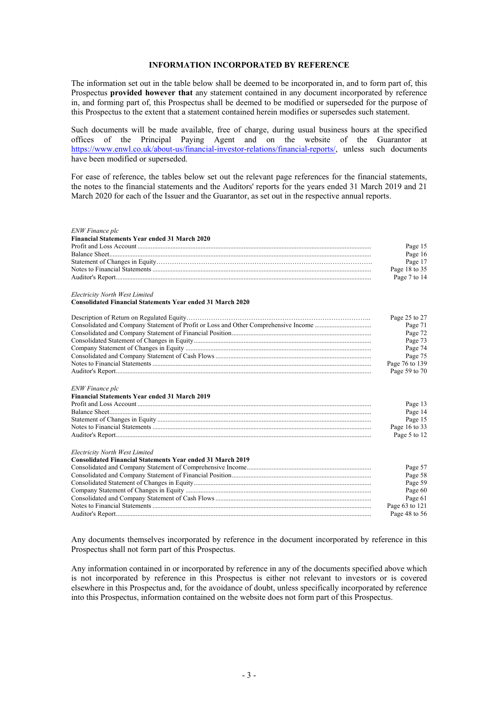## **INFORMATION INCORPORATED BY REFERENCE**

The information set out in the table below shall be deemed to be incorporated in, and to form part of, this Prospectus **provided however that** any statement contained in any document incorporated by reference in, and forming part of, this Prospectus shall be deemed to be modified or superseded for the purpose of this Prospectus to the extent that a statement contained herein modifies or supersedes such statement.

Such documents will be made available, free of charge, during usual business hours at the specified offices of the Principal Paying Agent and on the website of the Guarantor at https://www.enwl.co.uk/about-us/financial-investor-relations/financial-reports/, unless such documents have been modified or superseded.

For ease of reference, the tables below set out the relevant page references for the financial statements, the notes to the financial statements and the Auditors' reports for the years ended 31 March 2019 and 21 March 2020 for each of the Issuer and the Guarantor, as set out in the respective annual reports.

| Page 15<br>Page 16<br>Page 17<br>Page 18 to 35<br>Page 7 to 14<br><b>Consolidated Financial Statements Year ended 31 March 2020</b><br>Page 25 to 27<br>Page 71<br>Page 72<br>Page 73<br>Page 74<br>Page 75<br>Page 76 to 139<br>Page 59 to 70<br><b>Financial Statements Year ended 31 March 2019</b><br>Page 13<br>Page 14<br>Page 15<br>Page 16 to 33<br>Page 5 to 12<br>Page 57<br>Page 58<br>Page 59<br>Page 60<br>Page 61<br>Page 63 to 121<br>Page 48 to 56 | <b>ENW Finance plc</b><br><b>Financial Statements Year ended 31 March 2020</b> |  |
|--------------------------------------------------------------------------------------------------------------------------------------------------------------------------------------------------------------------------------------------------------------------------------------------------------------------------------------------------------------------------------------------------------------------------------------------------------------------|--------------------------------------------------------------------------------|--|
|                                                                                                                                                                                                                                                                                                                                                                                                                                                                    |                                                                                |  |
|                                                                                                                                                                                                                                                                                                                                                                                                                                                                    |                                                                                |  |
|                                                                                                                                                                                                                                                                                                                                                                                                                                                                    |                                                                                |  |
|                                                                                                                                                                                                                                                                                                                                                                                                                                                                    |                                                                                |  |
|                                                                                                                                                                                                                                                                                                                                                                                                                                                                    |                                                                                |  |
|                                                                                                                                                                                                                                                                                                                                                                                                                                                                    | Electricity North West Limited                                                 |  |
|                                                                                                                                                                                                                                                                                                                                                                                                                                                                    |                                                                                |  |
|                                                                                                                                                                                                                                                                                                                                                                                                                                                                    |                                                                                |  |
|                                                                                                                                                                                                                                                                                                                                                                                                                                                                    |                                                                                |  |
|                                                                                                                                                                                                                                                                                                                                                                                                                                                                    |                                                                                |  |
|                                                                                                                                                                                                                                                                                                                                                                                                                                                                    |                                                                                |  |
|                                                                                                                                                                                                                                                                                                                                                                                                                                                                    |                                                                                |  |
|                                                                                                                                                                                                                                                                                                                                                                                                                                                                    |                                                                                |  |
|                                                                                                                                                                                                                                                                                                                                                                                                                                                                    |                                                                                |  |
|                                                                                                                                                                                                                                                                                                                                                                                                                                                                    |                                                                                |  |
|                                                                                                                                                                                                                                                                                                                                                                                                                                                                    | ENW Finance plc                                                                |  |
|                                                                                                                                                                                                                                                                                                                                                                                                                                                                    |                                                                                |  |
|                                                                                                                                                                                                                                                                                                                                                                                                                                                                    |                                                                                |  |
|                                                                                                                                                                                                                                                                                                                                                                                                                                                                    |                                                                                |  |
|                                                                                                                                                                                                                                                                                                                                                                                                                                                                    |                                                                                |  |
|                                                                                                                                                                                                                                                                                                                                                                                                                                                                    |                                                                                |  |
|                                                                                                                                                                                                                                                                                                                                                                                                                                                                    |                                                                                |  |
|                                                                                                                                                                                                                                                                                                                                                                                                                                                                    | Electricity North West Limited                                                 |  |
|                                                                                                                                                                                                                                                                                                                                                                                                                                                                    | <b>Consolidated Financial Statements Year ended 31 March 2019</b>              |  |
|                                                                                                                                                                                                                                                                                                                                                                                                                                                                    |                                                                                |  |
|                                                                                                                                                                                                                                                                                                                                                                                                                                                                    |                                                                                |  |
|                                                                                                                                                                                                                                                                                                                                                                                                                                                                    |                                                                                |  |
|                                                                                                                                                                                                                                                                                                                                                                                                                                                                    |                                                                                |  |
|                                                                                                                                                                                                                                                                                                                                                                                                                                                                    |                                                                                |  |
|                                                                                                                                                                                                                                                                                                                                                                                                                                                                    |                                                                                |  |
|                                                                                                                                                                                                                                                                                                                                                                                                                                                                    |                                                                                |  |

Any documents themselves incorporated by reference in the document incorporated by reference in this Prospectus shall not form part of this Prospectus.

Any information contained in or incorporated by reference in any of the documents specified above which is not incorporated by reference in this Prospectus is either not relevant to investors or is covered elsewhere in this Prospectus and, for the avoidance of doubt, unless specifically incorporated by reference into this Prospectus, information contained on the website does not form part of this Prospectus.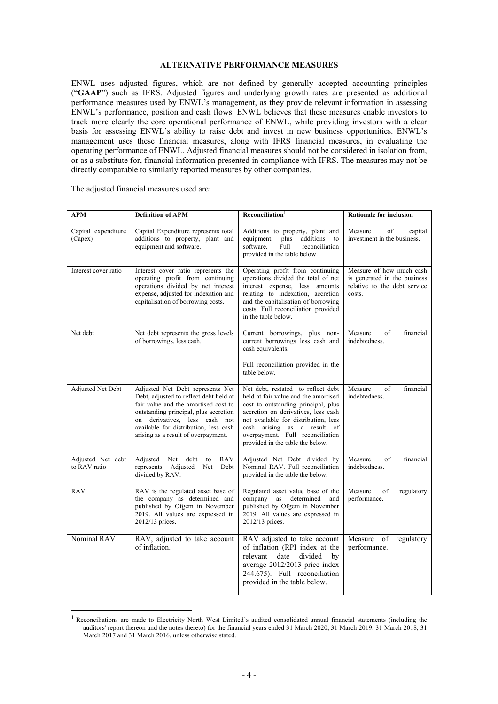## **ALTERNATIVE PERFORMANCE MEASURES**

ENWL uses adjusted figures, which are not defined by generally accepted accounting principles ("**GAAP**") such as IFRS. Adjusted figures and underlying growth rates are presented as additional performance measures used by ENWL's management, as they provide relevant information in assessing ENWL's performance, position and cash flows. ENWL believes that these measures enable investors to track more clearly the core operational performance of ENWL, while providing investors with a clear basis for assessing ENWL's ability to raise debt and invest in new business opportunities. ENWL's management uses these financial measures, along with IFRS financial measures, in evaluating the operating performance of ENWL. Adjusted financial measures should not be considered in isolation from, or as a substitute for, financial information presented in compliance with IFRS. The measures may not be directly comparable to similarly reported measures by other companies.

| APM                               | <b>Definition of APM</b>                                                                                                                                                                                                                                                     | Reconciliation <sup>1</sup>                                                                                                                                                                                                                                                                             | <b>Rationale for inclusion</b>                                                                     |
|-----------------------------------|------------------------------------------------------------------------------------------------------------------------------------------------------------------------------------------------------------------------------------------------------------------------------|---------------------------------------------------------------------------------------------------------------------------------------------------------------------------------------------------------------------------------------------------------------------------------------------------------|----------------------------------------------------------------------------------------------------|
| Capital expenditure<br>(Capex)    | Capital Expenditure represents total<br>additions to property, plant and<br>equipment and software.                                                                                                                                                                          | Additions to property, plant and<br>plus<br>additions<br>equipment,<br>to<br>software.<br>Full<br>reconciliation<br>provided in the table below.                                                                                                                                                        | Measure<br>of<br>capital<br>investment in the business.                                            |
| Interest cover ratio              | Interest cover ratio represents the<br>operating profit from continuing<br>operations divided by net interest<br>expense, adjusted for indexation and<br>capitalisation of borrowing costs.                                                                                  | Operating profit from continuing<br>operations divided the total of net<br>interest expense, less amounts<br>relating to indexation, accretion<br>and the capitalisation of borrowing<br>costs. Full reconciliation provided<br>in the table below.                                                     | Measure of how much cash<br>is generated in the business<br>relative to the debt service<br>costs. |
| Net debt                          | Net debt represents the gross levels<br>of borrowings, less cash.                                                                                                                                                                                                            | Current borrowings, plus non-<br>current borrowings less cash and<br>cash equivalents.<br>Full reconciliation provided in the<br>table below.                                                                                                                                                           | Measure<br>of<br>financial<br>indebtedness.                                                        |
| Adjusted Net Debt                 | Adjusted Net Debt represents Net<br>Debt, adjusted to reflect debt held at<br>fair value and the amortised cost to<br>outstanding principal, plus accretion<br>on derivatives, less cash not<br>available for distribution, less cash<br>arising as a result of overpayment. | Net debt, restated to reflect debt<br>held at fair value and the amortised<br>cost to outstanding principal, plus<br>accretion on derivatives, less cash<br>not available for distribution, less<br>cash arising as a result of<br>overpayment. Full reconciliation<br>provided in the table the below. | Measure<br>of<br>financial<br>indebtedness.                                                        |
| Adjusted Net debt<br>to RAV ratio | Net<br>debt<br>Adjusted<br><b>RAV</b><br>to<br>represents<br>Adjusted<br>Net<br>Debt<br>divided by RAV.                                                                                                                                                                      | Adjusted Net Debt divided by<br>Nominal RAV. Full reconciliation<br>provided in the table the below.                                                                                                                                                                                                    | Measure<br>of<br>financial<br>indebtedness.                                                        |
| RAV                               | RAV is the regulated asset base of<br>the company as determined and<br>published by Ofgem in November<br>2019. All values are expressed in<br>2012/13 prices.                                                                                                                | Regulated asset value base of the<br>company<br>determined<br>as<br>and<br>published by Ofgem in November<br>2019. All values are expressed in<br>2012/13 prices.                                                                                                                                       | Measure<br>of<br>regulatory<br>performance.                                                        |
| Nominal RAV                       | RAV, adjusted to take account<br>of inflation.                                                                                                                                                                                                                               | RAV adjusted to take account<br>of inflation (RPI index at the<br>divided<br>relevant<br>date<br>bv<br>average 2012/2013 price index<br>244.675). Full reconciliation<br>provided in the table below.                                                                                                   | Measure<br>of<br>regulatory<br>performance.                                                        |

The adjusted financial measures used are:

L

 $<sup>1</sup>$  Reconciliations are made to Electricity North West Limited's audited consolidated annual financial statements (including the</sup> auditors' report thereon and the notes thereto) for the financial years ended 31 March 2020, 31 March 2019, 31 March 2018, 31 March 2017 and 31 March 2016, unless otherwise stated.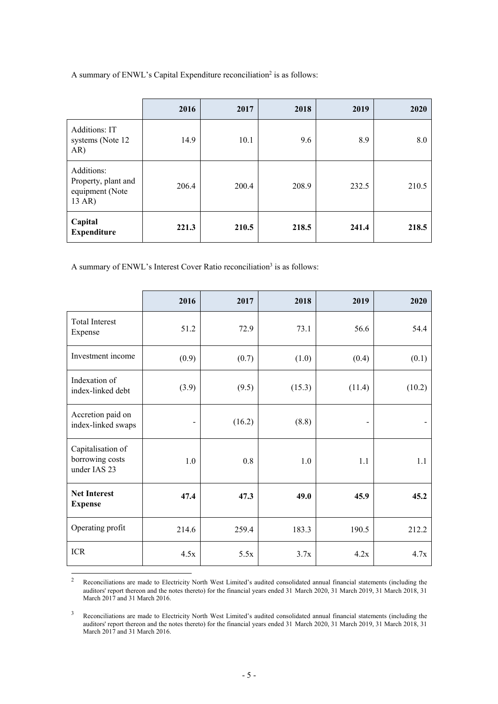A summary of ENWL's Capital Expenditure reconciliation<sup>2</sup> is as follows:

|                                                                | 2016  | 2017  | 2018  | 2019  | 2020  |
|----------------------------------------------------------------|-------|-------|-------|-------|-------|
| Additions: IT<br>systems (Note 12)<br>AR)                      | 14.9  | 10.1  | 9.6   | 8.9   | 8.0   |
| Additions:<br>Property, plant and<br>equipment (Note<br>13 AR) | 206.4 | 200.4 | 208.9 | 232.5 | 210.5 |
| Capital<br><b>Expenditure</b>                                  | 221.3 | 210.5 | 218.5 | 241.4 | 218.5 |

A summary of ENWL's Interest Cover Ratio reconciliation<sup>3</sup> is as follows:

|                                                      | 2016                         | 2017   | 2018   | 2019                         | 2020   |
|------------------------------------------------------|------------------------------|--------|--------|------------------------------|--------|
| <b>Total Interest</b><br>Expense                     | 51.2                         | 72.9   | 73.1   | 56.6                         | 54.4   |
| Investment income                                    | (0.9)                        | (0.7)  | (1.0)  | (0.4)                        | (0.1)  |
| Indexation of<br>index-linked debt                   | (3.9)                        | (9.5)  | (15.3) | (11.4)                       | (10.2) |
| Accretion paid on<br>index-linked swaps              | $\qquad \qquad \blacksquare$ | (16.2) | (8.8)  | $\qquad \qquad \blacksquare$ |        |
| Capitalisation of<br>borrowing costs<br>under IAS 23 | 1.0                          | 0.8    | 1.0    | 1.1                          | 1.1    |
| <b>Net Interest</b><br><b>Expense</b>                | 47.4                         | 47.3   | 49.0   | 45.9                         | 45.2   |
| Operating profit                                     | 214.6                        | 259.4  | 183.3  | 190.5                        | 212.2  |
| <b>ICR</b>                                           | 4.5x                         | 5.5x   | 3.7x   | 4.2x                         | 4.7x   |
|                                                      |                              |        |        |                              |        |

<sup>2</sup> Reconciliations are made to Electricity North West Limited's audited consolidated annual financial statements (including the auditors' report thereon and the notes thereto) for the financial years ended 31 March 2020, 31 March 2019, 31 March 2018, 31 March 2017 and 31 March 2016.

<sup>3</sup> Reconciliations are made to Electricity North West Limited's audited consolidated annual financial statements (including the auditors' report thereon and the notes thereto) for the financial years ended 31 March 2020, 31 March 2019, 31 March 2018, 31 March 2017 and 31 March 2016.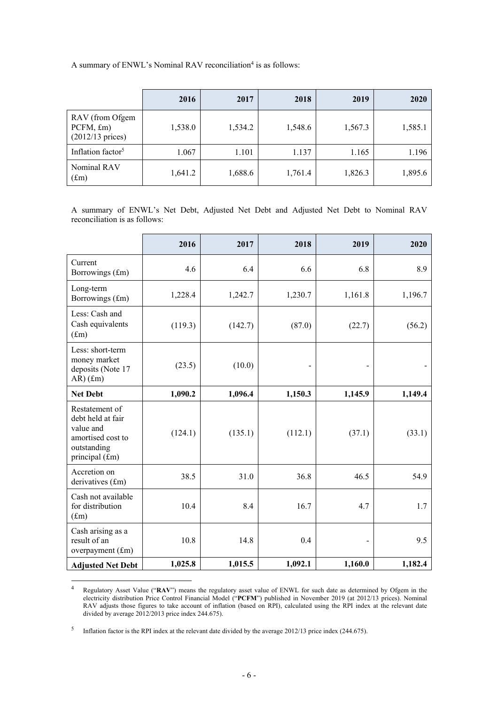A summary of ENWL's Nominal RAV reconciliation<sup>4</sup> is as follows:

|                                                              | 2016    | 2017    | 2018    | 2019    | 2020    |
|--------------------------------------------------------------|---------|---------|---------|---------|---------|
| RAV (from Ofgem<br>$PCFM, \pounds m)$<br>$(2012/13)$ prices) | 1,538.0 | 1,534.2 | 1,548.6 | 1,567.3 | 1,585.1 |
| Inflation factor <sup>5</sup>                                | 1.067   | 1.101   | 1.137   | 1.165   | 1.196   |
| Nominal RAV<br>$(f_m)$                                       | 1,641.2 | 1,688.6 | 1,761.4 | 1,826.3 | 1,895.6 |

A summary of ENWL's Net Debt, Adjusted Net Debt and Adjusted Net Debt to Nominal RAV reconciliation is as follows:

|                                                                                                        | 2016    | 2017    | 2018    | 2019                     | 2020    |
|--------------------------------------------------------------------------------------------------------|---------|---------|---------|--------------------------|---------|
| Current<br>Borrowings (£m)                                                                             | 4.6     | 6.4     | 6.6     | 6.8                      | 8.9     |
| Long-term<br>Borrowings (£m)                                                                           | 1,228.4 | 1,242.7 | 1,230.7 | 1,161.8                  | 1,196.7 |
| Less: Cash and<br>Cash equivalents<br>(f.m)                                                            | (119.3) | (142.7) | (87.0)  | (22.7)                   | (56.2)  |
| Less: short-term<br>money market<br>deposits (Note 17<br>$AR$ ) $(fm)$                                 | (23.5)  | (10.0)  |         |                          |         |
| <b>Net Debt</b>                                                                                        | 1,090.2 | 1,096.4 | 1,150.3 | 1,145.9                  | 1,149.4 |
| Restatement of<br>debt held at fair<br>value and<br>amortised cost to<br>outstanding<br>principal (£m) | (124.1) | (135.1) | (112.1) | (37.1)                   | (33.1)  |
| Accretion on<br>derivatives (£m)                                                                       | 38.5    | 31.0    | 36.8    | 46.5                     | 54.9    |
| Cash not available<br>for distribution<br>(f <sub>m</sub> )                                            | 10.4    | 8.4     | 16.7    | 4.7                      | 1.7     |
| Cash arising as a<br>result of an<br>overpayment (£m)                                                  | 10.8    | 14.8    | 0.4     | $\overline{\phantom{a}}$ | 9.5     |
| <b>Adjusted Net Debt</b>                                                                               | 1,025.8 | 1,015.5 | 1,092.1 | 1,160.0                  | 1,182.4 |

<sup>4</sup> Regulatory Asset Value ("**RAV**") means the regulatory asset value of ENWL for such date as determined by Ofgem in the electricity distribution Price Control Financial Model ("**PCFM**") published in November 2019 (at 2012/13 prices). Nominal RAV adjusts those figures to take account of inflation (based on RPI), calculated using the RPI index at the relevant date divided by average 2012/2013 price index 244.675).

<sup>5</sup> Inflation factor is the RPI index at the relevant date divided by the average 2012/13 price index (244.675).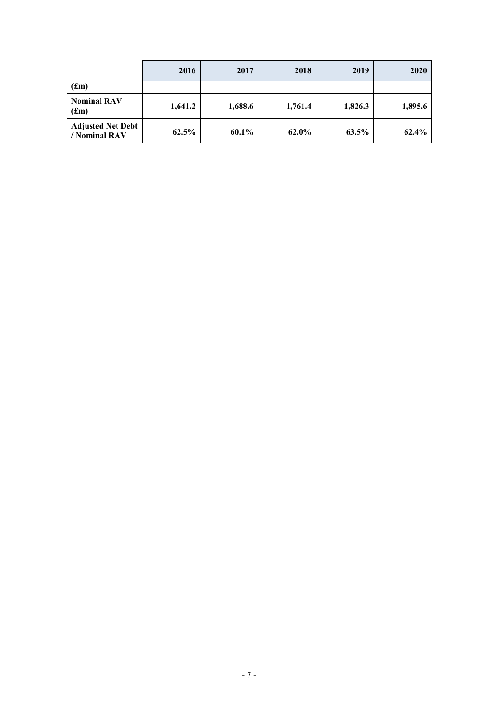|                                           | 2016     | 2017     | 2018    | 2019    | 2020    |
|-------------------------------------------|----------|----------|---------|---------|---------|
| (f.m)                                     |          |          |         |         |         |
| <b>Nominal RAV</b><br>(f.m)               | 1,641.2  | 1,688.6  | 1,761.4 | 1,826.3 | 1,895.6 |
| <b>Adjusted Net Debt</b><br>/ Nominal RAV | $62.5\%$ | $60.1\%$ | 62.0%   | 63.5%   | 62.4%   |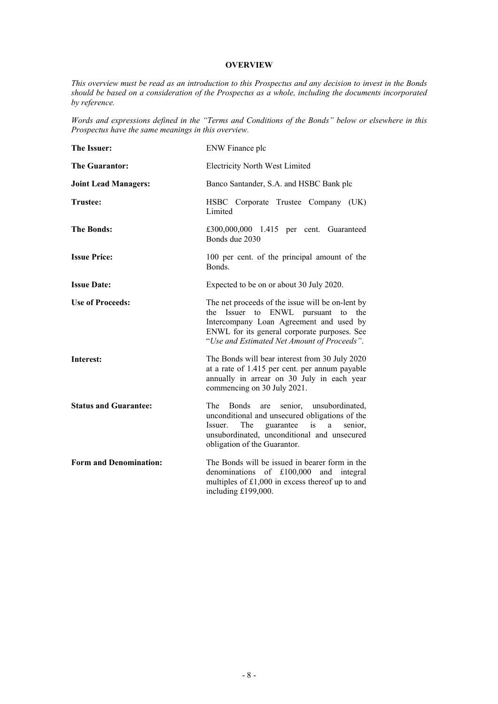## **OVERVIEW**

*This overview must be read as an introduction to this Prospectus and any decision to invest in the Bonds should be based on a consideration of the Prospectus as a whole, including the documents incorporated by reference.* 

*Words and expressions defined in the "Terms and Conditions of the Bonds" below or elsewhere in this Prospectus have the same meanings in this overview.*

| The Issuer:                   | ENW Finance plc                                                                                                                                                                                                                  |  |  |
|-------------------------------|----------------------------------------------------------------------------------------------------------------------------------------------------------------------------------------------------------------------------------|--|--|
| <b>The Guarantor:</b>         | <b>Electricity North West Limited</b>                                                                                                                                                                                            |  |  |
| <b>Joint Lead Managers:</b>   | Banco Santander, S.A. and HSBC Bank plc                                                                                                                                                                                          |  |  |
| <b>Trustee:</b>               | HSBC Corporate Trustee Company (UK)<br>Limited                                                                                                                                                                                   |  |  |
| <b>The Bonds:</b>             | £300,000,000 1.415 per cent. Guaranteed<br>Bonds due 2030                                                                                                                                                                        |  |  |
| <b>Issue Price:</b>           | 100 per cent. of the principal amount of the<br>Bonds.                                                                                                                                                                           |  |  |
| <b>Issue Date:</b>            | Expected to be on or about 30 July 2020.                                                                                                                                                                                         |  |  |
| <b>Use of Proceeds:</b>       | The net proceeds of the issue will be on-lent by<br>the Issuer to ENWL pursuant to the<br>Intercompany Loan Agreement and used by<br>ENWL for its general corporate purposes. See<br>"Use and Estimated Net Amount of Proceeds". |  |  |
| Interest:                     | The Bonds will bear interest from 30 July 2020<br>at a rate of 1.415 per cent. per annum payable<br>annually in arrear on 30 July in each year<br>commencing on 30 July 2021.                                                    |  |  |
| <b>Status and Guarantee:</b>  | senior, unsubordinated,<br>The<br>Bonds<br>are<br>unconditional and unsecured obligations of the<br>guarantee is a<br>Issuer.<br>The<br>senior,<br>unsubordinated, unconditional and unsecured<br>obligation of the Guarantor.   |  |  |
| <b>Form and Denomination:</b> | The Bonds will be issued in bearer form in the<br>denominations of £100,000 and integral<br>multiples of $£1,000$ in excess thereof up to and<br>including £199,000.                                                             |  |  |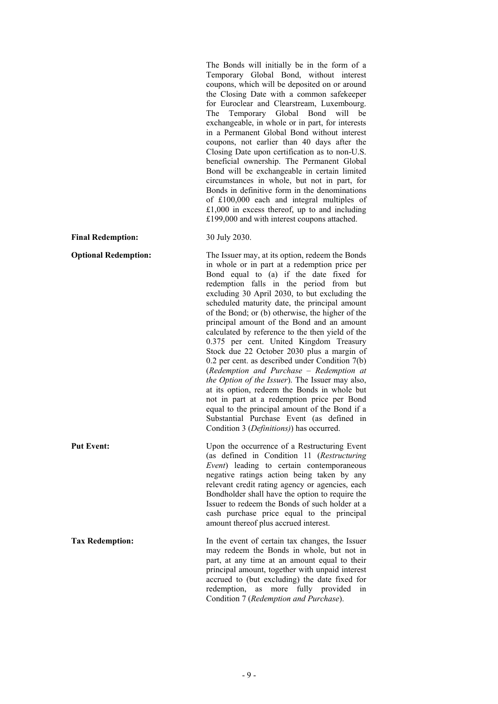The Bonds will initially be in the form of a Temporary Global Bond, without interest coupons, which will be deposited on or around the Closing Date with a common safekeeper for Euroclear and Clearstream, Luxembourg. The Temporary Global Bond will be exchangeable, in whole or in part, for interests in a Permanent Global Bond without interest coupons, not earlier than 40 days after the Closing Date upon certification as to non-U.S. beneficial ownership. The Permanent Global Bond will be exchangeable in certain limited circumstances in whole, but not in part, for Bonds in definitive form in the denominations of £100,000 each and integral multiples of  $£1,000$  in excess thereof, up to and including £199,000 and with interest coupons attached.

#### **Final Redemption:** 30 July 2030.

**Optional Redemption:** The Issuer may, at its option, redeem the Bonds in whole or in part at a redemption price per Bond equal to (a) if the date fixed for redemption falls in the period from but excluding 30 April 2030, to but excluding the scheduled maturity date, the principal amount of the Bond; or (b) otherwise, the higher of the principal amount of the Bond and an amount calculated by reference to the then yield of the 0.375 per cent. United Kingdom Treasury Stock due 22 October 2030 plus a margin of 0.2 per cent. as described under Condition 7(b) (*Redemption and Purchase – Redemption at the Option of the Issuer*). The Issuer may also, at its option, redeem the Bonds in whole but not in part at a redemption price per Bond equal to the principal amount of the Bond if a Substantial Purchase Event (as defined in Condition 3 (*Definitions)*) has occurred.

**Put Event:** Upon the occurrence of a Restructuring Event (as defined in Condition 11 (*Restructuring Event*) leading to certain contemporaneous negative ratings action being taken by any relevant credit rating agency or agencies, each Bondholder shall have the option to require the Issuer to redeem the Bonds of such holder at a cash purchase price equal to the principal amount thereof plus accrued interest.

**Tax Redemption: In the event of certain tax changes, the Issuer** may redeem the Bonds in whole, but not in part, at any time at an amount equal to their principal amount, together with unpaid interest accrued to (but excluding) the date fixed for redemption, as more fully provided in Condition 7 (*Redemption and Purchase*).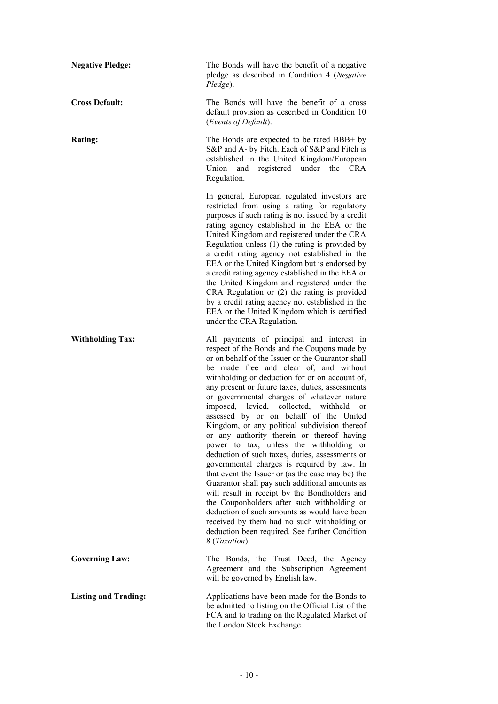| <b>Negative Pledge:</b>     | The Bonds will have the benefit of a negative<br>pledge as described in Condition 4 (Negative<br>Pledge).                                                                                                                                                                                                                                                                                                                                                                                                                                                                                                                                                                                                                                                                                                                                                                                                                                                                                                                                                               |  |  |
|-----------------------------|-------------------------------------------------------------------------------------------------------------------------------------------------------------------------------------------------------------------------------------------------------------------------------------------------------------------------------------------------------------------------------------------------------------------------------------------------------------------------------------------------------------------------------------------------------------------------------------------------------------------------------------------------------------------------------------------------------------------------------------------------------------------------------------------------------------------------------------------------------------------------------------------------------------------------------------------------------------------------------------------------------------------------------------------------------------------------|--|--|
| <b>Cross Default:</b>       | The Bonds will have the benefit of a cross<br>default provision as described in Condition 10<br>(Events of Default).                                                                                                                                                                                                                                                                                                                                                                                                                                                                                                                                                                                                                                                                                                                                                                                                                                                                                                                                                    |  |  |
| Rating:                     | The Bonds are expected to be rated BBB+ by<br>S&P and A- by Fitch. Each of S&P and Fitch is<br>established in the United Kingdom/European<br>registered under<br>Union<br><b>CRA</b><br>and<br>the<br>Regulation.                                                                                                                                                                                                                                                                                                                                                                                                                                                                                                                                                                                                                                                                                                                                                                                                                                                       |  |  |
|                             | In general, European regulated investors are<br>restricted from using a rating for regulatory<br>purposes if such rating is not issued by a credit<br>rating agency established in the EEA or the<br>United Kingdom and registered under the CRA<br>Regulation unless $(1)$ the rating is provided by<br>a credit rating agency not established in the<br>EEA or the United Kingdom but is endorsed by<br>a credit rating agency established in the EEA or<br>the United Kingdom and registered under the<br>CRA Regulation or (2) the rating is provided<br>by a credit rating agency not established in the<br>EEA or the United Kingdom which is certified<br>under the CRA Regulation.                                                                                                                                                                                                                                                                                                                                                                              |  |  |
| <b>Withholding Tax:</b>     | All payments of principal and interest in<br>respect of the Bonds and the Coupons made by<br>or on behalf of the Issuer or the Guarantor shall<br>be made free and clear of, and without<br>withholding or deduction for or on account of,<br>any present or future taxes, duties, assessments<br>or governmental charges of whatever nature<br>collected, withheld<br>imposed, levied,<br><sub>or</sub><br>assessed by or on behalf of the United<br>Kingdom, or any political subdivision thereof<br>or any authority therein or thereof having<br>power to tax, unless the withholding or<br>deduction of such taxes, duties, assessments or<br>governmental charges is required by law. In<br>that event the Issuer or (as the case may be) the<br>Guarantor shall pay such additional amounts as<br>will result in receipt by the Bondholders and<br>the Couponholders after such withholding or<br>deduction of such amounts as would have been<br>received by them had no such withholding or<br>deduction been required. See further Condition<br>8 (Taxation). |  |  |
| <b>Governing Law:</b>       | The Bonds, the Trust Deed, the Agency<br>Agreement and the Subscription Agreement<br>will be governed by English law.                                                                                                                                                                                                                                                                                                                                                                                                                                                                                                                                                                                                                                                                                                                                                                                                                                                                                                                                                   |  |  |
| <b>Listing and Trading:</b> | Applications have been made for the Bonds to<br>be admitted to listing on the Official List of the<br>FCA and to trading on the Regulated Market of<br>the London Stock Exchange.                                                                                                                                                                                                                                                                                                                                                                                                                                                                                                                                                                                                                                                                                                                                                                                                                                                                                       |  |  |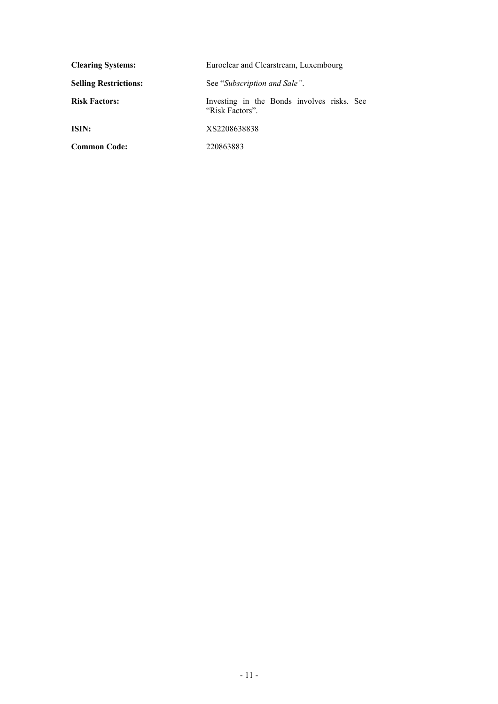| <b>Clearing Systems:</b>     | Euroclear and Clearstream, Luxembourg                         |  |  |
|------------------------------|---------------------------------------------------------------|--|--|
| <b>Selling Restrictions:</b> | See "Subscription and Sale".                                  |  |  |
| <b>Risk Factors:</b>         | Investing in the Bonds involves risks. See<br>"Risk Factors". |  |  |
| ISIN:                        | XS2208638838                                                  |  |  |
| <b>Common Code:</b>          | 220863883                                                     |  |  |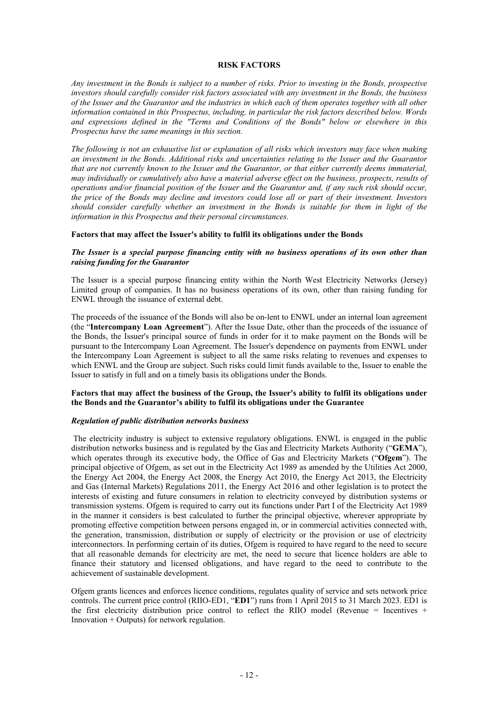## **RISK FACTORS**

*Any investment in the Bonds is subject to a number of risks. Prior to investing in the Bonds, prospective investors should carefully consider risk factors associated with any investment in the Bonds, the business of the Issuer and the Guarantor and the industries in which each of them operates together with all other information contained in this Prospectus, including, in particular the risk factors described below. Words and expressions defined in the "Terms and Conditions of the Bonds" below or elsewhere in this Prospectus have the same meanings in this section.* 

*The following is not an exhaustive list or explanation of all risks which investors may face when making an investment in the Bonds. Additional risks and uncertainties relating to the Issuer and the Guarantor that are not currently known to the Issuer and the Guarantor, or that either currently deems immaterial, may individually or cumulatively also have a material adverse effect on the business, prospects, results of operations and/or financial position of the Issuer and the Guarantor and, if any such risk should occur, the price of the Bonds may decline and investors could lose all or part of their investment. Investors should consider carefully whether an investment in the Bonds is suitable for them in light of the information in this Prospectus and their personal circumstances.* 

## **Factors that may affect the Issuer's ability to fulfil its obligations under the Bonds**

## *The Issuer is a special purpose financing entity with no business operations of its own other than raising funding for the Guarantor*

The Issuer is a special purpose financing entity within the North West Electricity Networks (Jersey) Limited group of companies. It has no business operations of its own, other than raising funding for ENWL through the issuance of external debt.

The proceeds of the issuance of the Bonds will also be on-lent to ENWL under an internal loan agreement (the "**Intercompany Loan Agreement**"). After the Issue Date, other than the proceeds of the issuance of the Bonds, the Issuer's principal source of funds in order for it to make payment on the Bonds will be pursuant to the Intercompany Loan Agreement. The Issuer's dependence on payments from ENWL under the Intercompany Loan Agreement is subject to all the same risks relating to revenues and expenses to which ENWL and the Group are subject. Such risks could limit funds available to the, Issuer to enable the Issuer to satisfy in full and on a timely basis its obligations under the Bonds.

## **Factors that may affect the business of the Group, the Issuer's ability to fulfil its obligations under the Bonds and the Guarantor's ability to fulfil its obligations under the Guarantee**

## *Regulation of public distribution networks business*

 The electricity industry is subject to extensive regulatory obligations. ENWL is engaged in the public distribution networks business and is regulated by the Gas and Electricity Markets Authority ("**GEMA**"), which operates through its executive body, the Office of Gas and Electricity Markets ("**Ofgem**"). The principal objective of Ofgem, as set out in the Electricity Act 1989 as amended by the Utilities Act 2000, the Energy Act 2004, the Energy Act 2008, the Energy Act 2010, the Energy Act 2013, the Electricity and Gas (Internal Markets) Regulations 2011, the Energy Act 2016 and other legislation is to protect the interests of existing and future consumers in relation to electricity conveyed by distribution systems or transmission systems. Ofgem is required to carry out its functions under Part I of the Electricity Act 1989 in the manner it considers is best calculated to further the principal objective, wherever appropriate by promoting effective competition between persons engaged in, or in commercial activities connected with, the generation, transmission, distribution or supply of electricity or the provision or use of electricity interconnectors. In performing certain of its duties, Ofgem is required to have regard to the need to secure that all reasonable demands for electricity are met, the need to secure that licence holders are able to finance their statutory and licensed obligations, and have regard to the need to contribute to the achievement of sustainable development.

Ofgem grants licences and enforces licence conditions, regulates quality of service and sets network price controls. The current price control (RIIO-ED1, "**ED1**") runs from 1 April 2015 to 31 March 2023. ED1 is the first electricity distribution price control to reflect the RIIO model (Revenue = Incentives  $+$ Innovation + Outputs) for network regulation.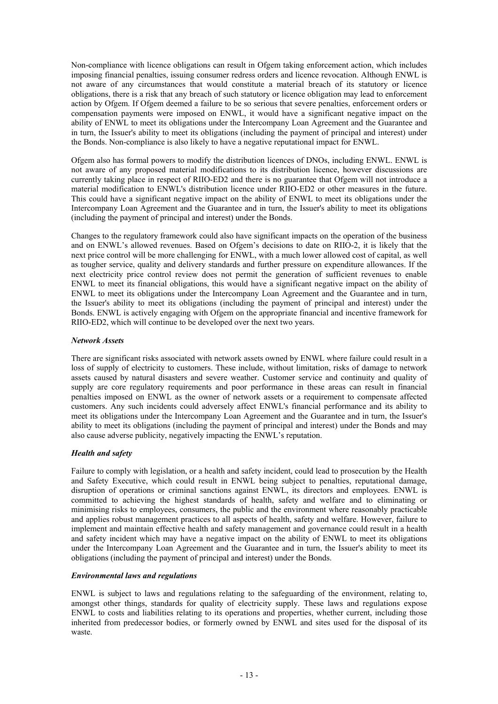Non-compliance with licence obligations can result in Ofgem taking enforcement action, which includes imposing financial penalties, issuing consumer redress orders and licence revocation. Although ENWL is not aware of any circumstances that would constitute a material breach of its statutory or licence obligations, there is a risk that any breach of such statutory or licence obligation may lead to enforcement action by Ofgem. If Ofgem deemed a failure to be so serious that severe penalties, enforcement orders or compensation payments were imposed on ENWL, it would have a significant negative impact on the ability of ENWL to meet its obligations under the Intercompany Loan Agreement and the Guarantee and in turn, the Issuer's ability to meet its obligations (including the payment of principal and interest) under the Bonds. Non-compliance is also likely to have a negative reputational impact for ENWL.

Ofgem also has formal powers to modify the distribution licences of DNOs, including ENWL. ENWL is not aware of any proposed material modifications to its distribution licence, however discussions are currently taking place in respect of RIIO-ED2 and there is no guarantee that Ofgem will not introduce a material modification to ENWL's distribution licence under RIIO-ED2 or other measures in the future. This could have a significant negative impact on the ability of ENWL to meet its obligations under the Intercompany Loan Agreement and the Guarantee and in turn, the Issuer's ability to meet its obligations (including the payment of principal and interest) under the Bonds.

Changes to the regulatory framework could also have significant impacts on the operation of the business and on ENWL's allowed revenues. Based on Ofgem's decisions to date on RIIO-2, it is likely that the next price control will be more challenging for ENWL, with a much lower allowed cost of capital, as well as tougher service, quality and delivery standards and further pressure on expenditure allowances. If the next electricity price control review does not permit the generation of sufficient revenues to enable ENWL to meet its financial obligations, this would have a significant negative impact on the ability of ENWL to meet its obligations under the Intercompany Loan Agreement and the Guarantee and in turn, the Issuer's ability to meet its obligations (including the payment of principal and interest) under the Bonds. ENWL is actively engaging with Ofgem on the appropriate financial and incentive framework for RIIO-ED2, which will continue to be developed over the next two years.

## *Network Assets*

There are significant risks associated with network assets owned by ENWL where failure could result in a loss of supply of electricity to customers. These include, without limitation, risks of damage to network assets caused by natural disasters and severe weather. Customer service and continuity and quality of supply are core regulatory requirements and poor performance in these areas can result in financial penalties imposed on ENWL as the owner of network assets or a requirement to compensate affected customers. Any such incidents could adversely affect ENWL's financial performance and its ability to meet its obligations under the Intercompany Loan Agreement and the Guarantee and in turn, the Issuer's ability to meet its obligations (including the payment of principal and interest) under the Bonds and may also cause adverse publicity, negatively impacting the ENWL's reputation.

## *Health and safety*

Failure to comply with legislation, or a health and safety incident, could lead to prosecution by the Health and Safety Executive, which could result in ENWL being subject to penalties, reputational damage, disruption of operations or criminal sanctions against ENWL, its directors and employees. ENWL is committed to achieving the highest standards of health, safety and welfare and to eliminating or minimising risks to employees, consumers, the public and the environment where reasonably practicable and applies robust management practices to all aspects of health, safety and welfare. However, failure to implement and maintain effective health and safety management and governance could result in a health and safety incident which may have a negative impact on the ability of ENWL to meet its obligations under the Intercompany Loan Agreement and the Guarantee and in turn, the Issuer's ability to meet its obligations (including the payment of principal and interest) under the Bonds.

## *Environmental laws and regulations*

ENWL is subject to laws and regulations relating to the safeguarding of the environment, relating to, amongst other things, standards for quality of electricity supply. These laws and regulations expose ENWL to costs and liabilities relating to its operations and properties, whether current, including those inherited from predecessor bodies, or formerly owned by ENWL and sites used for the disposal of its waste.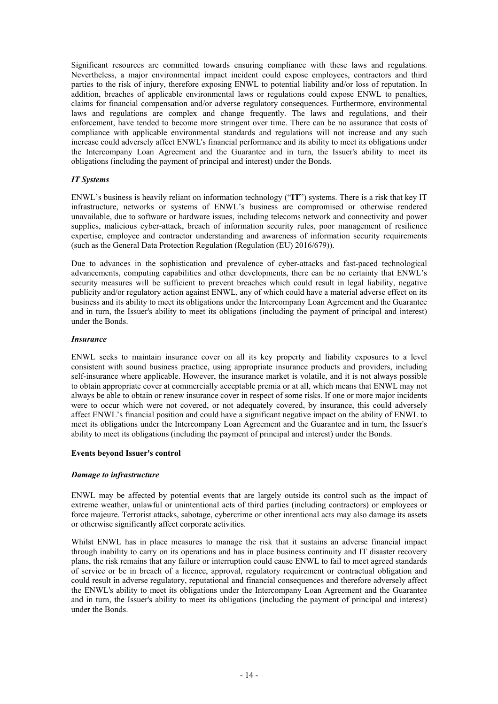Significant resources are committed towards ensuring compliance with these laws and regulations. Nevertheless, a major environmental impact incident could expose employees, contractors and third parties to the risk of injury, therefore exposing ENWL to potential liability and/or loss of reputation. In addition, breaches of applicable environmental laws or regulations could expose ENWL to penalties, claims for financial compensation and/or adverse regulatory consequences. Furthermore, environmental laws and regulations are complex and change frequently. The laws and regulations, and their enforcement, have tended to become more stringent over time. There can be no assurance that costs of compliance with applicable environmental standards and regulations will not increase and any such increase could adversely affect ENWL's financial performance and its ability to meet its obligations under the Intercompany Loan Agreement and the Guarantee and in turn, the Issuer's ability to meet its obligations (including the payment of principal and interest) under the Bonds.

## *IT Systems*

ENWL's business is heavily reliant on information technology ("**IT**") systems. There is a risk that key IT infrastructure, networks or systems of ENWL's business are compromised or otherwise rendered unavailable, due to software or hardware issues, including telecoms network and connectivity and power supplies, malicious cyber-attack, breach of information security rules, poor management of resilience expertise, employee and contractor understanding and awareness of information security requirements (such as the General Data Protection Regulation (Regulation (EU) 2016/679)).

Due to advances in the sophistication and prevalence of cyber-attacks and fast-paced technological advancements, computing capabilities and other developments, there can be no certainty that ENWL's security measures will be sufficient to prevent breaches which could result in legal liability, negative publicity and/or regulatory action against ENWL, any of which could have a material adverse effect on its business and its ability to meet its obligations under the Intercompany Loan Agreement and the Guarantee and in turn, the Issuer's ability to meet its obligations (including the payment of principal and interest) under the Bonds.

## *Insurance*

ENWL seeks to maintain insurance cover on all its key property and liability exposures to a level consistent with sound business practice, using appropriate insurance products and providers, including self-insurance where applicable. However, the insurance market is volatile, and it is not always possible to obtain appropriate cover at commercially acceptable premia or at all, which means that ENWL may not always be able to obtain or renew insurance cover in respect of some risks. If one or more major incidents were to occur which were not covered, or not adequately covered, by insurance, this could adversely affect ENWL's financial position and could have a significant negative impact on the ability of ENWL to meet its obligations under the Intercompany Loan Agreement and the Guarantee and in turn, the Issuer's ability to meet its obligations (including the payment of principal and interest) under the Bonds.

## **Events beyond Issuer's control**

## *Damage to infrastructure*

ENWL may be affected by potential events that are largely outside its control such as the impact of extreme weather, unlawful or unintentional acts of third parties (including contractors) or employees or force majeure. Terrorist attacks, sabotage, cybercrime or other intentional acts may also damage its assets or otherwise significantly affect corporate activities.

Whilst ENWL has in place measures to manage the risk that it sustains an adverse financial impact through inability to carry on its operations and has in place business continuity and IT disaster recovery plans, the risk remains that any failure or interruption could cause ENWL to fail to meet agreed standards of service or be in breach of a licence, approval, regulatory requirement or contractual obligation and could result in adverse regulatory, reputational and financial consequences and therefore adversely affect the ENWL's ability to meet its obligations under the Intercompany Loan Agreement and the Guarantee and in turn, the Issuer's ability to meet its obligations (including the payment of principal and interest) under the Bonds.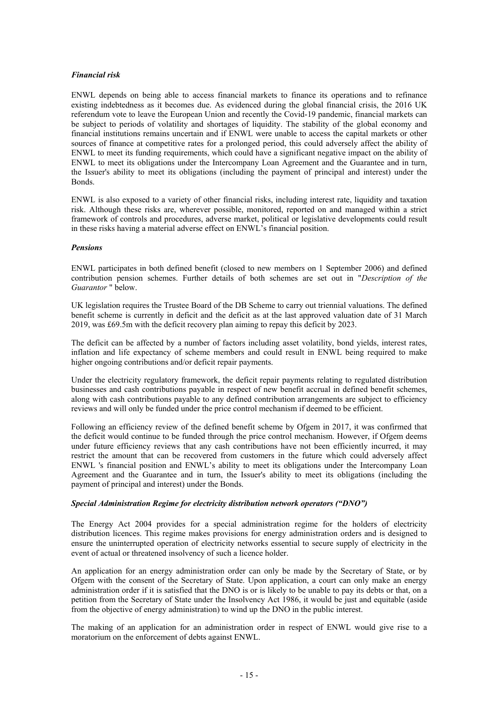## *Financial risk*

ENWL depends on being able to access financial markets to finance its operations and to refinance existing indebtedness as it becomes due. As evidenced during the global financial crisis, the 2016 UK referendum vote to leave the European Union and recently the Covid-19 pandemic, financial markets can be subject to periods of volatility and shortages of liquidity. The stability of the global economy and financial institutions remains uncertain and if ENWL were unable to access the capital markets or other sources of finance at competitive rates for a prolonged period, this could adversely affect the ability of ENWL to meet its funding requirements, which could have a significant negative impact on the ability of ENWL to meet its obligations under the Intercompany Loan Agreement and the Guarantee and in turn, the Issuer's ability to meet its obligations (including the payment of principal and interest) under the Bonds.

ENWL is also exposed to a variety of other financial risks, including interest rate, liquidity and taxation risk. Although these risks are, wherever possible, monitored, reported on and managed within a strict framework of controls and procedures, adverse market, political or legislative developments could result in these risks having a material adverse effect on ENWL's financial position.

## *Pensions*

ENWL participates in both defined benefit (closed to new members on 1 September 2006) and defined contribution pension schemes. Further details of both schemes are set out in "*Description of the Guarantor* " below.

UK legislation requires the Trustee Board of the DB Scheme to carry out triennial valuations. The defined benefit scheme is currently in deficit and the deficit as at the last approved valuation date of 31 March 2019, was £69.5m with the deficit recovery plan aiming to repay this deficit by 2023.

The deficit can be affected by a number of factors including asset volatility, bond yields, interest rates, inflation and life expectancy of scheme members and could result in ENWL being required to make higher ongoing contributions and/or deficit repair payments.

Under the electricity regulatory framework, the deficit repair payments relating to regulated distribution businesses and cash contributions payable in respect of new benefit accrual in defined benefit schemes, along with cash contributions payable to any defined contribution arrangements are subject to efficiency reviews and will only be funded under the price control mechanism if deemed to be efficient.

Following an efficiency review of the defined benefit scheme by Ofgem in 2017, it was confirmed that the deficit would continue to be funded through the price control mechanism. However, if Ofgem deems under future efficiency reviews that any cash contributions have not been efficiently incurred, it may restrict the amount that can be recovered from customers in the future which could adversely affect ENWL 's financial position and ENWL's ability to meet its obligations under the Intercompany Loan Agreement and the Guarantee and in turn, the Issuer's ability to meet its obligations (including the payment of principal and interest) under the Bonds.

## *Special Administration Regime for electricity distribution network operators ("DNO")*

The Energy Act 2004 provides for a special administration regime for the holders of electricity distribution licences. This regime makes provisions for energy administration orders and is designed to ensure the uninterrupted operation of electricity networks essential to secure supply of electricity in the event of actual or threatened insolvency of such a licence holder.

An application for an energy administration order can only be made by the Secretary of State, or by Ofgem with the consent of the Secretary of State. Upon application, a court can only make an energy administration order if it is satisfied that the DNO is or is likely to be unable to pay its debts or that, on a petition from the Secretary of State under the Insolvency Act 1986, it would be just and equitable (aside from the objective of energy administration) to wind up the DNO in the public interest.

The making of an application for an administration order in respect of ENWL would give rise to a moratorium on the enforcement of debts against ENWL.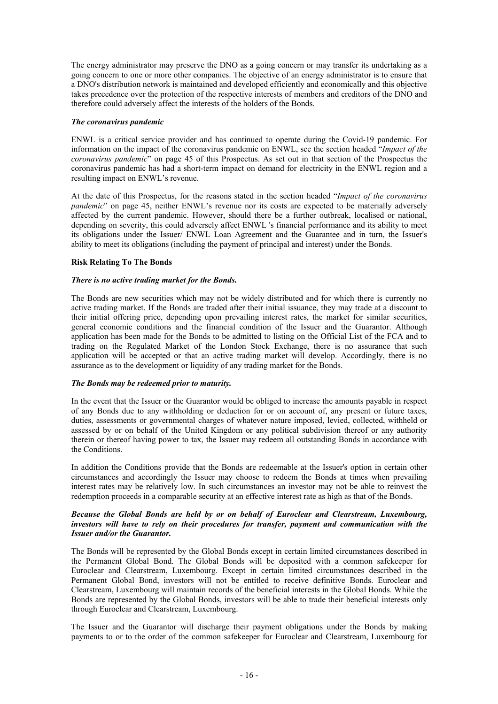The energy administrator may preserve the DNO as a going concern or may transfer its undertaking as a going concern to one or more other companies. The objective of an energy administrator is to ensure that a DNO's distribution network is maintained and developed efficiently and economically and this objective takes precedence over the protection of the respective interests of members and creditors of the DNO and therefore could adversely affect the interests of the holders of the Bonds.

## *The coronavirus pandemic*

ENWL is a critical service provider and has continued to operate during the Covid-19 pandemic. For information on the impact of the coronavirus pandemic on ENWL, see the section headed "*Impact of the coronavirus pandemic*" on page 45 of this Prospectus. As set out in that section of the Prospectus the coronavirus pandemic has had a short-term impact on demand for electricity in the ENWL region and a resulting impact on ENWL's revenue.

At the date of this Prospectus, for the reasons stated in the section headed "*Impact of the coronavirus pandemic*" on page 45, neither ENWL's revenue nor its costs are expected to be materially adversely affected by the current pandemic. However, should there be a further outbreak, localised or national, depending on severity, this could adversely affect ENWL 's financial performance and its ability to meet its obligations under the Issuer/ ENWL Loan Agreement and the Guarantee and in turn, the Issuer's ability to meet its obligations (including the payment of principal and interest) under the Bonds.

## **Risk Relating To The Bonds**

## *There is no active trading market for the Bonds.*

The Bonds are new securities which may not be widely distributed and for which there is currently no active trading market. If the Bonds are traded after their initial issuance, they may trade at a discount to their initial offering price, depending upon prevailing interest rates, the market for similar securities, general economic conditions and the financial condition of the Issuer and the Guarantor. Although application has been made for the Bonds to be admitted to listing on the Official List of the FCA and to trading on the Regulated Market of the London Stock Exchange, there is no assurance that such application will be accepted or that an active trading market will develop. Accordingly, there is no assurance as to the development or liquidity of any trading market for the Bonds.

## *The Bonds may be redeemed prior to maturity.*

In the event that the Issuer or the Guarantor would be obliged to increase the amounts payable in respect of any Bonds due to any withholding or deduction for or on account of, any present or future taxes, duties, assessments or governmental charges of whatever nature imposed, levied, collected, withheld or assessed by or on behalf of the United Kingdom or any political subdivision thereof or any authority therein or thereof having power to tax, the Issuer may redeem all outstanding Bonds in accordance with the Conditions.

In addition the Conditions provide that the Bonds are redeemable at the Issuer's option in certain other circumstances and accordingly the Issuer may choose to redeem the Bonds at times when prevailing interest rates may be relatively low. In such circumstances an investor may not be able to reinvest the redemption proceeds in a comparable security at an effective interest rate as high as that of the Bonds.

## *Because the Global Bonds are held by or on behalf of Euroclear and Clearstream, Luxembourg, investors will have to rely on their procedures for transfer, payment and communication with the Issuer and/or the Guarantor.*

The Bonds will be represented by the Global Bonds except in certain limited circumstances described in the Permanent Global Bond. The Global Bonds will be deposited with a common safekeeper for Euroclear and Clearstream, Luxembourg. Except in certain limited circumstances described in the Permanent Global Bond, investors will not be entitled to receive definitive Bonds. Euroclear and Clearstream, Luxembourg will maintain records of the beneficial interests in the Global Bonds. While the Bonds are represented by the Global Bonds, investors will be able to trade their beneficial interests only through Euroclear and Clearstream, Luxembourg.

The Issuer and the Guarantor will discharge their payment obligations under the Bonds by making payments to or to the order of the common safekeeper for Euroclear and Clearstream, Luxembourg for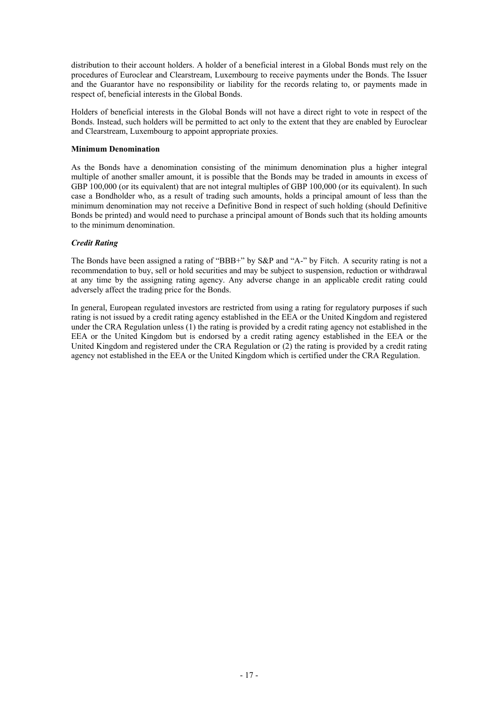distribution to their account holders. A holder of a beneficial interest in a Global Bonds must rely on the procedures of Euroclear and Clearstream, Luxembourg to receive payments under the Bonds. The Issuer and the Guarantor have no responsibility or liability for the records relating to, or payments made in respect of, beneficial interests in the Global Bonds.

Holders of beneficial interests in the Global Bonds will not have a direct right to vote in respect of the Bonds. Instead, such holders will be permitted to act only to the extent that they are enabled by Euroclear and Clearstream, Luxembourg to appoint appropriate proxies.

## **Minimum Denomination**

As the Bonds have a denomination consisting of the minimum denomination plus a higher integral multiple of another smaller amount, it is possible that the Bonds may be traded in amounts in excess of GBP 100,000 (or its equivalent) that are not integral multiples of GBP 100,000 (or its equivalent). In such case a Bondholder who, as a result of trading such amounts, holds a principal amount of less than the minimum denomination may not receive a Definitive Bond in respect of such holding (should Definitive Bonds be printed) and would need to purchase a principal amount of Bonds such that its holding amounts to the minimum denomination.

## *Credit Rating*

The Bonds have been assigned a rating of "BBB+" by S&P and "A-" by Fitch. A security rating is not a recommendation to buy, sell or hold securities and may be subject to suspension, reduction or withdrawal at any time by the assigning rating agency. Any adverse change in an applicable credit rating could adversely affect the trading price for the Bonds.

In general, European regulated investors are restricted from using a rating for regulatory purposes if such rating is not issued by a credit rating agency established in the EEA or the United Kingdom and registered under the CRA Regulation unless (1) the rating is provided by a credit rating agency not established in the EEA or the United Kingdom but is endorsed by a credit rating agency established in the EEA or the United Kingdom and registered under the CRA Regulation or (2) the rating is provided by a credit rating agency not established in the EEA or the United Kingdom which is certified under the CRA Regulation.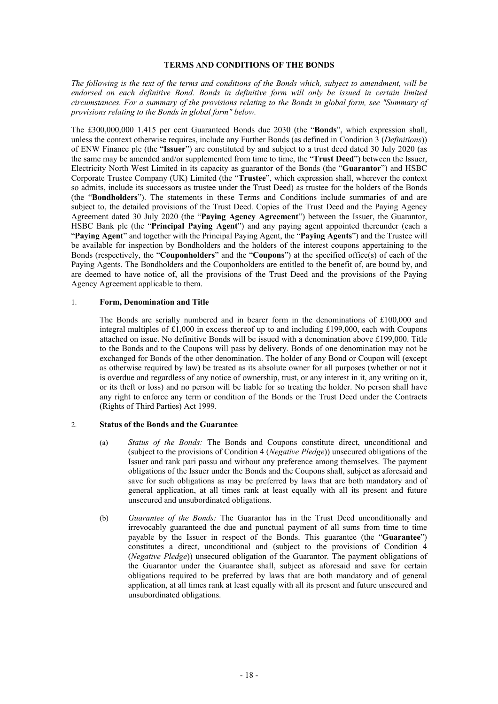## **TERMS AND CONDITIONS OF THE BONDS**

*The following is the text of the terms and conditions of the Bonds which, subject to amendment, will be endorsed on each definitive Bond. Bonds in definitive form will only be issued in certain limited circumstances. For a summary of the provisions relating to the Bonds in global form, see "Summary of provisions relating to the Bonds in global form" below.* 

The £300,000,000 1.415 per cent Guaranteed Bonds due 2030 (the "**Bonds**", which expression shall, unless the context otherwise requires, include any Further Bonds (as defined in Condition 3 (*Definitions*)) of ENW Finance plc (the "**Issuer**") are constituted by and subject to a trust deed dated 30 July 2020 (as the same may be amended and/or supplemented from time to time, the "**Trust Deed**") between the Issuer, Electricity North West Limited in its capacity as guarantor of the Bonds (the "**Guarantor**") and HSBC Corporate Trustee Company (UK) Limited (the "**Trustee**", which expression shall, wherever the context so admits, include its successors as trustee under the Trust Deed) as trustee for the holders of the Bonds (the "**Bondholders**"). The statements in these Terms and Conditions include summaries of and are subject to, the detailed provisions of the Trust Deed. Copies of the Trust Deed and the Paying Agency Agreement dated 30 July 2020 (the "**Paying Agency Agreement**") between the Issuer, the Guarantor, HSBC Bank plc (the "**Principal Paying Agent**") and any paying agent appointed thereunder (each a "**Paying Agent**" and together with the Principal Paying Agent, the "**Paying Agents**") and the Trustee will be available for inspection by Bondholders and the holders of the interest coupons appertaining to the Bonds (respectively, the "**Couponholders**" and the "**Coupons**") at the specified office(s) of each of the Paying Agents. The Bondholders and the Couponholders are entitled to the benefit of, are bound by, and are deemed to have notice of, all the provisions of the Trust Deed and the provisions of the Paying Agency Agreement applicable to them.

#### 1. **Form, Denomination and Title**

The Bonds are serially numbered and in bearer form in the denominations of £100,000 and integral multiples of £1,000 in excess thereof up to and including £199,000, each with Coupons attached on issue. No definitive Bonds will be issued with a denomination above £199,000. Title to the Bonds and to the Coupons will pass by delivery. Bonds of one denomination may not be exchanged for Bonds of the other denomination. The holder of any Bond or Coupon will (except as otherwise required by law) be treated as its absolute owner for all purposes (whether or not it is overdue and regardless of any notice of ownership, trust, or any interest in it, any writing on it, or its theft or loss) and no person will be liable for so treating the holder. No person shall have any right to enforce any term or condition of the Bonds or the Trust Deed under the Contracts (Rights of Third Parties) Act 1999.

## 2. **Status of the Bonds and the Guarantee**

- (a) *Status of the Bonds:* The Bonds and Coupons constitute direct, unconditional and (subject to the provisions of Condition 4 (*Negative Pledge*)) unsecured obligations of the Issuer and rank pari passu and without any preference among themselves. The payment obligations of the Issuer under the Bonds and the Coupons shall, subject as aforesaid and save for such obligations as may be preferred by laws that are both mandatory and of general application, at all times rank at least equally with all its present and future unsecured and unsubordinated obligations.
- (b) *Guarantee of the Bonds:* The Guarantor has in the Trust Deed unconditionally and irrevocably guaranteed the due and punctual payment of all sums from time to time payable by the Issuer in respect of the Bonds. This guarantee (the "**Guarantee**") constitutes a direct, unconditional and (subject to the provisions of Condition 4 (*Negative Pledge*)) unsecured obligation of the Guarantor. The payment obligations of the Guarantor under the Guarantee shall, subject as aforesaid and save for certain obligations required to be preferred by laws that are both mandatory and of general application, at all times rank at least equally with all its present and future unsecured and unsubordinated obligations.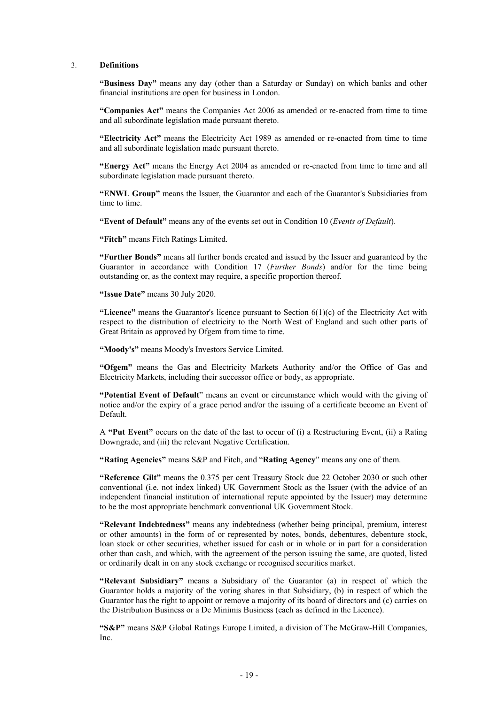#### 3. **Definitions**

**"Business Day"** means any day (other than a Saturday or Sunday) on which banks and other financial institutions are open for business in London.

**"Companies Act"** means the Companies Act 2006 as amended or re-enacted from time to time and all subordinate legislation made pursuant thereto.

**"Electricity Act"** means the Electricity Act 1989 as amended or re-enacted from time to time and all subordinate legislation made pursuant thereto.

**"Energy Act"** means the Energy Act 2004 as amended or re-enacted from time to time and all subordinate legislation made pursuant thereto.

**"ENWL Group"** means the Issuer, the Guarantor and each of the Guarantor's Subsidiaries from time to time.

**"Event of Default"** means any of the events set out in Condition 10 (*Events of Default*).

**"Fitch"** means Fitch Ratings Limited.

**"Further Bonds"** means all further bonds created and issued by the Issuer and guaranteed by the Guarantor in accordance with Condition 17 (*Further Bonds*) and/or for the time being outstanding or, as the context may require, a specific proportion thereof.

**"Issue Date"** means 30 July 2020.

"Licence" means the Guarantor's licence pursuant to Section  $6(1)(c)$  of the Electricity Act with respect to the distribution of electricity to the North West of England and such other parts of Great Britain as approved by Ofgem from time to time.

**"Moody's"** means Moody's Investors Service Limited.

**"Ofgem"** means the Gas and Electricity Markets Authority and/or the Office of Gas and Electricity Markets, including their successor office or body, as appropriate.

**"Potential Event of Default**" means an event or circumstance which would with the giving of notice and/or the expiry of a grace period and/or the issuing of a certificate become an Event of Default.

A **"Put Event"** occurs on the date of the last to occur of (i) a Restructuring Event, (ii) a Rating Downgrade, and (iii) the relevant Negative Certification.

**"Rating Agencies"** means S&P and Fitch, and "**Rating Agency**" means any one of them.

**"Reference Gilt"** means the 0.375 per cent Treasury Stock due 22 October 2030 or such other conventional (i.e. not index linked) UK Government Stock as the Issuer (with the advice of an independent financial institution of international repute appointed by the Issuer) may determine to be the most appropriate benchmark conventional UK Government Stock.

**"Relevant Indebtedness"** means any indebtedness (whether being principal, premium, interest or other amounts) in the form of or represented by notes, bonds, debentures, debenture stock, loan stock or other securities, whether issued for cash or in whole or in part for a consideration other than cash, and which, with the agreement of the person issuing the same, are quoted, listed or ordinarily dealt in on any stock exchange or recognised securities market.

**"Relevant Subsidiary"** means a Subsidiary of the Guarantor (a) in respect of which the Guarantor holds a majority of the voting shares in that Subsidiary, (b) in respect of which the Guarantor has the right to appoint or remove a majority of its board of directors and (c) carries on the Distribution Business or a De Minimis Business (each as defined in the Licence).

**"S&P"** means S&P Global Ratings Europe Limited, a division of The McGraw-Hill Companies, Inc.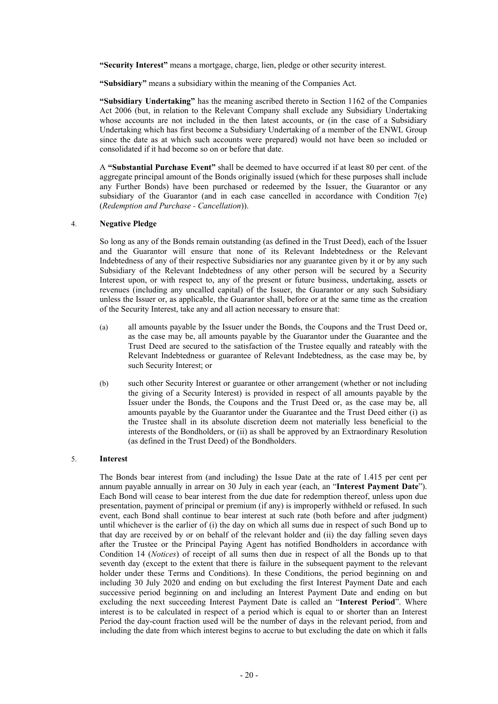**"Security Interest"** means a mortgage, charge, lien, pledge or other security interest.

**"Subsidiary"** means a subsidiary within the meaning of the Companies Act.

**"Subsidiary Undertaking"** has the meaning ascribed thereto in Section 1162 of the Companies Act 2006 (but, in relation to the Relevant Company shall exclude any Subsidiary Undertaking whose accounts are not included in the then latest accounts, or (in the case of a Subsidiary Undertaking which has first become a Subsidiary Undertaking of a member of the ENWL Group since the date as at which such accounts were prepared) would not have been so included or consolidated if it had become so on or before that date.

A **"Substantial Purchase Event"** shall be deemed to have occurred if at least 80 per cent. of the aggregate principal amount of the Bonds originally issued (which for these purposes shall include any Further Bonds) have been purchased or redeemed by the Issuer, the Guarantor or any subsidiary of the Guarantor (and in each case cancelled in accordance with Condition 7(e) (*Redemption and Purchase - Cancellation*)).

## 4. **Negative Pledge**

So long as any of the Bonds remain outstanding (as defined in the Trust Deed), each of the Issuer and the Guarantor will ensure that none of its Relevant Indebtedness or the Relevant Indebtedness of any of their respective Subsidiaries nor any guarantee given by it or by any such Subsidiary of the Relevant Indebtedness of any other person will be secured by a Security Interest upon, or with respect to, any of the present or future business, undertaking, assets or revenues (including any uncalled capital) of the Issuer, the Guarantor or any such Subsidiary unless the Issuer or, as applicable, the Guarantor shall, before or at the same time as the creation of the Security Interest, take any and all action necessary to ensure that:

- (a) all amounts payable by the Issuer under the Bonds, the Coupons and the Trust Deed or, as the case may be, all amounts payable by the Guarantor under the Guarantee and the Trust Deed are secured to the satisfaction of the Trustee equally and rateably with the Relevant Indebtedness or guarantee of Relevant Indebtedness, as the case may be, by such Security Interest; or
- (b) such other Security Interest or guarantee or other arrangement (whether or not including the giving of a Security Interest) is provided in respect of all amounts payable by the Issuer under the Bonds, the Coupons and the Trust Deed or, as the case may be, all amounts payable by the Guarantor under the Guarantee and the Trust Deed either (i) as the Trustee shall in its absolute discretion deem not materially less beneficial to the interests of the Bondholders, or (ii) as shall be approved by an Extraordinary Resolution (as defined in the Trust Deed) of the Bondholders.

#### 5. **Interest**

The Bonds bear interest from (and including) the Issue Date at the rate of 1.415 per cent per annum payable annually in arrear on 30 July in each year (each, an "**Interest Payment Date**"). Each Bond will cease to bear interest from the due date for redemption thereof, unless upon due presentation, payment of principal or premium (if any) is improperly withheld or refused. In such event, each Bond shall continue to bear interest at such rate (both before and after judgment) until whichever is the earlier of (i) the day on which all sums due in respect of such Bond up to that day are received by or on behalf of the relevant holder and (ii) the day falling seven days after the Trustee or the Principal Paying Agent has notified Bondholders in accordance with Condition 14 (*Notices*) of receipt of all sums then due in respect of all the Bonds up to that seventh day (except to the extent that there is failure in the subsequent payment to the relevant holder under these Terms and Conditions). In these Conditions, the period beginning on and including 30 July 2020 and ending on but excluding the first Interest Payment Date and each successive period beginning on and including an Interest Payment Date and ending on but excluding the next succeeding Interest Payment Date is called an "**Interest Period**". Where interest is to be calculated in respect of a period which is equal to or shorter than an Interest Period the day-count fraction used will be the number of days in the relevant period, from and including the date from which interest begins to accrue to but excluding the date on which it falls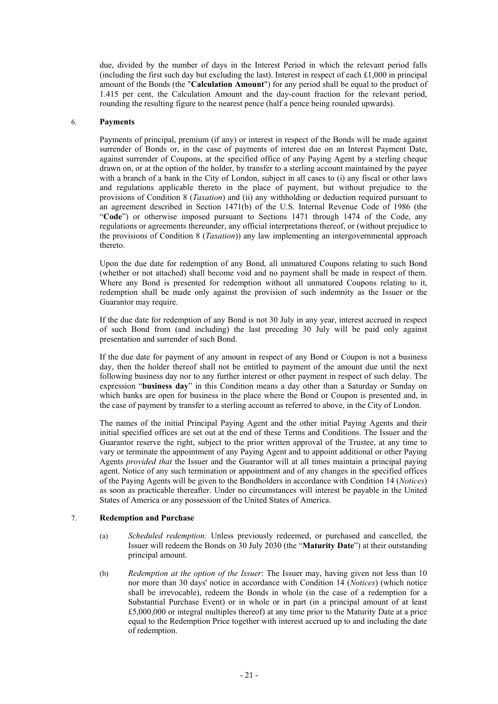due, divided by the number of days in the Interest Period in which the relevant period falls (including the first such day but excluding the last). Interest in respect of each  $\pounds$ 1,000 in principal amount of the Bonds (the "**Calculation Amount**") for any period shall be equal to the product of 1.415 per cent, the Calculation Amount and the day-count fraction for the relevant period, rounding the resulting figure to the nearest pence (half a pence being rounded upwards).

## 6. **Payments**

Payments of principal, premium (if any) or interest in respect of the Bonds will be made against surrender of Bonds or, in the case of payments of interest due on an Interest Payment Date, against surrender of Coupons, at the specified office of any Paying Agent by a sterling cheque drawn on, or at the option of the holder, by transfer to a sterling account maintained by the payee with a branch of a bank in the City of London, subject in all cases to (i) any fiscal or other laws and regulations applicable thereto in the place of payment, but without prejudice to the provisions of Condition 8 (*Taxation*) and (ii) any withholding or deduction required pursuant to an agreement described in Section 1471(b) of the U.S. Internal Revenue Code of 1986 (the "**Code**") or otherwise imposed pursuant to Sections 1471 through 1474 of the Code, any regulations or agreements thereunder, any official interpretations thereof, or (without prejudice to the provisions of Condition 8 (*Taxation*)) any law implementing an intergovernmental approach thereto.

Upon the due date for redemption of any Bond, all unmatured Coupons relating to such Bond (whether or not attached) shall become void and no payment shall be made in respect of them. Where any Bond is presented for redemption without all unmatured Coupons relating to it, redemption shall be made only against the provision of such indemnity as the Issuer or the Guarantor may require.

If the due date for redemption of any Bond is not 30 July in any year, interest accrued in respect of such Bond from (and including) the last preceding 30 July will be paid only against presentation and surrender of such Bond.

If the due date for payment of any amount in respect of any Bond or Coupon is not a business day, then the holder thereof shall not be entitled to payment of the amount due until the next following business day nor to any further interest or other payment in respect of such delay. The expression "**business day**" in this Condition means a day other than a Saturday or Sunday on which banks are open for business in the place where the Bond or Coupon is presented and, in the case of payment by transfer to a sterling account as referred to above, in the City of London.

The names of the initial Principal Paying Agent and the other initial Paying Agents and their initial specified offices are set out at the end of these Terms and Conditions. The Issuer and the Guarantor reserve the right, subject to the prior written approval of the Trustee, at any time to vary or terminate the appointment of any Paying Agent and to appoint additional or other Paying Agents *provided that* the Issuer and the Guarantor will at all times maintain a principal paying agent. Notice of any such termination or appointment and of any changes in the specified offices of the Paying Agents will be given to the Bondholders in accordance with Condition 14 (*Notices*) as soon as practicable thereafter. Under no circumstances will interest be payable in the United States of America or any possession of the United States of America.

## 7. **Redemption and Purchase**

- (a) *Scheduled redemption:* Unless previously redeemed, or purchased and cancelled, the Issuer will redeem the Bonds on 30 July 2030 (the "**Maturity Date**") at their outstanding principal amount.
- (b) *Redemption at the option of the Issuer*: The Issuer may, having given not less than 10 nor more than 30 days' notice in accordance with Condition 14 (*Notices*) (which notice shall be irrevocable), redeem the Bonds in whole (in the case of a redemption for a Substantial Purchase Event) or in whole or in part (in a principal amount of at least £5,000,000 or integral multiples thereof) at any time prior to the Maturity Date at a price equal to the Redemption Price together with interest accrued up to and including the date of redemption.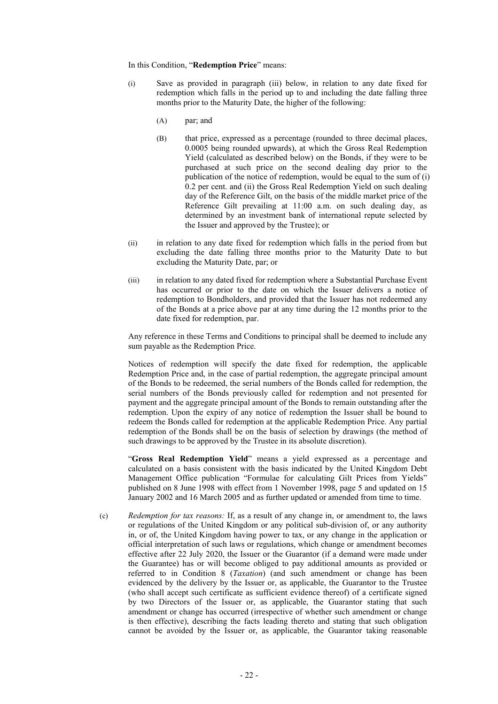In this Condition, "**Redemption Price**" means:

- (i) Save as provided in paragraph (iii) below, in relation to any date fixed for redemption which falls in the period up to and including the date falling three months prior to the Maturity Date, the higher of the following:
	- (A) par; and
	- (B) that price, expressed as a percentage (rounded to three decimal places, 0.0005 being rounded upwards), at which the Gross Real Redemption Yield (calculated as described below) on the Bonds, if they were to be purchased at such price on the second dealing day prior to the publication of the notice of redemption, would be equal to the sum of (i) 0.2 per cent. and (ii) the Gross Real Redemption Yield on such dealing day of the Reference Gilt, on the basis of the middle market price of the Reference Gilt prevailing at 11:00 a.m. on such dealing day, as determined by an investment bank of international repute selected by the Issuer and approved by the Trustee); or
- (ii) in relation to any date fixed for redemption which falls in the period from but excluding the date falling three months prior to the Maturity Date to but excluding the Maturity Date, par; or
- (iii) in relation to any dated fixed for redemption where a Substantial Purchase Event has occurred or prior to the date on which the Issuer delivers a notice of redemption to Bondholders, and provided that the Issuer has not redeemed any of the Bonds at a price above par at any time during the 12 months prior to the date fixed for redemption, par.

Any reference in these Terms and Conditions to principal shall be deemed to include any sum payable as the Redemption Price.

Notices of redemption will specify the date fixed for redemption, the applicable Redemption Price and, in the case of partial redemption, the aggregate principal amount of the Bonds to be redeemed, the serial numbers of the Bonds called for redemption, the serial numbers of the Bonds previously called for redemption and not presented for payment and the aggregate principal amount of the Bonds to remain outstanding after the redemption. Upon the expiry of any notice of redemption the Issuer shall be bound to redeem the Bonds called for redemption at the applicable Redemption Price. Any partial redemption of the Bonds shall be on the basis of selection by drawings (the method of such drawings to be approved by the Trustee in its absolute discretion).

"**Gross Real Redemption Yield**" means a yield expressed as a percentage and calculated on a basis consistent with the basis indicated by the United Kingdom Debt Management Office publication "Formulae for calculating Gilt Prices from Yields" published on 8 June 1998 with effect from 1 November 1998, page 5 and updated on 15 January 2002 and 16 March 2005 and as further updated or amended from time to time.

(c) *Redemption for tax reasons:* If, as a result of any change in, or amendment to, the laws or regulations of the United Kingdom or any political sub-division of, or any authority in, or of, the United Kingdom having power to tax, or any change in the application or official interpretation of such laws or regulations, which change or amendment becomes effective after 22 July 2020, the Issuer or the Guarantor (if a demand were made under the Guarantee) has or will become obliged to pay additional amounts as provided or referred to in Condition 8 (*Taxation*) (and such amendment or change has been evidenced by the delivery by the Issuer or, as applicable, the Guarantor to the Trustee (who shall accept such certificate as sufficient evidence thereof) of a certificate signed by two Directors of the Issuer or, as applicable, the Guarantor stating that such amendment or change has occurred (irrespective of whether such amendment or change is then effective), describing the facts leading thereto and stating that such obligation cannot be avoided by the Issuer or, as applicable, the Guarantor taking reasonable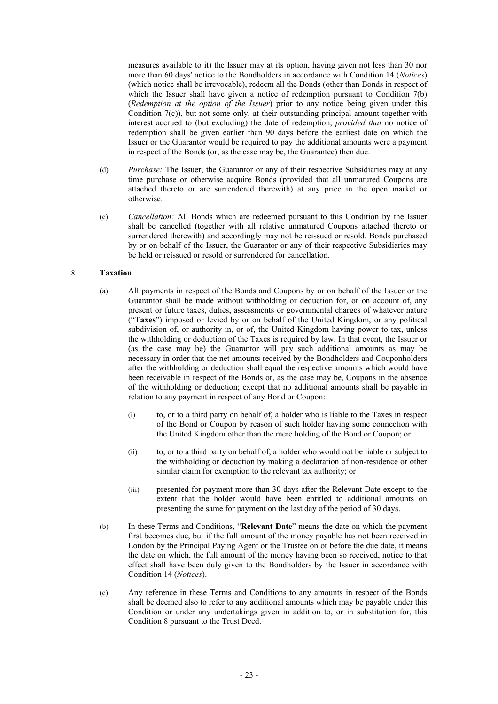measures available to it) the Issuer may at its option, having given not less than 30 nor more than 60 days' notice to the Bondholders in accordance with Condition 14 (*Notices*) (which notice shall be irrevocable), redeem all the Bonds (other than Bonds in respect of which the Issuer shall have given a notice of redemption pursuant to Condition 7(b) (*Redemption at the option of the Issuer*) prior to any notice being given under this Condition 7(c)), but not some only, at their outstanding principal amount together with interest accrued to (but excluding) the date of redemption, *provided that* no notice of redemption shall be given earlier than 90 days before the earliest date on which the Issuer or the Guarantor would be required to pay the additional amounts were a payment in respect of the Bonds (or, as the case may be, the Guarantee) then due.

- (d) *Purchase:* The Issuer, the Guarantor or any of their respective Subsidiaries may at any time purchase or otherwise acquire Bonds (provided that all unmatured Coupons are attached thereto or are surrendered therewith) at any price in the open market or otherwise.
- (e) *Cancellation:* All Bonds which are redeemed pursuant to this Condition by the Issuer shall be cancelled (together with all relative unmatured Coupons attached thereto or surrendered therewith) and accordingly may not be reissued or resold. Bonds purchased by or on behalf of the Issuer, the Guarantor or any of their respective Subsidiaries may be held or reissued or resold or surrendered for cancellation.

## 8. **Taxation**

- (a) All payments in respect of the Bonds and Coupons by or on behalf of the Issuer or the Guarantor shall be made without withholding or deduction for, or on account of, any present or future taxes, duties, assessments or governmental charges of whatever nature ("**Taxes**") imposed or levied by or on behalf of the United Kingdom, or any political subdivision of, or authority in, or of, the United Kingdom having power to tax, unless the withholding or deduction of the Taxes is required by law. In that event, the Issuer or (as the case may be) the Guarantor will pay such additional amounts as may be necessary in order that the net amounts received by the Bondholders and Couponholders after the withholding or deduction shall equal the respective amounts which would have been receivable in respect of the Bonds or, as the case may be, Coupons in the absence of the withholding or deduction; except that no additional amounts shall be payable in relation to any payment in respect of any Bond or Coupon:
	- (i) to, or to a third party on behalf of, a holder who is liable to the Taxes in respect of the Bond or Coupon by reason of such holder having some connection with the United Kingdom other than the mere holding of the Bond or Coupon; or
	- (ii) to, or to a third party on behalf of, a holder who would not be liable or subject to the withholding or deduction by making a declaration of non-residence or other similar claim for exemption to the relevant tax authority; or
	- (iii) presented for payment more than 30 days after the Relevant Date except to the extent that the holder would have been entitled to additional amounts on presenting the same for payment on the last day of the period of 30 days.
- (b) In these Terms and Conditions, "**Relevant Date**" means the date on which the payment first becomes due, but if the full amount of the money payable has not been received in London by the Principal Paying Agent or the Trustee on or before the due date, it means the date on which, the full amount of the money having been so received, notice to that effect shall have been duly given to the Bondholders by the Issuer in accordance with Condition 14 (*Notices*).
- (c) Any reference in these Terms and Conditions to any amounts in respect of the Bonds shall be deemed also to refer to any additional amounts which may be payable under this Condition or under any undertakings given in addition to, or in substitution for, this Condition 8 pursuant to the Trust Deed.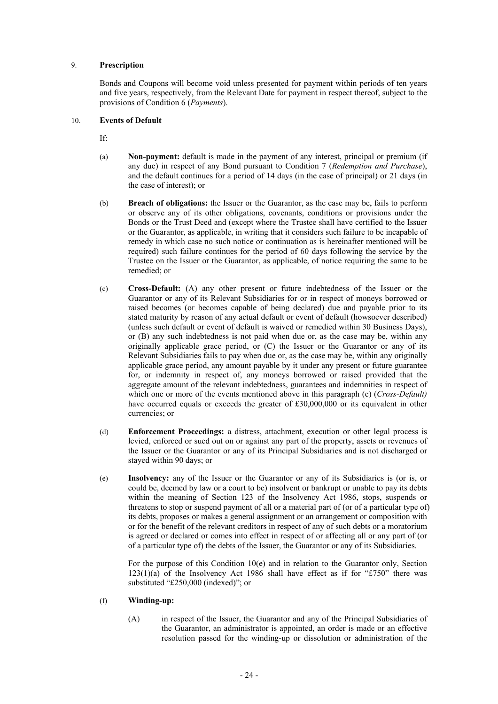## 9. **Prescription**

Bonds and Coupons will become void unless presented for payment within periods of ten years and five years, respectively, from the Relevant Date for payment in respect thereof, subject to the provisions of Condition 6 (*Payments*).

## 10. **Events of Default**

If:

- (a) **Non-payment:** default is made in the payment of any interest, principal or premium (if any due) in respect of any Bond pursuant to Condition 7 (*Redemption and Purchase*), and the default continues for a period of 14 days (in the case of principal) or 21 days (in the case of interest); or
- (b) **Breach of obligations:** the Issuer or the Guarantor, as the case may be, fails to perform or observe any of its other obligations, covenants, conditions or provisions under the Bonds or the Trust Deed and (except where the Trustee shall have certified to the Issuer or the Guarantor, as applicable, in writing that it considers such failure to be incapable of remedy in which case no such notice or continuation as is hereinafter mentioned will be required) such failure continues for the period of 60 days following the service by the Trustee on the Issuer or the Guarantor, as applicable, of notice requiring the same to be remedied; or
- (c) **Cross-Default:** (A) any other present or future indebtedness of the Issuer or the Guarantor or any of its Relevant Subsidiaries for or in respect of moneys borrowed or raised becomes (or becomes capable of being declared) due and payable prior to its stated maturity by reason of any actual default or event of default (howsoever described) (unless such default or event of default is waived or remedied within 30 Business Days), or (B) any such indebtedness is not paid when due or, as the case may be, within any originally applicable grace period, or (C) the Issuer or the Guarantor or any of its Relevant Subsidiaries fails to pay when due or, as the case may be, within any originally applicable grace period, any amount payable by it under any present or future guarantee for, or indemnity in respect of, any moneys borrowed or raised provided that the aggregate amount of the relevant indebtedness, guarantees and indemnities in respect of which one or more of the events mentioned above in this paragraph (c) (*Cross-Default*) have occurred equals or exceeds the greater of £30,000,000 or its equivalent in other currencies; or
- (d) **Enforcement Proceedings:** a distress, attachment, execution or other legal process is levied, enforced or sued out on or against any part of the property, assets or revenues of the Issuer or the Guarantor or any of its Principal Subsidiaries and is not discharged or stayed within 90 days; or
- (e) **Insolvency:** any of the Issuer or the Guarantor or any of its Subsidiaries is (or is, or could be, deemed by law or a court to be) insolvent or bankrupt or unable to pay its debts within the meaning of Section 123 of the Insolvency Act 1986, stops, suspends or threatens to stop or suspend payment of all or a material part of (or of a particular type of) its debts, proposes or makes a general assignment or an arrangement or composition with or for the benefit of the relevant creditors in respect of any of such debts or a moratorium is agreed or declared or comes into effect in respect of or affecting all or any part of (or of a particular type of) the debts of the Issuer, the Guarantor or any of its Subsidiaries.

For the purpose of this Condition 10(e) and in relation to the Guarantor only, Section  $123(1)(a)$  of the Insolvency Act 1986 shall have effect as if for "£750" there was substituted "£250,000 (indexed)"; or

## (f) **Winding-up:**

(A) in respect of the Issuer, the Guarantor and any of the Principal Subsidiaries of the Guarantor, an administrator is appointed, an order is made or an effective resolution passed for the winding-up or dissolution or administration of the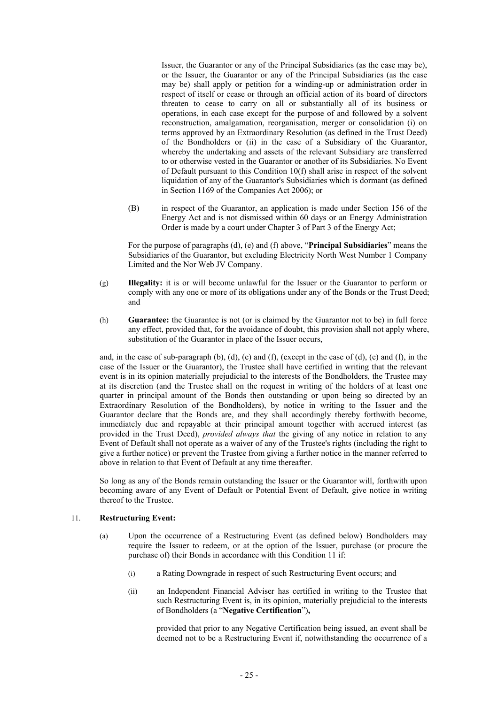Issuer, the Guarantor or any of the Principal Subsidiaries (as the case may be), or the Issuer, the Guarantor or any of the Principal Subsidiaries (as the case may be) shall apply or petition for a winding-up or administration order in respect of itself or cease or through an official action of its board of directors threaten to cease to carry on all or substantially all of its business or operations, in each case except for the purpose of and followed by a solvent reconstruction, amalgamation, reorganisation, merger or consolidation (i) on terms approved by an Extraordinary Resolution (as defined in the Trust Deed) of the Bondholders or (ii) in the case of a Subsidiary of the Guarantor, whereby the undertaking and assets of the relevant Subsidiary are transferred to or otherwise vested in the Guarantor or another of its Subsidiaries. No Event of Default pursuant to this Condition 10(f) shall arise in respect of the solvent liquidation of any of the Guarantor's Subsidiaries which is dormant (as defined in Section 1169 of the Companies Act 2006); or

(B) in respect of the Guarantor, an application is made under Section 156 of the Energy Act and is not dismissed within 60 days or an Energy Administration Order is made by a court under Chapter 3 of Part 3 of the Energy Act;

For the purpose of paragraphs (d), (e) and (f) above, "**Principal Subsidiaries**" means the Subsidiaries of the Guarantor, but excluding Electricity North West Number 1 Company Limited and the Nor Web JV Company.

- (g) **Illegality:** it is or will become unlawful for the Issuer or the Guarantor to perform or comply with any one or more of its obligations under any of the Bonds or the Trust Deed; and
- (h) **Guarantee:** the Guarantee is not (or is claimed by the Guarantor not to be) in full force any effect, provided that, for the avoidance of doubt, this provision shall not apply where, substitution of the Guarantor in place of the Issuer occurs,

and, in the case of sub-paragraph (b), (d), (e) and (f), (except in the case of (d), (e) and (f), in the case of the Issuer or the Guarantor), the Trustee shall have certified in writing that the relevant event is in its opinion materially prejudicial to the interests of the Bondholders, the Trustee may at its discretion (and the Trustee shall on the request in writing of the holders of at least one quarter in principal amount of the Bonds then outstanding or upon being so directed by an Extraordinary Resolution of the Bondholders), by notice in writing to the Issuer and the Guarantor declare that the Bonds are, and they shall accordingly thereby forthwith become, immediately due and repayable at their principal amount together with accrued interest (as provided in the Trust Deed), *provided always that* the giving of any notice in relation to any Event of Default shall not operate as a waiver of any of the Trustee's rights (including the right to give a further notice) or prevent the Trustee from giving a further notice in the manner referred to above in relation to that Event of Default at any time thereafter.

So long as any of the Bonds remain outstanding the Issuer or the Guarantor will, forthwith upon becoming aware of any Event of Default or Potential Event of Default, give notice in writing thereof to the Trustee.

## 11. **Restructuring Event:**

- (a) Upon the occurrence of a Restructuring Event (as defined below) Bondholders may require the Issuer to redeem, or at the option of the Issuer, purchase (or procure the purchase of) their Bonds in accordance with this Condition 11 if:
	- (i) a Rating Downgrade in respect of such Restructuring Event occurs; and
	- (ii) an Independent Financial Adviser has certified in writing to the Trustee that such Restructuring Event is, in its opinion, materially prejudicial to the interests of Bondholders (a "**Negative Certification**")**,**

provided that prior to any Negative Certification being issued, an event shall be deemed not to be a Restructuring Event if, notwithstanding the occurrence of a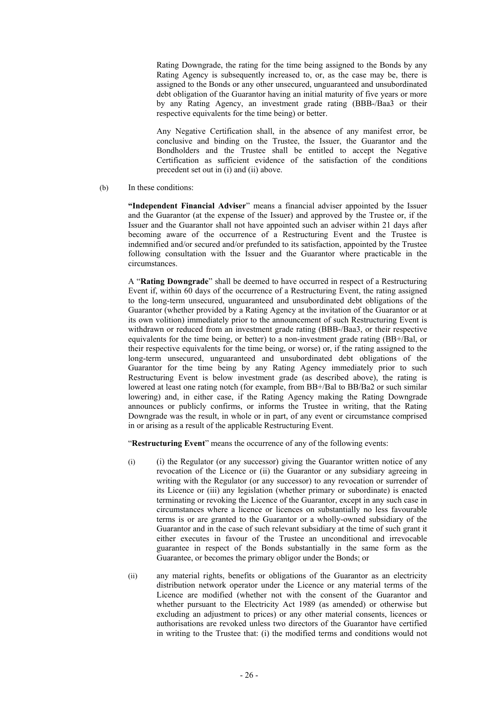Rating Downgrade, the rating for the time being assigned to the Bonds by any Rating Agency is subsequently increased to, or, as the case may be, there is assigned to the Bonds or any other unsecured, unguaranteed and unsubordinated debt obligation of the Guarantor having an initial maturity of five years or more by any Rating Agency, an investment grade rating (BBB-/Baa3 or their respective equivalents for the time being) or better.

Any Negative Certification shall, in the absence of any manifest error, be conclusive and binding on the Trustee, the Issuer, the Guarantor and the Bondholders and the Trustee shall be entitled to accept the Negative Certification as sufficient evidence of the satisfaction of the conditions precedent set out in (i) and (ii) above.

(b) In these conditions:

**"Independent Financial Adviser**" means a financial adviser appointed by the Issuer and the Guarantor (at the expense of the Issuer) and approved by the Trustee or, if the Issuer and the Guarantor shall not have appointed such an adviser within 21 days after becoming aware of the occurrence of a Restructuring Event and the Trustee is indemnified and/or secured and/or prefunded to its satisfaction, appointed by the Trustee following consultation with the Issuer and the Guarantor where practicable in the circumstances.

A "**Rating Downgrade**" shall be deemed to have occurred in respect of a Restructuring Event if, within 60 days of the occurrence of a Restructuring Event, the rating assigned to the long-term unsecured, unguaranteed and unsubordinated debt obligations of the Guarantor (whether provided by a Rating Agency at the invitation of the Guarantor or at its own volition) immediately prior to the announcement of such Restructuring Event is withdrawn or reduced from an investment grade rating (BBB-/Baa3, or their respective equivalents for the time being, or better) to a non-investment grade rating (BB+/Bal, or their respective equivalents for the time being, or worse) or, if the rating assigned to the long-term unsecured, unguaranteed and unsubordinated debt obligations of the Guarantor for the time being by any Rating Agency immediately prior to such Restructuring Event is below investment grade (as described above), the rating is lowered at least one rating notch (for example, from BB+/Bal to BB/Ba2 or such similar lowering) and, in either case, if the Rating Agency making the Rating Downgrade announces or publicly confirms, or informs the Trustee in writing, that the Rating Downgrade was the result, in whole or in part, of any event or circumstance comprised in or arising as a result of the applicable Restructuring Event.

"**Restructuring Event**" means the occurrence of any of the following events:

- (i) (i) the Regulator (or any successor) giving the Guarantor written notice of any revocation of the Licence or (ii) the Guarantor or any subsidiary agreeing in writing with the Regulator (or any successor) to any revocation or surrender of its Licence or (iii) any legislation (whether primary or subordinate) is enacted terminating or revoking the Licence of the Guarantor, except in any such case in circumstances where a licence or licences on substantially no less favourable terms is or are granted to the Guarantor or a wholly-owned subsidiary of the Guarantor and in the case of such relevant subsidiary at the time of such grant it either executes in favour of the Trustee an unconditional and irrevocable guarantee in respect of the Bonds substantially in the same form as the Guarantee, or becomes the primary obligor under the Bonds; or
- (ii) any material rights, benefits or obligations of the Guarantor as an electricity distribution network operator under the Licence or any material terms of the Licence are modified (whether not with the consent of the Guarantor and whether pursuant to the Electricity Act 1989 (as amended) or otherwise but excluding an adjustment to prices) or any other material consents, licences or authorisations are revoked unless two directors of the Guarantor have certified in writing to the Trustee that: (i) the modified terms and conditions would not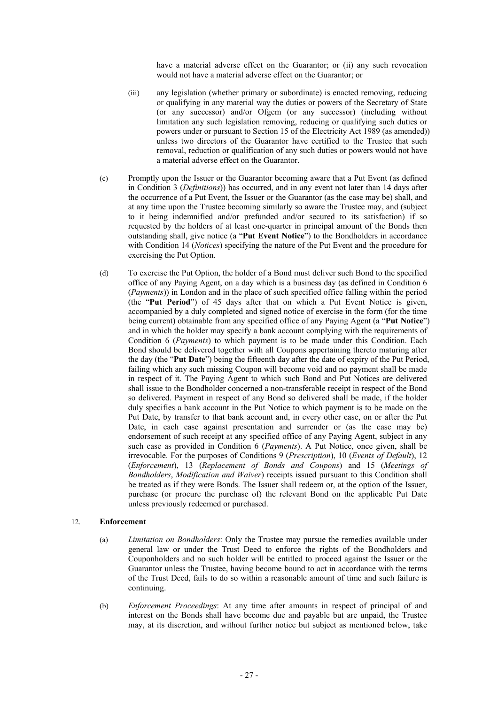have a material adverse effect on the Guarantor; or (ii) any such revocation would not have a material adverse effect on the Guarantor; or

- (iii) any legislation (whether primary or subordinate) is enacted removing, reducing or qualifying in any material way the duties or powers of the Secretary of State (or any successor) and/or Ofgem (or any successor) (including without limitation any such legislation removing, reducing or qualifying such duties or powers under or pursuant to Section 15 of the Electricity Act 1989 (as amended)) unless two directors of the Guarantor have certified to the Trustee that such removal, reduction or qualification of any such duties or powers would not have a material adverse effect on the Guarantor.
- (c) Promptly upon the Issuer or the Guarantor becoming aware that a Put Event (as defined in Condition 3 (*Definitions*)) has occurred, and in any event not later than 14 days after the occurrence of a Put Event, the Issuer or the Guarantor (as the case may be) shall, and at any time upon the Trustee becoming similarly so aware the Trustee may, and (subject to it being indemnified and/or prefunded and/or secured to its satisfaction) if so requested by the holders of at least one-quarter in principal amount of the Bonds then outstanding shall, give notice (a "**Put Event Notice**") to the Bondholders in accordance with Condition 14 (*Notices*) specifying the nature of the Put Event and the procedure for exercising the Put Option.
- (d) To exercise the Put Option, the holder of a Bond must deliver such Bond to the specified office of any Paying Agent, on a day which is a business day (as defined in Condition 6 (*Payments*)) in London and in the place of such specified office falling within the period (the "**Put Period**") of 45 days after that on which a Put Event Notice is given, accompanied by a duly completed and signed notice of exercise in the form (for the time being current) obtainable from any specified office of any Paying Agent (a "**Put Notice**") and in which the holder may specify a bank account complying with the requirements of Condition 6 (*Payments*) to which payment is to be made under this Condition. Each Bond should be delivered together with all Coupons appertaining thereto maturing after the day (the "**Put Date**") being the fifteenth day after the date of expiry of the Put Period, failing which any such missing Coupon will become void and no payment shall be made in respect of it. The Paying Agent to which such Bond and Put Notices are delivered shall issue to the Bondholder concerned a non-transferable receipt in respect of the Bond so delivered. Payment in respect of any Bond so delivered shall be made, if the holder duly specifies a bank account in the Put Notice to which payment is to be made on the Put Date, by transfer to that bank account and, in every other case, on or after the Put Date, in each case against presentation and surrender or (as the case may be) endorsement of such receipt at any specified office of any Paying Agent, subject in any such case as provided in Condition 6 (*Payments*). A Put Notice, once given, shall be irrevocable. For the purposes of Conditions 9 (*Prescription*), 10 (*Events of Default*), 12 (*Enforcement*), 13 (*Replacement of Bonds and Coupons*) and 15 (*Meetings of Bondholders*, *Modification and Waiver*) receipts issued pursuant to this Condition shall be treated as if they were Bonds. The Issuer shall redeem or, at the option of the Issuer, purchase (or procure the purchase of) the relevant Bond on the applicable Put Date unless previously redeemed or purchased.

## 12. **Enforcement**

- (a) *Limitation on Bondholders*: Only the Trustee may pursue the remedies available under general law or under the Trust Deed to enforce the rights of the Bondholders and Couponholders and no such holder will be entitled to proceed against the Issuer or the Guarantor unless the Trustee, having become bound to act in accordance with the terms of the Trust Deed, fails to do so within a reasonable amount of time and such failure is continuing.
- (b) *Enforcement Proceedings*: At any time after amounts in respect of principal of and interest on the Bonds shall have become due and payable but are unpaid, the Trustee may, at its discretion, and without further notice but subject as mentioned below, take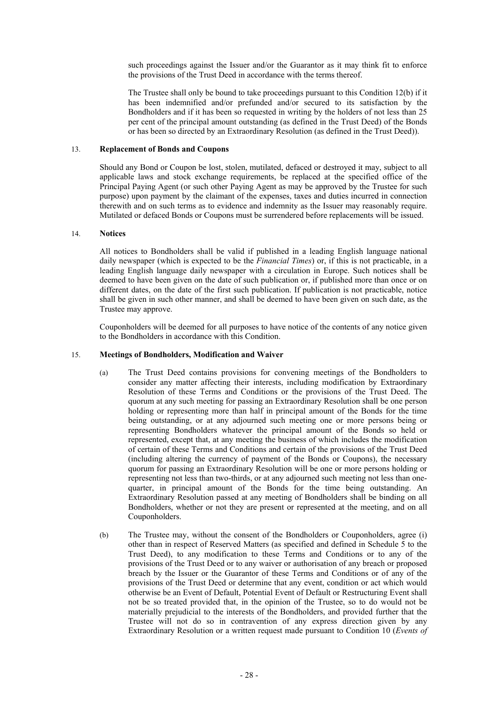such proceedings against the Issuer and/or the Guarantor as it may think fit to enforce the provisions of the Trust Deed in accordance with the terms thereof.

The Trustee shall only be bound to take proceedings pursuant to this Condition 12(b) if it has been indemnified and/or prefunded and/or secured to its satisfaction by the Bondholders and if it has been so requested in writing by the holders of not less than 25 per cent of the principal amount outstanding (as defined in the Trust Deed) of the Bonds or has been so directed by an Extraordinary Resolution (as defined in the Trust Deed)).

#### 13. **Replacement of Bonds and Coupons**

Should any Bond or Coupon be lost, stolen, mutilated, defaced or destroyed it may, subject to all applicable laws and stock exchange requirements, be replaced at the specified office of the Principal Paying Agent (or such other Paying Agent as may be approved by the Trustee for such purpose) upon payment by the claimant of the expenses, taxes and duties incurred in connection therewith and on such terms as to evidence and indemnity as the Issuer may reasonably require. Mutilated or defaced Bonds or Coupons must be surrendered before replacements will be issued.

## 14. **Notices**

All notices to Bondholders shall be valid if published in a leading English language national daily newspaper (which is expected to be the *Financial Times*) or, if this is not practicable, in a leading English language daily newspaper with a circulation in Europe. Such notices shall be deemed to have been given on the date of such publication or, if published more than once or on different dates, on the date of the first such publication. If publication is not practicable, notice shall be given in such other manner, and shall be deemed to have been given on such date, as the Trustee may approve.

Couponholders will be deemed for all purposes to have notice of the contents of any notice given to the Bondholders in accordance with this Condition.

## 15. **Meetings of Bondholders, Modification and Waiver**

- (a) The Trust Deed contains provisions for convening meetings of the Bondholders to consider any matter affecting their interests, including modification by Extraordinary Resolution of these Terms and Conditions or the provisions of the Trust Deed. The quorum at any such meeting for passing an Extraordinary Resolution shall be one person holding or representing more than half in principal amount of the Bonds for the time being outstanding, or at any adjourned such meeting one or more persons being or representing Bondholders whatever the principal amount of the Bonds so held or represented, except that, at any meeting the business of which includes the modification of certain of these Terms and Conditions and certain of the provisions of the Trust Deed (including altering the currency of payment of the Bonds or Coupons), the necessary quorum for passing an Extraordinary Resolution will be one or more persons holding or representing not less than two-thirds, or at any adjourned such meeting not less than onequarter, in principal amount of the Bonds for the time being outstanding. An Extraordinary Resolution passed at any meeting of Bondholders shall be binding on all Bondholders, whether or not they are present or represented at the meeting, and on all Couponholders.
- (b) The Trustee may, without the consent of the Bondholders or Couponholders, agree (i) other than in respect of Reserved Matters (as specified and defined in Schedule 5 to the Trust Deed), to any modification to these Terms and Conditions or to any of the provisions of the Trust Deed or to any waiver or authorisation of any breach or proposed breach by the Issuer or the Guarantor of these Terms and Conditions or of any of the provisions of the Trust Deed or determine that any event, condition or act which would otherwise be an Event of Default, Potential Event of Default or Restructuring Event shall not be so treated provided that, in the opinion of the Trustee, so to do would not be materially prejudicial to the interests of the Bondholders, and provided further that the Trustee will not do so in contravention of any express direction given by any Extraordinary Resolution or a written request made pursuant to Condition 10 (*Events of*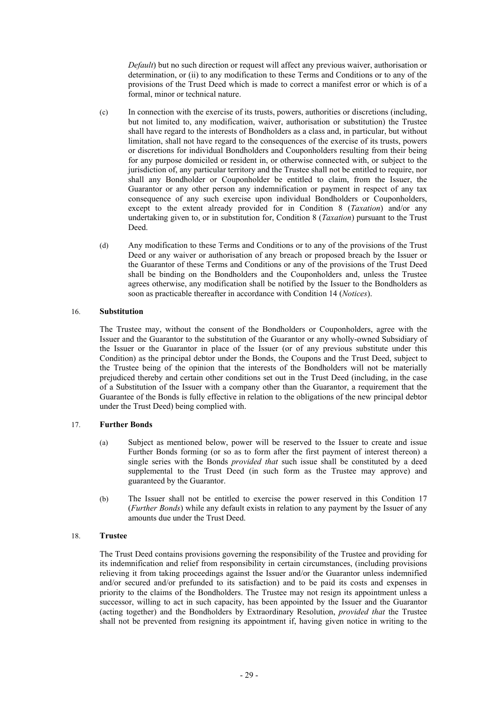*Default*) but no such direction or request will affect any previous waiver, authorisation or determination, or (ii) to any modification to these Terms and Conditions or to any of the provisions of the Trust Deed which is made to correct a manifest error or which is of a formal, minor or technical nature.

- (c) In connection with the exercise of its trusts, powers, authorities or discretions (including, but not limited to, any modification, waiver, authorisation or substitution) the Trustee shall have regard to the interests of Bondholders as a class and, in particular, but without limitation, shall not have regard to the consequences of the exercise of its trusts, powers or discretions for individual Bondholders and Couponholders resulting from their being for any purpose domiciled or resident in, or otherwise connected with, or subject to the jurisdiction of, any particular territory and the Trustee shall not be entitled to require, nor shall any Bondholder or Couponholder be entitled to claim, from the Issuer, the Guarantor or any other person any indemnification or payment in respect of any tax consequence of any such exercise upon individual Bondholders or Couponholders, except to the extent already provided for in Condition 8 (*Taxation*) and/or any undertaking given to, or in substitution for, Condition 8 (*Taxation*) pursuant to the Trust Deed.
- (d) Any modification to these Terms and Conditions or to any of the provisions of the Trust Deed or any waiver or authorisation of any breach or proposed breach by the Issuer or the Guarantor of these Terms and Conditions or any of the provisions of the Trust Deed shall be binding on the Bondholders and the Couponholders and, unless the Trustee agrees otherwise, any modification shall be notified by the Issuer to the Bondholders as soon as practicable thereafter in accordance with Condition 14 (*Notices*).

## 16. **Substitution**

The Trustee may, without the consent of the Bondholders or Couponholders, agree with the Issuer and the Guarantor to the substitution of the Guarantor or any wholly-owned Subsidiary of the Issuer or the Guarantor in place of the Issuer (or of any previous substitute under this Condition) as the principal debtor under the Bonds, the Coupons and the Trust Deed, subject to the Trustee being of the opinion that the interests of the Bondholders will not be materially prejudiced thereby and certain other conditions set out in the Trust Deed (including, in the case of a Substitution of the Issuer with a company other than the Guarantor, a requirement that the Guarantee of the Bonds is fully effective in relation to the obligations of the new principal debtor under the Trust Deed) being complied with.

#### 17. **Further Bonds**

- (a) Subject as mentioned below, power will be reserved to the Issuer to create and issue Further Bonds forming (or so as to form after the first payment of interest thereon) a single series with the Bonds *provided that* such issue shall be constituted by a deed supplemental to the Trust Deed (in such form as the Trustee may approve) and guaranteed by the Guarantor.
- (b) The Issuer shall not be entitled to exercise the power reserved in this Condition 17 (*Further Bonds*) while any default exists in relation to any payment by the Issuer of any amounts due under the Trust Deed.

## 18. **Trustee**

The Trust Deed contains provisions governing the responsibility of the Trustee and providing for its indemnification and relief from responsibility in certain circumstances, (including provisions relieving it from taking proceedings against the Issuer and/or the Guarantor unless indemnified and/or secured and/or prefunded to its satisfaction) and to be paid its costs and expenses in priority to the claims of the Bondholders. The Trustee may not resign its appointment unless a successor, willing to act in such capacity, has been appointed by the Issuer and the Guarantor (acting together) and the Bondholders by Extraordinary Resolution, *provided that* the Trustee shall not be prevented from resigning its appointment if, having given notice in writing to the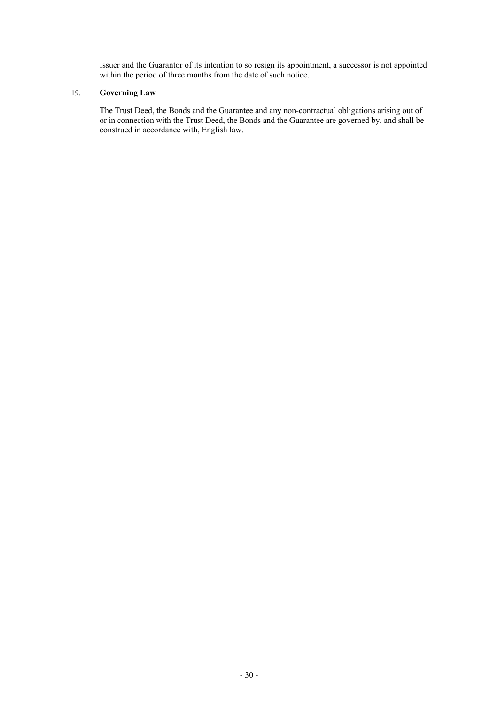Issuer and the Guarantor of its intention to so resign its appointment, a successor is not appointed within the period of three months from the date of such notice.

## 19. **Governing Law**

The Trust Deed, the Bonds and the Guarantee and any non-contractual obligations arising out of or in connection with the Trust Deed, the Bonds and the Guarantee are governed by, and shall be construed in accordance with, English law.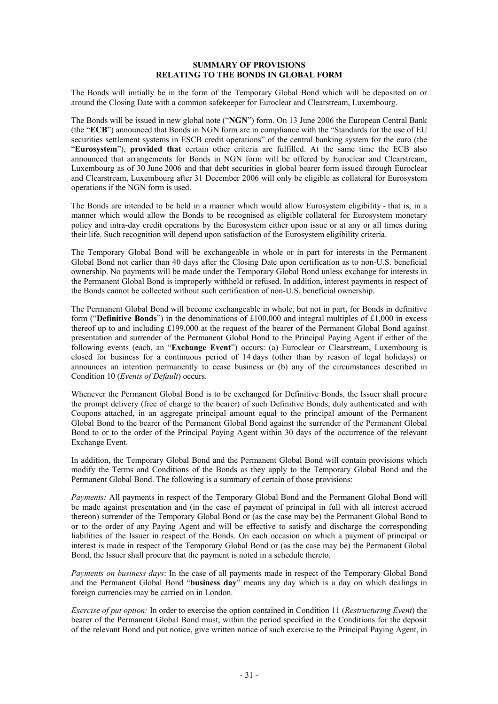## **SUMMARY OF PROVISIONS RELATING TO THE BONDS IN GLOBAL FORM**

The Bonds will initially be in the form of the Temporary Global Bond which will be deposited on or around the Closing Date with a common safekeeper for Euroclear and Clearstream, Luxembourg.

The Bonds will be issued in new global note ("**NGN**") form. On 13 June 2006 the European Central Bank (the "**ECB**") announced that Bonds in NGN form are in compliance with the "Standards for the use of EU securities settlement systems in ESCB credit operations" of the central banking system for the euro (the "**Eurosystem**"), **provided that** certain other criteria are fulfilled. At the same time the ECB also announced that arrangements for Bonds in NGN form will be offered by Euroclear and Clearstream, Luxembourg as of 30 June 2006 and that debt securities in global bearer form issued through Euroclear and Clearstream, Luxembourg after 31 December 2006 will only be eligible as collateral for Eurosystem operations if the NGN form is used.

The Bonds are intended to be held in a manner which would allow Eurosystem eligibility - that is, in a manner which would allow the Bonds to be recognised as eligible collateral for Eurosystem monetary policy and intra-day credit operations by the Eurosystem either upon issue or at any or all times during their life. Such recognition will depend upon satisfaction of the Eurosystem eligibility criteria.

The Temporary Global Bond will be exchangeable in whole or in part for interests in the Permanent Global Bond not earlier than 40 days after the Closing Date upon certification as to non-U.S. beneficial ownership. No payments will be made under the Temporary Global Bond unless exchange for interests in the Permanent Global Bond is improperly withheld or refused. In addition, interest payments in respect of the Bonds cannot be collected without such certification of non-U.S. beneficial ownership.

The Permanent Global Bond will become exchangeable in whole, but not in part, for Bonds in definitive form ("**Definitive Bonds**") in the denominations of £100,000 and integral multiples of £1,000 in excess thereof up to and including £199,000 at the request of the bearer of the Permanent Global Bond against presentation and surrender of the Permanent Global Bond to the Principal Paying Agent if either of the following events (each, an "**Exchange Event**") occurs: (a) Euroclear or Clearstream, Luxembourg is closed for business for a continuous period of 14 days (other than by reason of legal holidays) or announces an intention permanently to cease business or (b) any of the circumstances described in Condition 10 (*Events of Default*) occurs.

Whenever the Permanent Global Bond is to be exchanged for Definitive Bonds, the Issuer shall procure the prompt delivery (free of charge to the bearer) of such Definitive Bonds, duly authenticated and with Coupons attached, in an aggregate principal amount equal to the principal amount of the Permanent Global Bond to the bearer of the Permanent Global Bond against the surrender of the Permanent Global Bond to or to the order of the Principal Paying Agent within 30 days of the occurrence of the relevant Exchange Event.

In addition, the Temporary Global Bond and the Permanent Global Bond will contain provisions which modify the Terms and Conditions of the Bonds as they apply to the Temporary Global Bond and the Permanent Global Bond. The following is a summary of certain of those provisions:

*Payments:* All payments in respect of the Temporary Global Bond and the Permanent Global Bond will be made against presentation and (in the case of payment of principal in full with all interest accrued thereon) surrender of the Temporary Global Bond or (as the case may be) the Permanent Global Bond to or to the order of any Paying Agent and will be effective to satisfy and discharge the corresponding liabilities of the Issuer in respect of the Bonds. On each occasion on which a payment of principal or interest is made in respect of the Temporary Global Bond or (as the case may be) the Permanent Global Bond, the Issuer shall procure that the payment is noted in a schedule thereto.

*Payments on business days*: In the case of all payments made in respect of the Temporary Global Bond and the Permanent Global Bond "**business day**" means any day which is a day on which dealings in foreign currencies may be carried on in London.

*Exercise of put option:* In order to exercise the option contained in Condition 11 (*Restructuring Event*) the bearer of the Permanent Global Bond must, within the period specified in the Conditions for the deposit of the relevant Bond and put notice, give written notice of such exercise to the Principal Paying Agent, in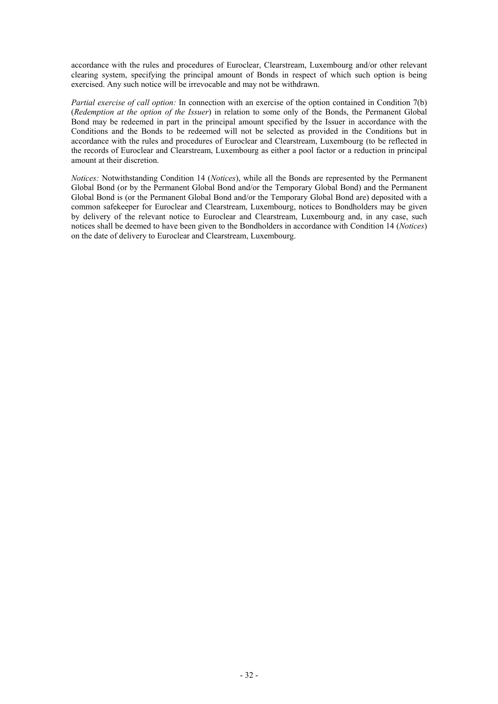accordance with the rules and procedures of Euroclear, Clearstream, Luxembourg and/or other relevant clearing system, specifying the principal amount of Bonds in respect of which such option is being exercised. Any such notice will be irrevocable and may not be withdrawn.

*Partial exercise of call option:* In connection with an exercise of the option contained in Condition 7(b) (*Redemption at the option of the Issuer*) in relation to some only of the Bonds, the Permanent Global Bond may be redeemed in part in the principal amount specified by the Issuer in accordance with the Conditions and the Bonds to be redeemed will not be selected as provided in the Conditions but in accordance with the rules and procedures of Euroclear and Clearstream, Luxembourg (to be reflected in the records of Euroclear and Clearstream, Luxembourg as either a pool factor or a reduction in principal amount at their discretion.

*Notices:* Notwithstanding Condition 14 (*Notices*), while all the Bonds are represented by the Permanent Global Bond (or by the Permanent Global Bond and/or the Temporary Global Bond) and the Permanent Global Bond is (or the Permanent Global Bond and/or the Temporary Global Bond are) deposited with a common safekeeper for Euroclear and Clearstream, Luxembourg, notices to Bondholders may be given by delivery of the relevant notice to Euroclear and Clearstream, Luxembourg and, in any case, such notices shall be deemed to have been given to the Bondholders in accordance with Condition 14 (*Notices*) on the date of delivery to Euroclear and Clearstream, Luxembourg.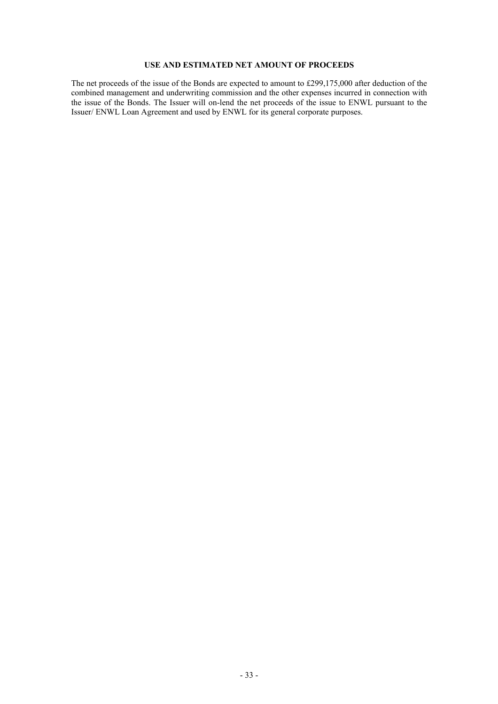## **USE AND ESTIMATED NET AMOUNT OF PROCEEDS**

The net proceeds of the issue of the Bonds are expected to amount to £299,175,000 after deduction of the combined management and underwriting commission and the other expenses incurred in connection with the issue of the Bonds. The Issuer will on-lend the net proceeds of the issue to ENWL pursuant to the Issuer/ ENWL Loan Agreement and used by ENWL for its general corporate purposes.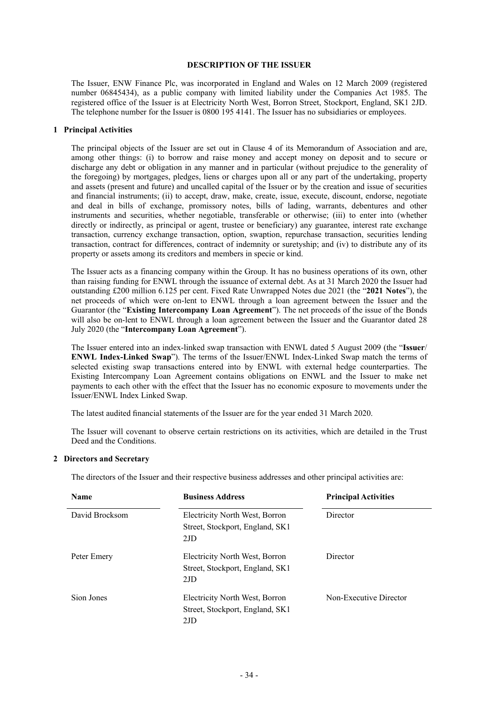#### **DESCRIPTION OF THE ISSUER**

The Issuer, ENW Finance Plc, was incorporated in England and Wales on 12 March 2009 (registered number 06845434), as a public company with limited liability under the Companies Act 1985. The registered office of the Issuer is at Electricity North West, Borron Street, Stockport, England, SK1 2JD. The telephone number for the Issuer is 0800 195 4141. The Issuer has no subsidiaries or employees.

#### **1 Principal Activities**

The principal objects of the Issuer are set out in Clause 4 of its Memorandum of Association and are, among other things: (i) to borrow and raise money and accept money on deposit and to secure or discharge any debt or obligation in any manner and in particular (without prejudice to the generality of the foregoing) by mortgages, pledges, liens or charges upon all or any part of the undertaking, property and assets (present and future) and uncalled capital of the Issuer or by the creation and issue of securities and financial instruments; (ii) to accept, draw, make, create, issue, execute, discount, endorse, negotiate and deal in bills of exchange, promissory notes, bills of lading, warrants, debentures and other instruments and securities, whether negotiable, transferable or otherwise; (iii) to enter into (whether directly or indirectly, as principal or agent, trustee or beneficiary) any guarantee, interest rate exchange transaction, currency exchange transaction, option, swaption, repurchase transaction, securities lending transaction, contract for differences, contract of indemnity or suretyship; and (iv) to distribute any of its property or assets among its creditors and members in specie or kind.

The Issuer acts as a financing company within the Group. It has no business operations of its own, other than raising funding for ENWL through the issuance of external debt. As at 31 March 2020 the Issuer had outstanding £200 million 6.125 per cent. Fixed Rate Unwrapped Notes due 2021 (the "**2021 Notes**"), the net proceeds of which were on-lent to ENWL through a loan agreement between the Issuer and the Guarantor (the "**Existing Intercompany Loan Agreement**"). The net proceeds of the issue of the Bonds will also be on-lent to ENWL through a loan agreement between the Issuer and the Guarantor dated 28 July 2020 (the "**Intercompany Loan Agreement**").

The Issuer entered into an index-linked swap transaction with ENWL dated 5 August 2009 (the "**Issuer**/ **ENWL Index-Linked Swap**"). The terms of the Issuer/ENWL Index-Linked Swap match the terms of selected existing swap transactions entered into by ENWL with external hedge counterparties. The Existing Intercompany Loan Agreement contains obligations on ENWL and the Issuer to make net payments to each other with the effect that the Issuer has no economic exposure to movements under the Issuer/ENWL Index Linked Swap.

The latest audited financial statements of the Issuer are for the year ended 31 March 2020.

The Issuer will covenant to observe certain restrictions on its activities, which are detailed in the Trust Deed and the Conditions.

#### **2 Directors and Secretary**

The directors of the Issuer and their respective business addresses and other principal activities are:

| <b>Name</b>    | <b>Business Address</b>                                                  | <b>Principal Activities</b> |
|----------------|--------------------------------------------------------------------------|-----------------------------|
| David Brocksom | Electricity North West, Borron<br>Street, Stockport, England, SK1<br>2JD | Director                    |
| Peter Emery    | Electricity North West, Borron<br>Street, Stockport, England, SK1<br>2JD | Director                    |
| Sion Jones     | Electricity North West, Borron<br>Street, Stockport, England, SK1<br>2JD | Non-Executive Director      |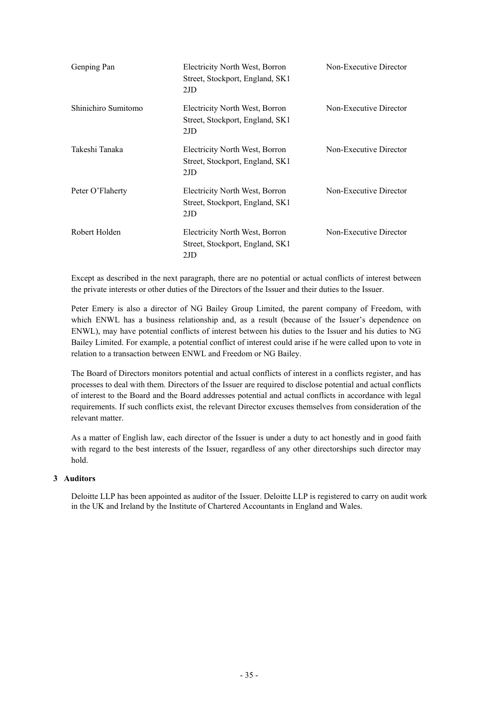| Genping Pan         | Electricity North West, Borron<br>Street, Stockport, England, SK1<br>2JD | Non-Executive Director |
|---------------------|--------------------------------------------------------------------------|------------------------|
| Shinichiro Sumitomo | Electricity North West, Borron<br>Street, Stockport, England, SK1<br>2JD | Non-Executive Director |
| Takeshi Tanaka      | Electricity North West, Borron<br>Street, Stockport, England, SK1<br>2JD | Non-Executive Director |
| Peter O'Flaherty    | Electricity North West, Borron<br>Street, Stockport, England, SK1<br>2JD | Non-Executive Director |
| Robert Holden       | Electricity North West, Borron<br>Street, Stockport, England, SK1<br>2JD | Non-Executive Director |

Except as described in the next paragraph, there are no potential or actual conflicts of interest between the private interests or other duties of the Directors of the Issuer and their duties to the Issuer.

Peter Emery is also a director of NG Bailey Group Limited, the parent company of Freedom, with which ENWL has a business relationship and, as a result (because of the Issuer's dependence on ENWL), may have potential conflicts of interest between his duties to the Issuer and his duties to NG Bailey Limited. For example, a potential conflict of interest could arise if he were called upon to vote in relation to a transaction between ENWL and Freedom or NG Bailey.

The Board of Directors monitors potential and actual conflicts of interest in a conflicts register, and has processes to deal with them. Directors of the Issuer are required to disclose potential and actual conflicts of interest to the Board and the Board addresses potential and actual conflicts in accordance with legal requirements. If such conflicts exist, the relevant Director excuses themselves from consideration of the relevant matter.

As a matter of English law, each director of the Issuer is under a duty to act honestly and in good faith with regard to the best interests of the Issuer, regardless of any other directorships such director may hold.

## **3 Auditors**

Deloitte LLP has been appointed as auditor of the Issuer. Deloitte LLP is registered to carry on audit work in the UK and Ireland by the Institute of Chartered Accountants in England and Wales.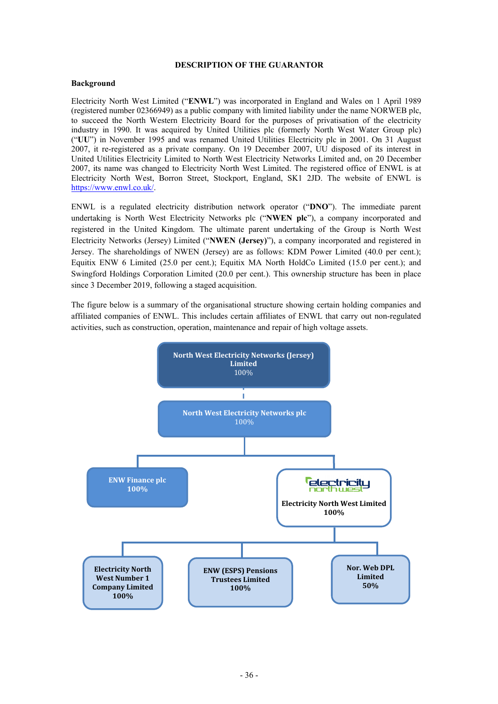## **DESCRIPTION OF THE GUARANTOR**

## **Background**

Electricity North West Limited ("**ENWL**") was incorporated in England and Wales on 1 April 1989 (registered number 02366949) as a public company with limited liability under the name NORWEB plc, to succeed the North Western Electricity Board for the purposes of privatisation of the electricity industry in 1990. It was acquired by United Utilities plc (formerly North West Water Group plc) ("**UU**") in November 1995 and was renamed United Utilities Electricity plc in 2001. On 31 August 2007, it re-registered as a private company. On 19 December 2007, UU disposed of its interest in United Utilities Electricity Limited to North West Electricity Networks Limited and, on 20 December 2007, its name was changed to Electricity North West Limited. The registered office of ENWL is at Electricity North West, Borron Street, Stockport, England, SK1 2JD. The website of ENWL is https://www.enwl.co.uk/.

ENWL is a regulated electricity distribution network operator ("**DNO**"). The immediate parent undertaking is North West Electricity Networks plc ("**NWEN plc**"), a company incorporated and registered in the United Kingdom. The ultimate parent undertaking of the Group is North West Electricity Networks (Jersey) Limited ("**NWEN (Jersey)**"), a company incorporated and registered in Jersey. The shareholdings of NWEN (Jersey) are as follows: KDM Power Limited (40.0 per cent.); Equitix ENW 6 Limited (25.0 per cent.); Equitix MA North HoldCo Limited (15.0 per cent.); and Swingford Holdings Corporation Limited (20.0 per cent.). This ownership structure has been in place since 3 December 2019, following a staged acquisition.

The figure below is a summary of the organisational structure showing certain holding companies and affiliated companies of ENWL. This includes certain affiliates of ENWL that carry out non-regulated activities, such as construction, operation, maintenance and repair of high voltage assets.

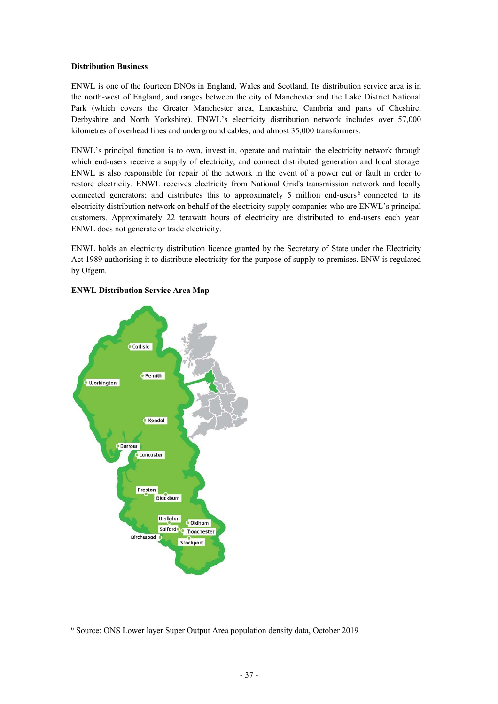## **Distribution Business**

ENWL is one of the fourteen DNOs in England, Wales and Scotland. Its distribution service area is in the north-west of England, and ranges between the city of Manchester and the Lake District National Park (which covers the Greater Manchester area, Lancashire, Cumbria and parts of Cheshire, Derbyshire and North Yorkshire). ENWL's electricity distribution network includes over 57,000 kilometres of overhead lines and underground cables, and almost 35,000 transformers.

ENWL's principal function is to own, invest in, operate and maintain the electricity network through which end-users receive a supply of electricity, and connect distributed generation and local storage. ENWL is also responsible for repair of the network in the event of a power cut or fault in order to restore electricity. ENWL receives electricity from National Grid's transmission network and locally connected generators; and distributes this to approximately 5 million end-users  $6$  connected to its electricity distribution network on behalf of the electricity supply companies who are ENWL's principal customers. Approximately 22 terawatt hours of electricity are distributed to end-users each year. ENWL does not generate or trade electricity.

ENWL holds an electricity distribution licence granted by the Secretary of State under the Electricity Act 1989 authorising it to distribute electricity for the purpose of supply to premises. ENW is regulated by Ofgem.



## **ENWL Distribution Service Area Map**

<sup>6</sup> Source: ONS Lower layer Super Output Area population density data, October 2019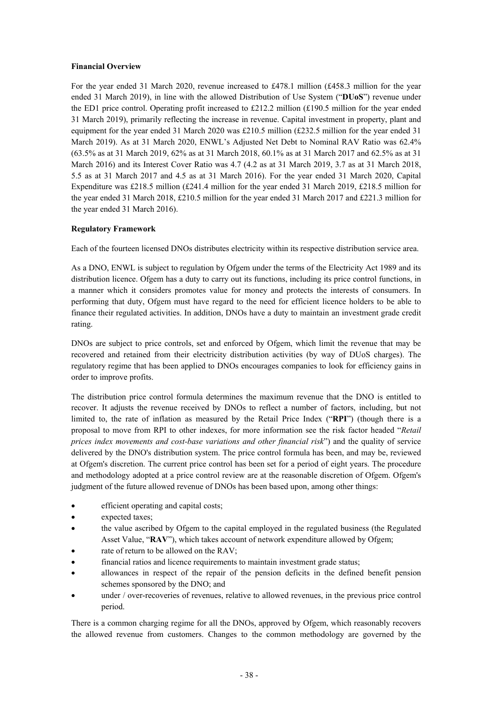## **Financial Overview**

For the year ended 31 March 2020, revenue increased to £478.1 million (£458.3 million for the year ended 31 March 2019), in line with the allowed Distribution of Use System ("**DUoS**") revenue under the ED1 price control. Operating profit increased to £212.2 million  $(f190.5 \text{ million for the year ended})$ 31 March 2019), primarily reflecting the increase in revenue. Capital investment in property, plant and equipment for the year ended 31 March 2020 was £210.5 million (£232.5 million for the year ended 31 March 2019). As at 31 March 2020, ENWL's Adjusted Net Debt to Nominal RAV Ratio was 62.4% (63.5% as at 31 March 2019, 62% as at 31 March 2018, 60.1% as at 31 March 2017 and 62.5% as at 31 March 2016) and its Interest Cover Ratio was 4.7 (4.2 as at 31 March 2019, 3.7 as at 31 March 2018, 5.5 as at 31 March 2017 and 4.5 as at 31 March 2016). For the year ended 31 March 2020, Capital Expenditure was £218.5 million (£241.4 million for the year ended 31 March 2019, £218.5 million for the year ended 31 March 2018, £210.5 million for the year ended 31 March 2017 and £221.3 million for the year ended 31 March 2016).

## **Regulatory Framework**

Each of the fourteen licensed DNOs distributes electricity within its respective distribution service area.

As a DNO, ENWL is subject to regulation by Ofgem under the terms of the Electricity Act 1989 and its distribution licence. Ofgem has a duty to carry out its functions, including its price control functions, in a manner which it considers promotes value for money and protects the interests of consumers. In performing that duty, Ofgem must have regard to the need for efficient licence holders to be able to finance their regulated activities. In addition, DNOs have a duty to maintain an investment grade credit rating.

DNOs are subject to price controls, set and enforced by Ofgem, which limit the revenue that may be recovered and retained from their electricity distribution activities (by way of DUoS charges). The regulatory regime that has been applied to DNOs encourages companies to look for efficiency gains in order to improve profits.

The distribution price control formula determines the maximum revenue that the DNO is entitled to recover. It adjusts the revenue received by DNOs to reflect a number of factors, including, but not limited to, the rate of inflation as measured by the Retail Price Index ("**RPI**") (though there is a proposal to move from RPI to other indexes, for more information see the risk factor headed "*Retail prices index movements and cost-base variations and other financial risk*") and the quality of service delivered by the DNO's distribution system. The price control formula has been, and may be, reviewed at Ofgem's discretion. The current price control has been set for a period of eight years. The procedure and methodology adopted at a price control review are at the reasonable discretion of Ofgem. Ofgem's judgment of the future allowed revenue of DNOs has been based upon, among other things:

- efficient operating and capital costs;
- expected taxes;
- the value ascribed by Ofgem to the capital employed in the regulated business (the Regulated Asset Value, "**RAV**"), which takes account of network expenditure allowed by Ofgem;
- rate of return to be allowed on the RAV;
- financial ratios and licence requirements to maintain investment grade status;
- allowances in respect of the repair of the pension deficits in the defined benefit pension schemes sponsored by the DNO; and
- under / over-recoveries of revenues, relative to allowed revenues, in the previous price control period.

There is a common charging regime for all the DNOs, approved by Ofgem, which reasonably recovers the allowed revenue from customers. Changes to the common methodology are governed by the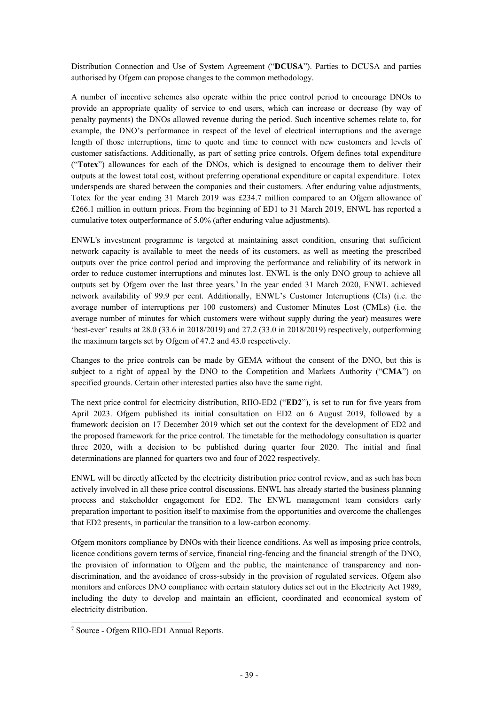Distribution Connection and Use of System Agreement ("**DCUSA**"). Parties to DCUSA and parties authorised by Ofgem can propose changes to the common methodology.

A number of incentive schemes also operate within the price control period to encourage DNOs to provide an appropriate quality of service to end users, which can increase or decrease (by way of penalty payments) the DNOs allowed revenue during the period. Such incentive schemes relate to, for example, the DNO's performance in respect of the level of electrical interruptions and the average length of those interruptions, time to quote and time to connect with new customers and levels of customer satisfactions. Additionally, as part of setting price controls, Ofgem defines total expenditure ("**Totex**") allowances for each of the DNOs, which is designed to encourage them to deliver their outputs at the lowest total cost, without preferring operational expenditure or capital expenditure. Totex underspends are shared between the companies and their customers. After enduring value adjustments, Totex for the year ending 31 March 2019 was £234.7 million compared to an Ofgem allowance of £266.1 million in outturn prices. From the beginning of ED1 to 31 March 2019, ENWL has reported a cumulative totex outperformance of 5.0% (after enduring value adjustments).

ENWL's investment programme is targeted at maintaining asset condition, ensuring that sufficient network capacity is available to meet the needs of its customers, as well as meeting the prescribed outputs over the price control period and improving the performance and reliability of its network in order to reduce customer interruptions and minutes lost. ENWL is the only DNO group to achieve all outputs set by Ofgem over the last three years.<sup>7</sup> In the year ended 31 March 2020, ENWL achieved network availability of 99.9 per cent. Additionally, ENWL's Customer Interruptions (CIs) (i.e. the average number of interruptions per 100 customers) and Customer Minutes Lost (CMLs) (i.e. the average number of minutes for which customers were without supply during the year) measures were 'best-ever' results at 28.0 (33.6 in 2018/2019) and 27.2 (33.0 in 2018/2019) respectively, outperforming the maximum targets set by Ofgem of 47.2 and 43.0 respectively.

Changes to the price controls can be made by GEMA without the consent of the DNO, but this is subject to a right of appeal by the DNO to the Competition and Markets Authority ("**CMA**") on specified grounds. Certain other interested parties also have the same right.

The next price control for electricity distribution, RIIO-ED2 ("**ED2**"), is set to run for five years from April 2023. Ofgem published its initial consultation on ED2 on 6 August 2019, followed by a framework decision on 17 December 2019 which set out the context for the development of ED2 and the proposed framework for the price control. The timetable for the methodology consultation is quarter three 2020, with a decision to be published during quarter four 2020. The initial and final determinations are planned for quarters two and four of 2022 respectively.

ENWL will be directly affected by the electricity distribution price control review, and as such has been actively involved in all these price control discussions. ENWL has already started the business planning process and stakeholder engagement for ED2. The ENWL management team considers early preparation important to position itself to maximise from the opportunities and overcome the challenges that ED2 presents, in particular the transition to a low-carbon economy.

Ofgem monitors compliance by DNOs with their licence conditions. As well as imposing price controls, licence conditions govern terms of service, financial ring-fencing and the financial strength of the DNO, the provision of information to Ofgem and the public, the maintenance of transparency and nondiscrimination, and the avoidance of cross-subsidy in the provision of regulated services. Ofgem also monitors and enforces DNO compliance with certain statutory duties set out in the Electricity Act 1989, including the duty to develop and maintain an efficient, coordinated and economical system of electricity distribution.

<sup>7</sup> Source - Ofgem RIIO-ED1 Annual Reports.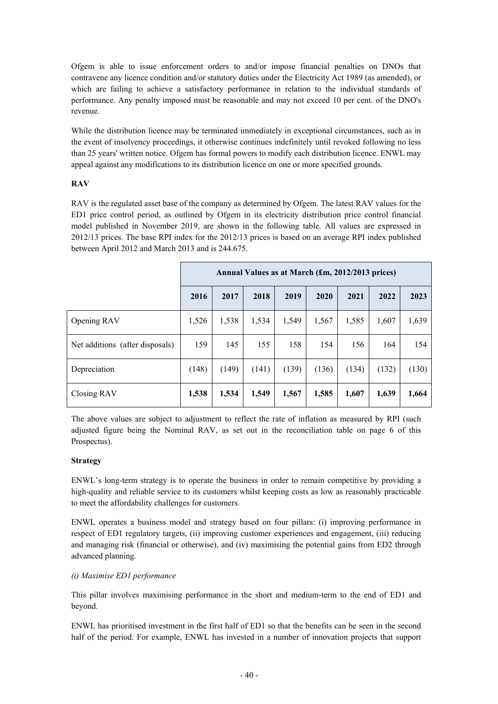Ofgem is able to issue enforcement orders to and/or impose financial penalties on DNOs that contravene any licence condition and/or statutory duties under the Electricity Act 1989 (as amended), or which are failing to achieve a satisfactory performance in relation to the individual standards of performance. Any penalty imposed must be reasonable and may not exceed 10 per cent. of the DNO's revenue.

While the distribution licence may be terminated immediately in exceptional circumstances, such as in the event of insolvency proceedings, it otherwise continues indefinitely until revoked following no less than 25 years' written notice. Ofgem has formal powers to modify each distribution licence. ENWL may appeal against any modifications to its distribution licence on one or more specified grounds.

## **RAV**

RAV is the regulated asset base of the company as determined by Ofgem. The latest RAV values for the ED1 price control period, as outlined by Ofgem in its electricity distribution price control financial model published in November 2019, are shown in the following table. All values are expressed in 2012/13 prices. The base RPI index for the 2012/13 prices is based on an average RPI index published between April 2012 and March 2013 and is 244.675.

|                                 | Annual Values as at March (£m, 2012/2013 prices) |       |       |       |       |       |       |       |
|---------------------------------|--------------------------------------------------|-------|-------|-------|-------|-------|-------|-------|
|                                 | 2016                                             | 2017  | 2018  | 2019  | 2020  | 2021  | 2022  | 2023  |
| Opening RAV                     | 1,526                                            | 1,538 | 1,534 | 1,549 | 1,567 | 1,585 | 1,607 | 1,639 |
| Net additions (after disposals) | 159                                              | 145   | 155   | 158   | 154   | 156   | 164   | 154   |
| Depreciation                    | (148)                                            | (149) | (141) | (139) | (136) | (134) | (132) | (130) |
| Closing RAV                     | 1,538                                            | 1,534 | 1,549 | 1,567 | 1,585 | 1,607 | 1,639 | 1,664 |

The above values are subject to adjustment to reflect the rate of inflation as measured by RPI (such adjusted figure being the Nominal RAV, as set out in the reconciliation table on page 6 of this Prospectus).

## **Strategy**

ENWL's long-term strategy is to operate the business in order to remain competitive by providing a high-quality and reliable service to its customers whilst keeping costs as low as reasonably practicable to meet the affordability challenges for customers.

ENWL operates a business model and strategy based on four pillars: (i) improving performance in respect of ED1 regulatory targets, (ii) improving customer experiences and engagement, (iii) reducing and managing risk (financial or otherwise), and (iv) maximising the potential gains from ED2 through advanced planning.

## *(i) Maximise ED1 performance*

This pillar involves maximising performance in the short and medium-term to the end of ED1 and beyond.

ENWL has prioritised investment in the first half of ED1 so that the benefits can be seen in the second half of the period. For example, ENWL has invested in a number of innovation projects that support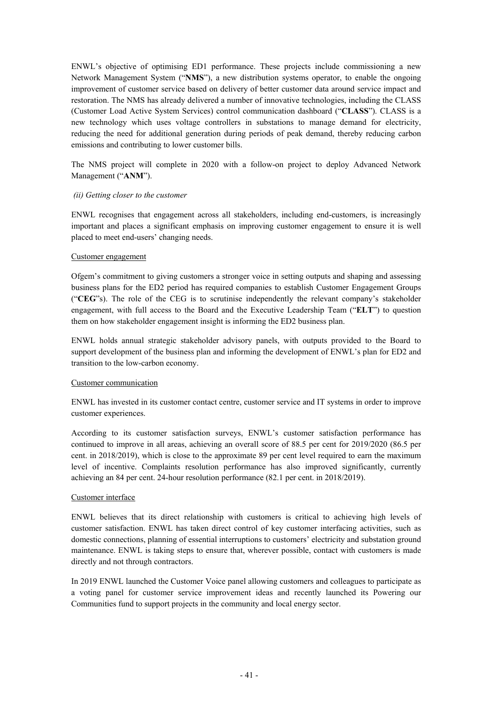ENWL's objective of optimising ED1 performance. These projects include commissioning a new Network Management System ("**NMS**"), a new distribution systems operator, to enable the ongoing improvement of customer service based on delivery of better customer data around service impact and restoration. The NMS has already delivered a number of innovative technologies, including the CLASS (Customer Load Active System Services) control communication dashboard ("**CLASS**"). CLASS is a new technology which uses voltage controllers in substations to manage demand for electricity, reducing the need for additional generation during periods of peak demand, thereby reducing carbon emissions and contributing to lower customer bills.

The NMS project will complete in 2020 with a follow-on project to deploy Advanced Network Management ("**ANM**").

## *(ii) Getting closer to the customer*

ENWL recognises that engagement across all stakeholders, including end-customers, is increasingly important and places a significant emphasis on improving customer engagement to ensure it is well placed to meet end-users' changing needs.

## Customer engagement

Ofgem's commitment to giving customers a stronger voice in setting outputs and shaping and assessing business plans for the ED2 period has required companies to establish Customer Engagement Groups ("**CEG**"s). The role of the CEG is to scrutinise independently the relevant company's stakeholder engagement, with full access to the Board and the Executive Leadership Team ("**ELT**") to question them on how stakeholder engagement insight is informing the ED2 business plan.

ENWL holds annual strategic stakeholder advisory panels, with outputs provided to the Board to support development of the business plan and informing the development of ENWL's plan for ED2 and transition to the low-carbon economy.

## Customer communication

ENWL has invested in its customer contact centre, customer service and IT systems in order to improve customer experiences.

According to its customer satisfaction surveys, ENWL's customer satisfaction performance has continued to improve in all areas, achieving an overall score of 88.5 per cent for 2019/2020 (86.5 per cent. in 2018/2019), which is close to the approximate 89 per cent level required to earn the maximum level of incentive. Complaints resolution performance has also improved significantly, currently achieving an 84 per cent. 24-hour resolution performance (82.1 per cent. in 2018/2019).

## Customer interface

ENWL believes that its direct relationship with customers is critical to achieving high levels of customer satisfaction. ENWL has taken direct control of key customer interfacing activities, such as domestic connections, planning of essential interruptions to customers' electricity and substation ground maintenance. ENWL is taking steps to ensure that, wherever possible, contact with customers is made directly and not through contractors.

In 2019 ENWL launched the Customer Voice panel allowing customers and colleagues to participate as a voting panel for customer service improvement ideas and recently launched its Powering our Communities fund to support projects in the community and local energy sector.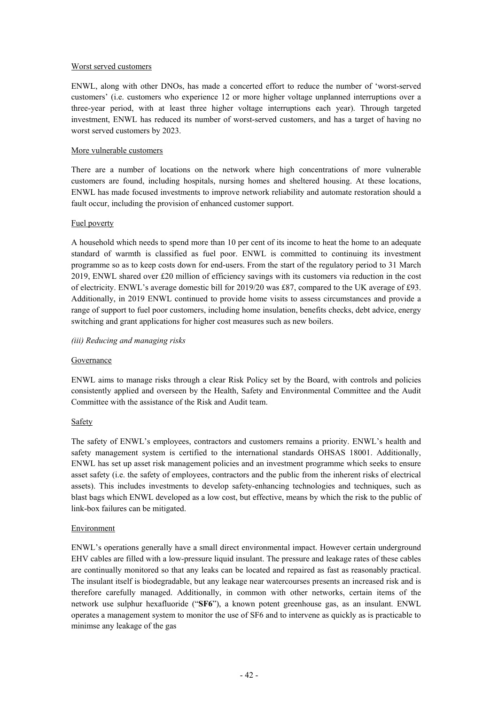## Worst served customers

ENWL, along with other DNOs, has made a concerted effort to reduce the number of 'worst-served customers' (i.e. customers who experience 12 or more higher voltage unplanned interruptions over a three-year period, with at least three higher voltage interruptions each year). Through targeted investment, ENWL has reduced its number of worst-served customers, and has a target of having no worst served customers by 2023.

## More vulnerable customers

There are a number of locations on the network where high concentrations of more vulnerable customers are found, including hospitals, nursing homes and sheltered housing. At these locations, ENWL has made focused investments to improve network reliability and automate restoration should a fault occur, including the provision of enhanced customer support.

## Fuel poverty

A household which needs to spend more than 10 per cent of its income to heat the home to an adequate standard of warmth is classified as fuel poor. ENWL is committed to continuing its investment programme so as to keep costs down for end-users. From the start of the regulatory period to 31 March 2019, ENWL shared over £20 million of efficiency savings with its customers via reduction in the cost of electricity. ENWL's average domestic bill for 2019/20 was £87, compared to the UK average of £93. Additionally, in 2019 ENWL continued to provide home visits to assess circumstances and provide a range of support to fuel poor customers, including home insulation, benefits checks, debt advice, energy switching and grant applications for higher cost measures such as new boilers.

## *(iii) Reducing and managing risks*

#### Governance

ENWL aims to manage risks through a clear Risk Policy set by the Board, with controls and policies consistently applied and overseen by the Health, Safety and Environmental Committee and the Audit Committee with the assistance of the Risk and Audit team.

## Safety

The safety of ENWL's employees, contractors and customers remains a priority. ENWL's health and safety management system is certified to the international standards OHSAS 18001. Additionally, ENWL has set up asset risk management policies and an investment programme which seeks to ensure asset safety (i.e. the safety of employees, contractors and the public from the inherent risks of electrical assets). This includes investments to develop safety-enhancing technologies and techniques, such as blast bags which ENWL developed as a low cost, but effective, means by which the risk to the public of link-box failures can be mitigated.

## Environment

ENWL's operations generally have a small direct environmental impact. However certain underground EHV cables are filled with a low-pressure liquid insulant. The pressure and leakage rates of these cables are continually monitored so that any leaks can be located and repaired as fast as reasonably practical. The insulant itself is biodegradable, but any leakage near watercourses presents an increased risk and is therefore carefully managed. Additionally, in common with other networks, certain items of the network use sulphur hexafluoride ("**SF6**"), a known potent greenhouse gas, as an insulant. ENWL operates a management system to monitor the use of SF6 and to intervene as quickly as is practicable to minimse any leakage of the gas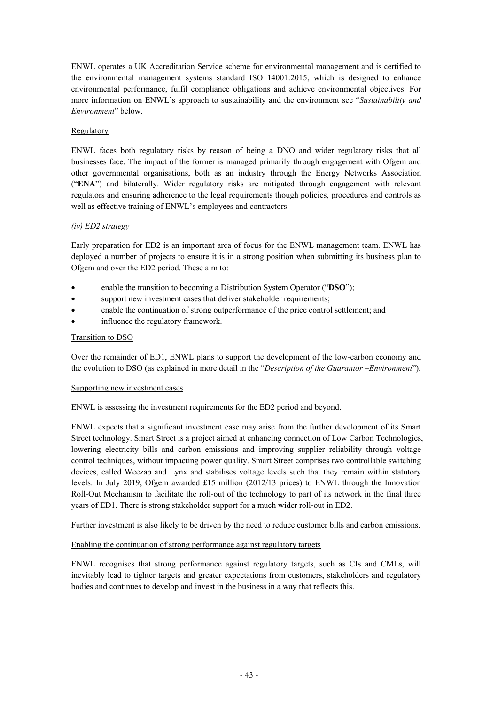ENWL operates a UK Accreditation Service scheme for environmental management and is certified to the environmental management systems standard ISO 14001:2015, which is designed to enhance environmental performance, fulfil compliance obligations and achieve environmental objectives. For more information on ENWL's approach to sustainability and the environment see "*Sustainability and Environment*" below.

## Regulatory

ENWL faces both regulatory risks by reason of being a DNO and wider regulatory risks that all businesses face. The impact of the former is managed primarily through engagement with Ofgem and other governmental organisations, both as an industry through the Energy Networks Association ("**ENA**") and bilaterally. Wider regulatory risks are mitigated through engagement with relevant regulators and ensuring adherence to the legal requirements though policies, procedures and controls as well as effective training of ENWL's employees and contractors.

## *(iv) ED2 strategy*

Early preparation for ED2 is an important area of focus for the ENWL management team. ENWL has deployed a number of projects to ensure it is in a strong position when submitting its business plan to Ofgem and over the ED2 period. These aim to:

- enable the transition to becoming a Distribution System Operator ("**DSO**");
- support new investment cases that deliver stakeholder requirements;
- enable the continuation of strong outperformance of the price control settlement; and
- influence the regulatory framework.

## Transition to DSO

Over the remainder of ED1, ENWL plans to support the development of the low-carbon economy and the evolution to DSO (as explained in more detail in the "*Description of the Guarantor –Environment*").

## Supporting new investment cases

ENWL is assessing the investment requirements for the ED2 period and beyond.

ENWL expects that a significant investment case may arise from the further development of its Smart Street technology. Smart Street is a project aimed at enhancing connection of Low Carbon Technologies, lowering electricity bills and carbon emissions and improving supplier reliability through voltage control techniques, without impacting power quality. Smart Street comprises two controllable switching devices, called Weezap and Lynx and stabilises voltage levels such that they remain within statutory levels. In July 2019, Ofgem awarded £15 million (2012/13 prices) to ENWL through the Innovation Roll-Out Mechanism to facilitate the roll-out of the technology to part of its network in the final three years of ED1. There is strong stakeholder support for a much wider roll-out in ED2.

Further investment is also likely to be driven by the need to reduce customer bills and carbon emissions.

## Enabling the continuation of strong performance against regulatory targets

ENWL recognises that strong performance against regulatory targets, such as CIs and CMLs, will inevitably lead to tighter targets and greater expectations from customers, stakeholders and regulatory bodies and continues to develop and invest in the business in a way that reflects this.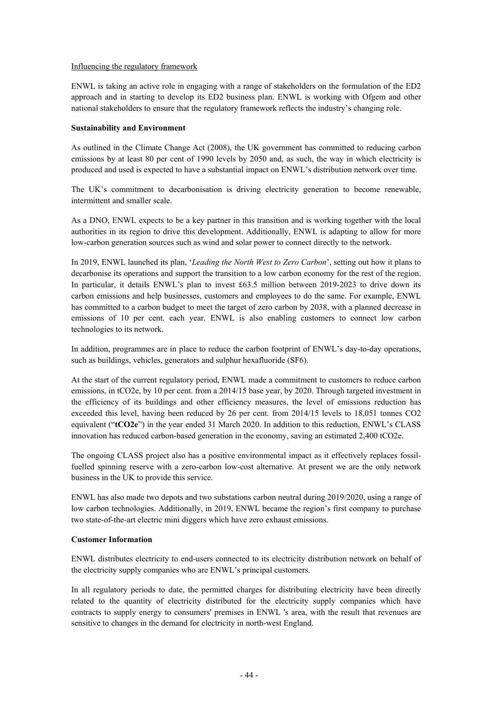## Influencing the regulatory framework

ENWL is taking an active role in engaging with a range of stakeholders on the formulation of the ED2 approach and in starting to develop its ED2 business plan. ENWL is working with Ofgem and other national stakeholders to ensure that the regulatory framework reflects the industry's changing role.

#### **Sustainability and Environment**

As outlined in the Climate Change Act (2008), the UK government has committed to reducing carbon emissions by at least 80 per cent of 1990 levels by 2050 and, as such, the way in which electricity is produced and used is expected to have a substantial impact on ENWL's distribution network over time.

The UK's commitment to decarbonisation is driving electricity generation to become renewable, intermittent and smaller scale.

As a DNO, ENWL expects to be a key partner in this transition and is working together with the local authorities in its region to drive this development. Additionally, ENWL is adapting to allow for more low-carbon generation sources such as wind and solar power to connect directly to the network.

In 2019, ENWL launched its plan, '*Leading the North West to Zero Carbon*', setting out how it plans to decarbonise its operations and support the transition to a low carbon economy for the rest of the region. In particular, it details ENWL's plan to invest £63.5 million between 2019-2023 to drive down its carbon emissions and help businesses, customers and employees to do the same. For example, ENWL has committed to a carbon budget to meet the target of zero carbon by 2038, with a planned decrease in emissions of 10 per cent. each year. ENWL is also enabling customers to connect low carbon technologies to its network.

In addition, programmes are in place to reduce the carbon footprint of ENWL's day-to-day operations, such as buildings, vehicles, generators and sulphur hexafluoride (SF6).

At the start of the current regulatory period, ENWL made a commitment to customers to reduce carbon emissions, in tCO2e, by 10 per cent. from a 2014/15 base year, by 2020. Through targeted investment in the efficiency of its buildings and other efficiency measures, the level of emissions reduction has exceeded this level, having been reduced by 26 per cent. from 2014/15 levels to 18,051 tonnes CO2 equivalent ("**tCO2e**") in the year ended 31 March 2020. In addition to this reduction, ENWL's CLASS innovation has reduced carbon-based generation in the economy, saving an estimated 2,400 tCO2e.

The ongoing CLASS project also has a positive environmental impact as it effectively replaces fossilfuelled spinning reserve with a zero-carbon low-cost alternative. At present we are the only network business in the UK to provide this service.

ENWL has also made two depots and two substations carbon neutral during 2019/2020, using a range of low carbon technologies. Additionally, in 2019, ENWL became the region's first company to purchase two state-of-the-art electric mini diggers which have zero exhaust emissions.

## **Customer Information**

ENWL distributes electricity to end-users connected to its electricity distribution network on behalf of the electricity supply companies who are ENWL's principal customers.

In all regulatory periods to date, the permitted charges for distributing electricity have been directly related to the quantity of electricity distributed for the electricity supply companies which have contracts to supply energy to consumers' premises in ENWL 's area, with the result that revenues are sensitive to changes in the demand for electricity in north-west England.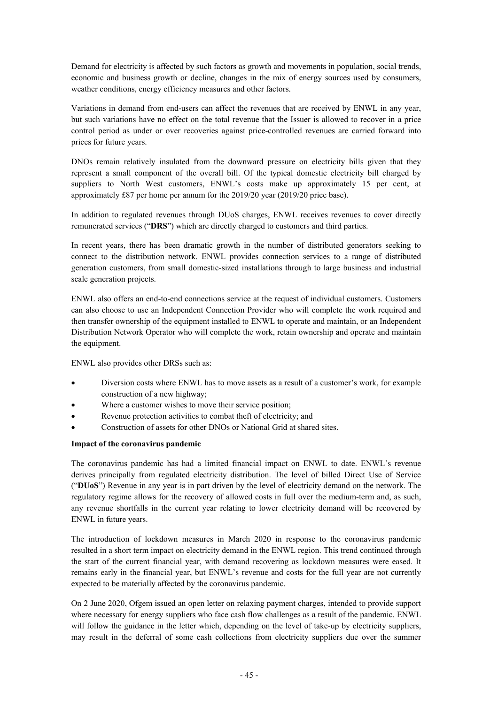Demand for electricity is affected by such factors as growth and movements in population, social trends, economic and business growth or decline, changes in the mix of energy sources used by consumers, weather conditions, energy efficiency measures and other factors.

Variations in demand from end-users can affect the revenues that are received by ENWL in any year, but such variations have no effect on the total revenue that the Issuer is allowed to recover in a price control period as under or over recoveries against price-controlled revenues are carried forward into prices for future years.

DNOs remain relatively insulated from the downward pressure on electricity bills given that they represent a small component of the overall bill. Of the typical domestic electricity bill charged by suppliers to North West customers, ENWL's costs make up approximately 15 per cent, at approximately £87 per home per annum for the 2019/20 year (2019/20 price base).

In addition to regulated revenues through DUoS charges, ENWL receives revenues to cover directly remunerated services ("**DRS**") which are directly charged to customers and third parties.

In recent years, there has been dramatic growth in the number of distributed generators seeking to connect to the distribution network. ENWL provides connection services to a range of distributed generation customers, from small domestic-sized installations through to large business and industrial scale generation projects.

ENWL also offers an end-to-end connections service at the request of individual customers. Customers can also choose to use an Independent Connection Provider who will complete the work required and then transfer ownership of the equipment installed to ENWL to operate and maintain, or an Independent Distribution Network Operator who will complete the work, retain ownership and operate and maintain the equipment.

ENWL also provides other DRSs such as:

- Diversion costs where ENWL has to move assets as a result of a customer's work, for example construction of a new highway;
- Where a customer wishes to move their service position;
- Revenue protection activities to combat theft of electricity; and
- Construction of assets for other DNOs or National Grid at shared sites.

## **Impact of the coronavirus pandemic**

The coronavirus pandemic has had a limited financial impact on ENWL to date. ENWL's revenue derives principally from regulated electricity distribution. The level of billed Direct Use of Service ("**DUoS**") Revenue in any year is in part driven by the level of electricity demand on the network. The regulatory regime allows for the recovery of allowed costs in full over the medium-term and, as such, any revenue shortfalls in the current year relating to lower electricity demand will be recovered by ENWL in future years.

The introduction of lockdown measures in March 2020 in response to the coronavirus pandemic resulted in a short term impact on electricity demand in the ENWL region. This trend continued through the start of the current financial year, with demand recovering as lockdown measures were eased. It remains early in the financial year, but ENWL's revenue and costs for the full year are not currently expected to be materially affected by the coronavirus pandemic.

On 2 June 2020, Ofgem issued an open letter on relaxing payment charges, intended to provide support where necessary for energy suppliers who face cash flow challenges as a result of the pandemic. ENWL will follow the guidance in the letter which, depending on the level of take-up by electricity suppliers, may result in the deferral of some cash collections from electricity suppliers due over the summer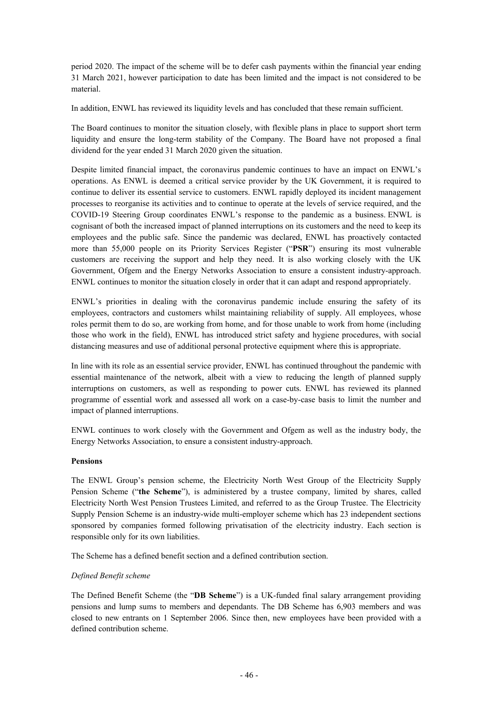period 2020. The impact of the scheme will be to defer cash payments within the financial year ending 31 March 2021, however participation to date has been limited and the impact is not considered to be material.

In addition, ENWL has reviewed its liquidity levels and has concluded that these remain sufficient.

The Board continues to monitor the situation closely, with flexible plans in place to support short term liquidity and ensure the long-term stability of the Company. The Board have not proposed a final dividend for the year ended 31 March 2020 given the situation.

Despite limited financial impact, the coronavirus pandemic continues to have an impact on ENWL's operations. As ENWL is deemed a critical service provider by the UK Government, it is required to continue to deliver its essential service to customers. ENWL rapidly deployed its incident management processes to reorganise its activities and to continue to operate at the levels of service required, and the COVID-19 Steering Group coordinates ENWL's response to the pandemic as a business. ENWL is cognisant of both the increased impact of planned interruptions on its customers and the need to keep its employees and the public safe. Since the pandemic was declared, ENWL has proactively contacted more than 55,000 people on its Priority Services Register ("**PSR**") ensuring its most vulnerable customers are receiving the support and help they need. It is also working closely with the UK Government, Ofgem and the Energy Networks Association to ensure a consistent industry-approach. ENWL continues to monitor the situation closely in order that it can adapt and respond appropriately.

ENWL's priorities in dealing with the coronavirus pandemic include ensuring the safety of its employees, contractors and customers whilst maintaining reliability of supply. All employees, whose roles permit them to do so, are working from home, and for those unable to work from home (including those who work in the field), ENWL has introduced strict safety and hygiene procedures, with social distancing measures and use of additional personal protective equipment where this is appropriate.

In line with its role as an essential service provider, ENWL has continued throughout the pandemic with essential maintenance of the network, albeit with a view to reducing the length of planned supply interruptions on customers, as well as responding to power cuts. ENWL has reviewed its planned programme of essential work and assessed all work on a case-by-case basis to limit the number and impact of planned interruptions.

ENWL continues to work closely with the Government and Ofgem as well as the industry body, the Energy Networks Association, to ensure a consistent industry-approach.

## **Pensions**

The ENWL Group's pension scheme, the Electricity North West Group of the Electricity Supply Pension Scheme ("**the Scheme**"), is administered by a trustee company, limited by shares, called Electricity North West Pension Trustees Limited, and referred to as the Group Trustee. The Electricity Supply Pension Scheme is an industry-wide multi-employer scheme which has 23 independent sections sponsored by companies formed following privatisation of the electricity industry. Each section is responsible only for its own liabilities.

The Scheme has a defined benefit section and a defined contribution section.

#### *Defined Benefit scheme*

The Defined Benefit Scheme (the "**DB Scheme**") is a UK-funded final salary arrangement providing pensions and lump sums to members and dependants. The DB Scheme has 6,903 members and was closed to new entrants on 1 September 2006. Since then, new employees have been provided with a defined contribution scheme.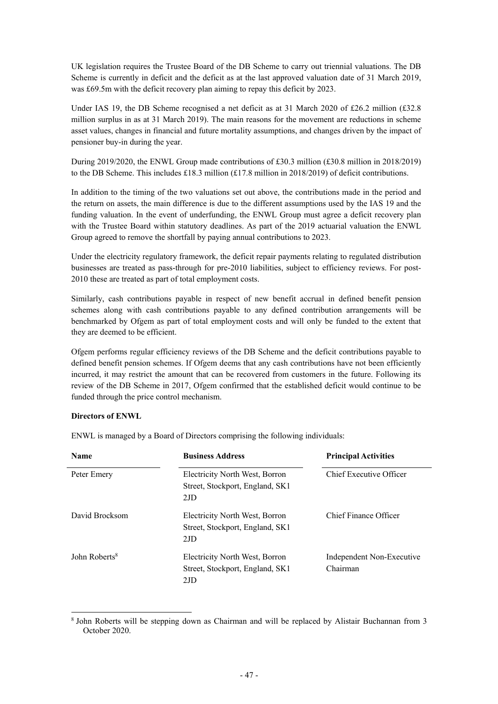UK legislation requires the Trustee Board of the DB Scheme to carry out triennial valuations. The DB Scheme is currently in deficit and the deficit as at the last approved valuation date of 31 March 2019, was £69.5m with the deficit recovery plan aiming to repay this deficit by 2023.

Under IAS 19, the DB Scheme recognised a net deficit as at 31 March 2020 of £26.2 million (£32.8 million surplus in as at 31 March 2019). The main reasons for the movement are reductions in scheme asset values, changes in financial and future mortality assumptions, and changes driven by the impact of pensioner buy-in during the year.

During 2019/2020, the ENWL Group made contributions of £30.3 million (£30.8 million in 2018/2019) to the DB Scheme. This includes £18.3 million (£17.8 million in 2018/2019) of deficit contributions.

In addition to the timing of the two valuations set out above, the contributions made in the period and the return on assets, the main difference is due to the different assumptions used by the IAS 19 and the funding valuation. In the event of underfunding, the ENWL Group must agree a deficit recovery plan with the Trustee Board within statutory deadlines. As part of the 2019 actuarial valuation the ENWL Group agreed to remove the shortfall by paying annual contributions to 2023.

Under the electricity regulatory framework, the deficit repair payments relating to regulated distribution businesses are treated as pass-through for pre-2010 liabilities, subject to efficiency reviews. For post-2010 these are treated as part of total employment costs.

Similarly, cash contributions payable in respect of new benefit accrual in defined benefit pension schemes along with cash contributions payable to any defined contribution arrangements will be benchmarked by Ofgem as part of total employment costs and will only be funded to the extent that they are deemed to be efficient.

Ofgem performs regular efficiency reviews of the DB Scheme and the deficit contributions payable to defined benefit pension schemes. If Ofgem deems that any cash contributions have not been efficiently incurred, it may restrict the amount that can be recovered from customers in the future. Following its review of the DB Scheme in 2017, Ofgem confirmed that the established deficit would continue to be funded through the price control mechanism.

## **Directors of ENWL**

L

ENWL is managed by a Board of Directors comprising the following individuals:

| <b>Name</b>               | <b>Business Address</b>                                                  | <b>Principal Activities</b>           |
|---------------------------|--------------------------------------------------------------------------|---------------------------------------|
| Peter Emery               | Electricity North West, Borron<br>Street, Stockport, England, SK1<br>2JD | Chief Executive Officer               |
| David Brocksom            | Electricity North West, Borron<br>Street, Stockport, England, SK1<br>2JD | Chief Finance Officer                 |
| John Roberts <sup>8</sup> | Electricity North West, Borron<br>Street, Stockport, England, SK1<br>2JD | Independent Non-Executive<br>Chairman |

<sup>&</sup>lt;sup>8</sup> John Roberts will be stepping down as Chairman and will be replaced by Alistair Buchannan from 3 October 2020.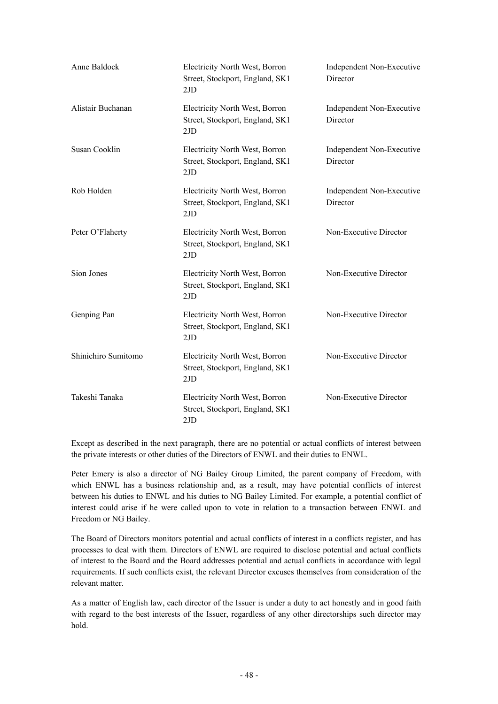| Anne Baldock        | Electricity North West, Borron<br>Street, Stockport, England, SK1<br>2JD | Independent Non-Executive<br>Director |
|---------------------|--------------------------------------------------------------------------|---------------------------------------|
| Alistair Buchanan   | Electricity North West, Borron<br>Street, Stockport, England, SK1<br>2JD | Independent Non-Executive<br>Director |
| Susan Cooklin       | Electricity North West, Borron<br>Street, Stockport, England, SK1<br>2JD | Independent Non-Executive<br>Director |
| Rob Holden          | Electricity North West, Borron<br>Street, Stockport, England, SK1<br>2JD | Independent Non-Executive<br>Director |
| Peter O'Flaherty    | Electricity North West, Borron<br>Street, Stockport, England, SK1<br>2JD | Non-Executive Director                |
| Sion Jones          | Electricity North West, Borron<br>Street, Stockport, England, SK1<br>2JD | Non-Executive Director                |
| Genping Pan         | Electricity North West, Borron<br>Street, Stockport, England, SK1<br>2JD | Non-Executive Director                |
| Shinichiro Sumitomo | Electricity North West, Borron<br>Street, Stockport, England, SK1<br>2JD | Non-Executive Director                |
| Takeshi Tanaka      | Electricity North West, Borron<br>Street, Stockport, England, SK1<br>2JD | Non-Executive Director                |

Except as described in the next paragraph, there are no potential or actual conflicts of interest between the private interests or other duties of the Directors of ENWL and their duties to ENWL.

Peter Emery is also a director of NG Bailey Group Limited, the parent company of Freedom, with which ENWL has a business relationship and, as a result, may have potential conflicts of interest between his duties to ENWL and his duties to NG Bailey Limited. For example, a potential conflict of interest could arise if he were called upon to vote in relation to a transaction between ENWL and Freedom or NG Bailey.

The Board of Directors monitors potential and actual conflicts of interest in a conflicts register, and has processes to deal with them. Directors of ENWL are required to disclose potential and actual conflicts of interest to the Board and the Board addresses potential and actual conflicts in accordance with legal requirements. If such conflicts exist, the relevant Director excuses themselves from consideration of the relevant matter.

As a matter of English law, each director of the Issuer is under a duty to act honestly and in good faith with regard to the best interests of the Issuer, regardless of any other directorships such director may hold.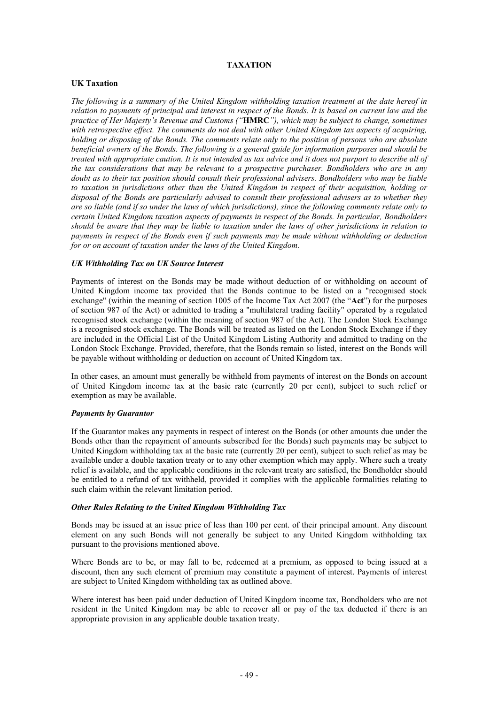## **TAXATION**

## **UK Taxation**

*The following is a summary of the United Kingdom withholding taxation treatment at the date hereof in relation to payments of principal and interest in respect of the Bonds. It is based on current law and the practice of Her Majesty's Revenue and Customs ("***HMRC***"), which may be subject to change, sometimes with retrospective effect. The comments do not deal with other United Kingdom tax aspects of acquiring, holding or disposing of the Bonds. The comments relate only to the position of persons who are absolute beneficial owners of the Bonds. The following is a general guide for information purposes and should be treated with appropriate caution. It is not intended as tax advice and it does not purport to describe all of the tax considerations that may be relevant to a prospective purchaser. Bondholders who are in any doubt as to their tax position should consult their professional advisers. Bondholders who may be liable to taxation in jurisdictions other than the United Kingdom in respect of their acquisition, holding or disposal of the Bonds are particularly advised to consult their professional advisers as to whether they are so liable (and if so under the laws of which jurisdictions), since the following comments relate only to certain United Kingdom taxation aspects of payments in respect of the Bonds. In particular, Bondholders should be aware that they may be liable to taxation under the laws of other jurisdictions in relation to payments in respect of the Bonds even if such payments may be made without withholding or deduction for or on account of taxation under the laws of the United Kingdom.* 

## *UK Withholding Tax on UK Source Interest*

Payments of interest on the Bonds may be made without deduction of or withholding on account of United Kingdom income tax provided that the Bonds continue to be listed on a "recognised stock exchange" (within the meaning of section 1005 of the Income Tax Act 2007 (the "**Act**") for the purposes of section 987 of the Act) or admitted to trading a "multilateral trading facility" operated by a regulated recognised stock exchange (within the meaning of section 987 of the Act). The London Stock Exchange is a recognised stock exchange. The Bonds will be treated as listed on the London Stock Exchange if they are included in the Official List of the United Kingdom Listing Authority and admitted to trading on the London Stock Exchange. Provided, therefore, that the Bonds remain so listed, interest on the Bonds will be payable without withholding or deduction on account of United Kingdom tax.

In other cases, an amount must generally be withheld from payments of interest on the Bonds on account of United Kingdom income tax at the basic rate (currently 20 per cent), subject to such relief or exemption as may be available.

#### *Payments by Guarantor*

If the Guarantor makes any payments in respect of interest on the Bonds (or other amounts due under the Bonds other than the repayment of amounts subscribed for the Bonds) such payments may be subject to United Kingdom withholding tax at the basic rate (currently 20 per cent), subject to such relief as may be available under a double taxation treaty or to any other exemption which may apply. Where such a treaty relief is available, and the applicable conditions in the relevant treaty are satisfied, the Bondholder should be entitled to a refund of tax withheld, provided it complies with the applicable formalities relating to such claim within the relevant limitation period.

#### *Other Rules Relating to the United Kingdom Withholding Tax*

Bonds may be issued at an issue price of less than 100 per cent. of their principal amount. Any discount element on any such Bonds will not generally be subject to any United Kingdom withholding tax pursuant to the provisions mentioned above.

Where Bonds are to be, or may fall to be, redeemed at a premium, as opposed to being issued at a discount, then any such element of premium may constitute a payment of interest. Payments of interest are subject to United Kingdom withholding tax as outlined above.

Where interest has been paid under deduction of United Kingdom income tax, Bondholders who are not resident in the United Kingdom may be able to recover all or pay of the tax deducted if there is an appropriate provision in any applicable double taxation treaty.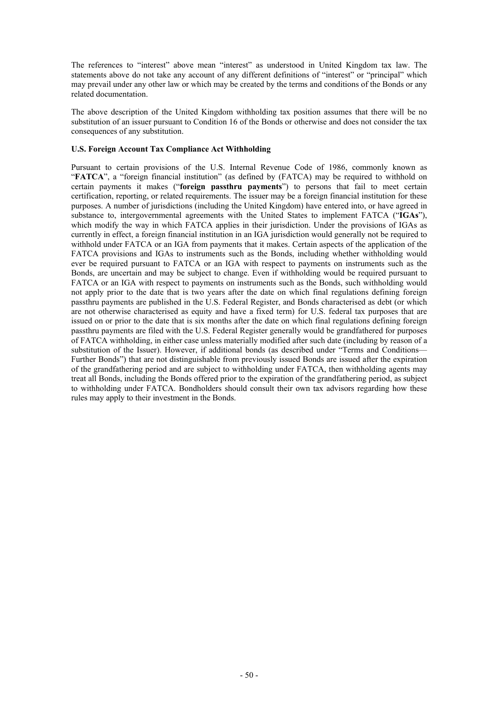The references to "interest" above mean "interest" as understood in United Kingdom tax law. The statements above do not take any account of any different definitions of "interest" or "principal" which may prevail under any other law or which may be created by the terms and conditions of the Bonds or any related documentation.

The above description of the United Kingdom withholding tax position assumes that there will be no substitution of an issuer pursuant to Condition 16 of the Bonds or otherwise and does not consider the tax consequences of any substitution.

## **U.S. Foreign Account Tax Compliance Act Withholding**

Pursuant to certain provisions of the U.S. Internal Revenue Code of 1986, commonly known as "FATCA", a "foreign financial institution" (as defined by (FATCA) may be required to withhold on certain payments it makes ("**foreign passthru payments**") to persons that fail to meet certain certification, reporting, or related requirements. The issuer may be a foreign financial institution for these purposes. A number of jurisdictions (including the United Kingdom) have entered into, or have agreed in substance to, intergovernmental agreements with the United States to implement FATCA ("**IGAs**"), which modify the way in which FATCA applies in their jurisdiction. Under the provisions of IGAs as currently in effect, a foreign financial institution in an IGA jurisdiction would generally not be required to withhold under FATCA or an IGA from payments that it makes. Certain aspects of the application of the FATCA provisions and IGAs to instruments such as the Bonds, including whether withholding would ever be required pursuant to FATCA or an IGA with respect to payments on instruments such as the Bonds, are uncertain and may be subject to change. Even if withholding would be required pursuant to FATCA or an IGA with respect to payments on instruments such as the Bonds, such withholding would not apply prior to the date that is two years after the date on which final regulations defining foreign passthru payments are published in the U.S. Federal Register, and Bonds characterised as debt (or which are not otherwise characterised as equity and have a fixed term) for U.S. federal tax purposes that are issued on or prior to the date that is six months after the date on which final regulations defining foreign passthru payments are filed with the U.S. Federal Register generally would be grandfathered for purposes of FATCA withholding, in either case unless materially modified after such date (including by reason of a substitution of the Issuer). However, if additional bonds (as described under "Terms and Conditions— Further Bonds") that are not distinguishable from previously issued Bonds are issued after the expiration of the grandfathering period and are subject to withholding under FATCA, then withholding agents may treat all Bonds, including the Bonds offered prior to the expiration of the grandfathering period, as subject to withholding under FATCA. Bondholders should consult their own tax advisors regarding how these rules may apply to their investment in the Bonds.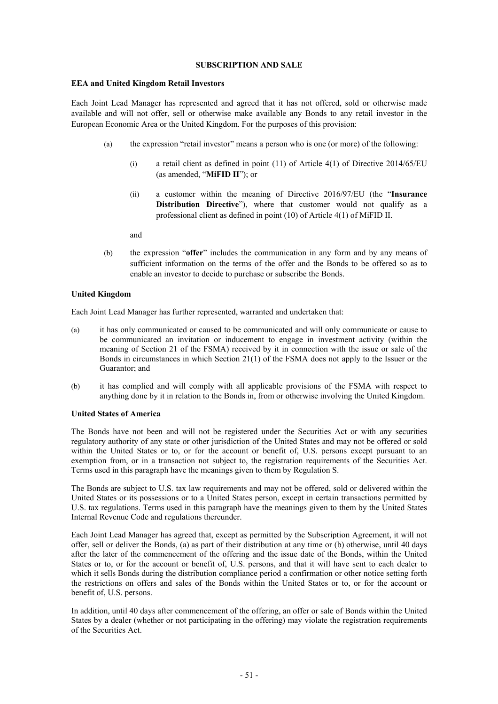## **SUBSCRIPTION AND SALE**

## **EEA and United Kingdom Retail Investors**

Each Joint Lead Manager has represented and agreed that it has not offered, sold or otherwise made available and will not offer, sell or otherwise make available any Bonds to any retail investor in the European Economic Area or the United Kingdom. For the purposes of this provision:

- (a) the expression "retail investor" means a person who is one (or more) of the following:
	- (i) a retail client as defined in point (11) of Article 4(1) of Directive 2014/65/EU (as amended, "**MiFID II**"); or
	- (ii) a customer within the meaning of Directive 2016/97/EU (the "**Insurance Distribution Directive**"), where that customer would not qualify as a professional client as defined in point (10) of Article 4(1) of MiFID II.

and

(b) the expression "**offer**" includes the communication in any form and by any means of sufficient information on the terms of the offer and the Bonds to be offered so as to enable an investor to decide to purchase or subscribe the Bonds.

## **United Kingdom**

Each Joint Lead Manager has further represented, warranted and undertaken that:

- (a) it has only communicated or caused to be communicated and will only communicate or cause to be communicated an invitation or inducement to engage in investment activity (within the meaning of Section 21 of the FSMA) received by it in connection with the issue or sale of the Bonds in circumstances in which Section 21(1) of the FSMA does not apply to the Issuer or the Guarantor; and
- (b) it has complied and will comply with all applicable provisions of the FSMA with respect to anything done by it in relation to the Bonds in, from or otherwise involving the United Kingdom.

## **United States of America**

The Bonds have not been and will not be registered under the Securities Act or with any securities regulatory authority of any state or other jurisdiction of the United States and may not be offered or sold within the United States or to, or for the account or benefit of, U.S. persons except pursuant to an exemption from, or in a transaction not subject to, the registration requirements of the Securities Act. Terms used in this paragraph have the meanings given to them by Regulation S.

The Bonds are subject to U.S. tax law requirements and may not be offered, sold or delivered within the United States or its possessions or to a United States person, except in certain transactions permitted by U.S. tax regulations. Terms used in this paragraph have the meanings given to them by the United States Internal Revenue Code and regulations thereunder.

Each Joint Lead Manager has agreed that, except as permitted by the Subscription Agreement, it will not offer, sell or deliver the Bonds, (a) as part of their distribution at any time or (b) otherwise, until 40 days after the later of the commencement of the offering and the issue date of the Bonds, within the United States or to, or for the account or benefit of, U.S. persons, and that it will have sent to each dealer to which it sells Bonds during the distribution compliance period a confirmation or other notice setting forth the restrictions on offers and sales of the Bonds within the United States or to, or for the account or benefit of, U.S. persons.

In addition, until 40 days after commencement of the offering, an offer or sale of Bonds within the United States by a dealer (whether or not participating in the offering) may violate the registration requirements of the Securities Act.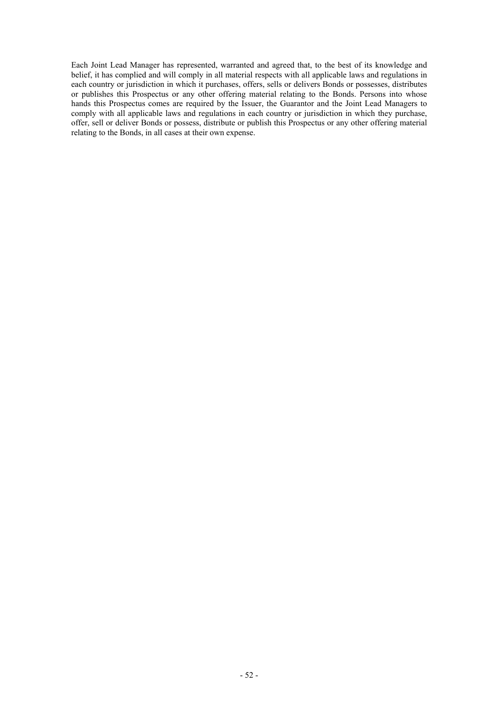Each Joint Lead Manager has represented, warranted and agreed that, to the best of its knowledge and belief, it has complied and will comply in all material respects with all applicable laws and regulations in each country or jurisdiction in which it purchases, offers, sells or delivers Bonds or possesses, distributes or publishes this Prospectus or any other offering material relating to the Bonds. Persons into whose hands this Prospectus comes are required by the Issuer, the Guarantor and the Joint Lead Managers to comply with all applicable laws and regulations in each country or jurisdiction in which they purchase, offer, sell or deliver Bonds or possess, distribute or publish this Prospectus or any other offering material relating to the Bonds, in all cases at their own expense.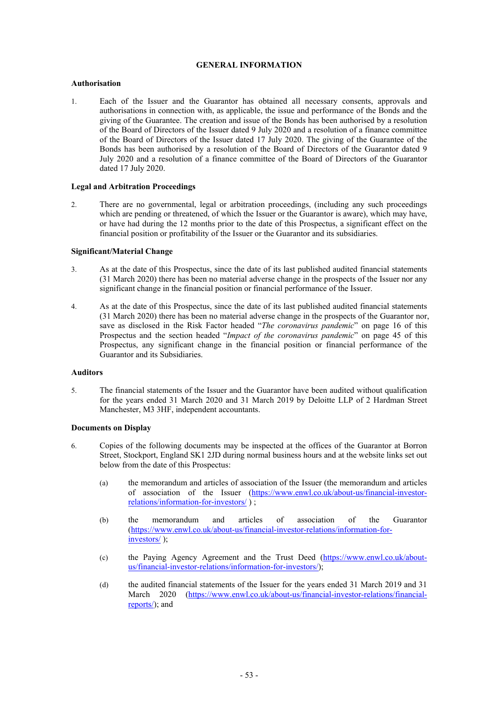## **GENERAL INFORMATION**

## **Authorisation**

1. Each of the Issuer and the Guarantor has obtained all necessary consents, approvals and authorisations in connection with, as applicable, the issue and performance of the Bonds and the giving of the Guarantee. The creation and issue of the Bonds has been authorised by a resolution of the Board of Directors of the Issuer dated 9 July 2020 and a resolution of a finance committee of the Board of Directors of the Issuer dated 17 July 2020. The giving of the Guarantee of the Bonds has been authorised by a resolution of the Board of Directors of the Guarantor dated 9 July 2020 and a resolution of a finance committee of the Board of Directors of the Guarantor dated 17 July 2020.

## **Legal and Arbitration Proceedings**

2. There are no governmental, legal or arbitration proceedings, (including any such proceedings which are pending or threatened, of which the Issuer or the Guarantor is aware), which may have, or have had during the 12 months prior to the date of this Prospectus, a significant effect on the financial position or profitability of the Issuer or the Guarantor and its subsidiaries.

## **Significant/Material Change**

- 3. As at the date of this Prospectus, since the date of its last published audited financial statements (31 March 2020) there has been no material adverse change in the prospects of the Issuer nor any significant change in the financial position or financial performance of the Issuer.
- 4. As at the date of this Prospectus, since the date of its last published audited financial statements (31 March 2020) there has been no material adverse change in the prospects of the Guarantor nor, save as disclosed in the Risk Factor headed "*The coronavirus pandemic*" on page 16 of this Prospectus and the section headed "*Impact of the coronavirus pandemic*" on page 45 of this Prospectus, any significant change in the financial position or financial performance of the Guarantor and its Subsidiaries.

#### **Auditors**

5. The financial statements of the Issuer and the Guarantor have been audited without qualification for the years ended 31 March 2020 and 31 March 2019 by Deloitte LLP of 2 Hardman Street Manchester, M3 3HF, independent accountants.

## **Documents on Display**

- 6. Copies of the following documents may be inspected at the offices of the Guarantor at Borron Street, Stockport, England SK1 2JD during normal business hours and at the website links set out below from the date of this Prospectus:
	- (a) the memorandum and articles of association of the Issuer (the memorandum and articles of association of the Issuer (https://www.enwl.co.uk/about-us/financial-investorrelations/information-for-investors/ ) ;
	- (b) the memorandum and articles of association of the Guarantor (https://www.enwl.co.uk/about-us/financial-investor-relations/information-forinvestors/ );
	- (c) the Paying Agency Agreement and the Trust Deed (https://www.enwl.co.uk/aboutus/financial-investor-relations/information-for-investors/);
	- (d) the audited financial statements of the Issuer for the years ended 31 March 2019 and 31 March 2020 (https://www.enwl.co.uk/about-us/financial-investor-relations/financialreports/); and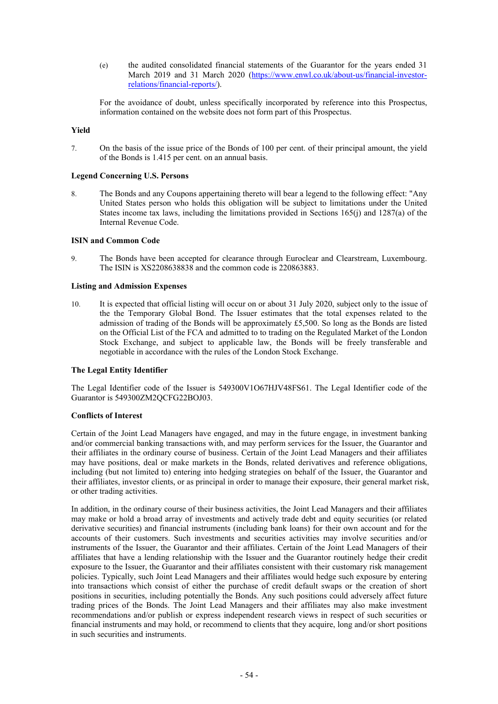(e) the audited consolidated financial statements of the Guarantor for the years ended 31 March 2019 and 31 March 2020 (https://www.enwl.co.uk/about-us/financial-investorrelations/financial-reports/).

For the avoidance of doubt, unless specifically incorporated by reference into this Prospectus, information contained on the website does not form part of this Prospectus.

## **Yield**

7. On the basis of the issue price of the Bonds of 100 per cent. of their principal amount, the yield of the Bonds is 1.415 per cent. on an annual basis.

## **Legend Concerning U.S. Persons**

8. The Bonds and any Coupons appertaining thereto will bear a legend to the following effect: "Any United States person who holds this obligation will be subject to limitations under the United States income tax laws, including the limitations provided in Sections 165(j) and 1287(a) of the Internal Revenue Code.

## **ISIN and Common Code**

9. The Bonds have been accepted for clearance through Euroclear and Clearstream, Luxembourg. The ISIN is XS2208638838 and the common code is 220863883.

## **Listing and Admission Expenses**

10. It is expected that official listing will occur on or about 31 July 2020, subject only to the issue of the the Temporary Global Bond. The Issuer estimates that the total expenses related to the admission of trading of the Bonds will be approximately £5,500. So long as the Bonds are listed on the Official List of the FCA and admitted to to trading on the Regulated Market of the London Stock Exchange, and subject to applicable law, the Bonds will be freely transferable and negotiable in accordance with the rules of the London Stock Exchange.

## **The Legal Entity Identifier**

The Legal Identifier code of the Issuer is 549300V1O67HJV48FS61. The Legal Identifier code of the Guarantor is 549300ZM2QCFG22BOJ03.

## **Conflicts of Interest**

Certain of the Joint Lead Managers have engaged, and may in the future engage, in investment banking and/or commercial banking transactions with, and may perform services for the Issuer, the Guarantor and their affiliates in the ordinary course of business. Certain of the Joint Lead Managers and their affiliates may have positions, deal or make markets in the Bonds, related derivatives and reference obligations, including (but not limited to) entering into hedging strategies on behalf of the Issuer, the Guarantor and their affiliates, investor clients, or as principal in order to manage their exposure, their general market risk, or other trading activities.

In addition, in the ordinary course of their business activities, the Joint Lead Managers and their affiliates may make or hold a broad array of investments and actively trade debt and equity securities (or related derivative securities) and financial instruments (including bank loans) for their own account and for the accounts of their customers. Such investments and securities activities may involve securities and/or instruments of the Issuer, the Guarantor and their affiliates. Certain of the Joint Lead Managers of their affiliates that have a lending relationship with the Issuer and the Guarantor routinely hedge their credit exposure to the Issuer, the Guarantor and their affiliates consistent with their customary risk management policies. Typically, such Joint Lead Managers and their affiliates would hedge such exposure by entering into transactions which consist of either the purchase of credit default swaps or the creation of short positions in securities, including potentially the Bonds. Any such positions could adversely affect future trading prices of the Bonds. The Joint Lead Managers and their affiliates may also make investment recommendations and/or publish or express independent research views in respect of such securities or financial instruments and may hold, or recommend to clients that they acquire, long and/or short positions in such securities and instruments.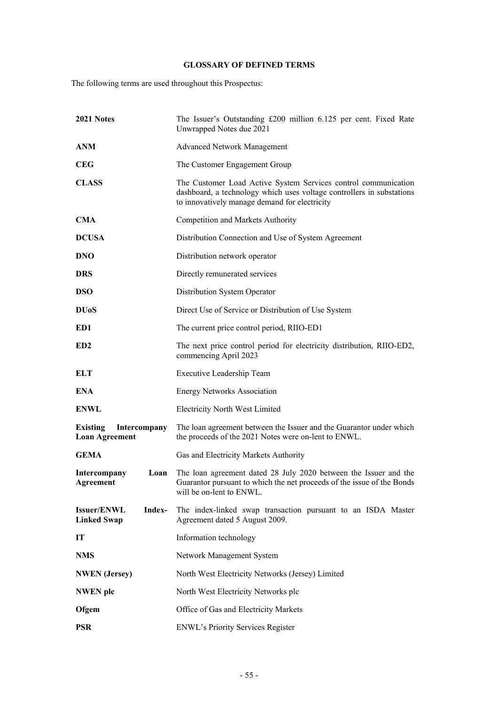# **GLOSSARY OF DEFINED TERMS**

The following terms are used throughout this Prospectus:

| 2021 Notes                                               | The Issuer's Outstanding £200 million 6.125 per cent. Fixed Rate<br>Unwrapped Notes due 2021                                                                                             |
|----------------------------------------------------------|------------------------------------------------------------------------------------------------------------------------------------------------------------------------------------------|
| <b>ANM</b>                                               | <b>Advanced Network Management</b>                                                                                                                                                       |
| <b>CEG</b>                                               | The Customer Engagement Group                                                                                                                                                            |
| <b>CLASS</b>                                             | The Customer Load Active System Services control communication<br>dashboard, a technology which uses voltage controllers in substations<br>to innovatively manage demand for electricity |
| <b>CMA</b>                                               | Competition and Markets Authority                                                                                                                                                        |
| <b>DCUSA</b>                                             | Distribution Connection and Use of System Agreement                                                                                                                                      |
| <b>DNO</b>                                               | Distribution network operator                                                                                                                                                            |
| <b>DRS</b>                                               | Directly remunerated services                                                                                                                                                            |
| <b>DSO</b>                                               | Distribution System Operator                                                                                                                                                             |
| <b>DU<sub>o</sub>S</b>                                   | Direct Use of Service or Distribution of Use System                                                                                                                                      |
| ED1                                                      | The current price control period, RIIO-ED1                                                                                                                                               |
| ED <sub>2</sub>                                          | The next price control period for electricity distribution, RIIO-ED2,<br>commencing April 2023                                                                                           |
| <b>ELT</b>                                               | Executive Leadership Team                                                                                                                                                                |
| <b>ENA</b>                                               | <b>Energy Networks Association</b>                                                                                                                                                       |
| <b>ENWL</b>                                              | <b>Electricity North West Limited</b>                                                                                                                                                    |
| <b>Existing</b><br>Intercompany<br><b>Loan Agreement</b> | The loan agreement between the Issuer and the Guarantor under which<br>the proceeds of the 2021 Notes were on-lent to ENWL.                                                              |
| <b>GEMA</b>                                              | Gas and Electricity Markets Authority                                                                                                                                                    |
| Intercompany<br>Loan<br>Agreement                        | The loan agreement dated 28 July 2020 between the Issuer and the<br>Guarantor pursuant to which the net proceeds of the issue of the Bonds<br>will be on-lent to ENWL.                   |
| Index-<br><b>Issuer/ENWL</b><br><b>Linked Swap</b>       | The index-linked swap transaction pursuant to an ISDA Master<br>Agreement dated 5 August 2009.                                                                                           |
| IT                                                       | Information technology                                                                                                                                                                   |
| <b>NMS</b>                                               | Network Management System                                                                                                                                                                |
| <b>NWEN</b> (Jersey)                                     | North West Electricity Networks (Jersey) Limited                                                                                                                                         |
| <b>NWEN</b> plc                                          | North West Electricity Networks plc                                                                                                                                                      |
| Ofgem                                                    | Office of Gas and Electricity Markets                                                                                                                                                    |
| <b>PSR</b>                                               | <b>ENWL's Priority Services Register</b>                                                                                                                                                 |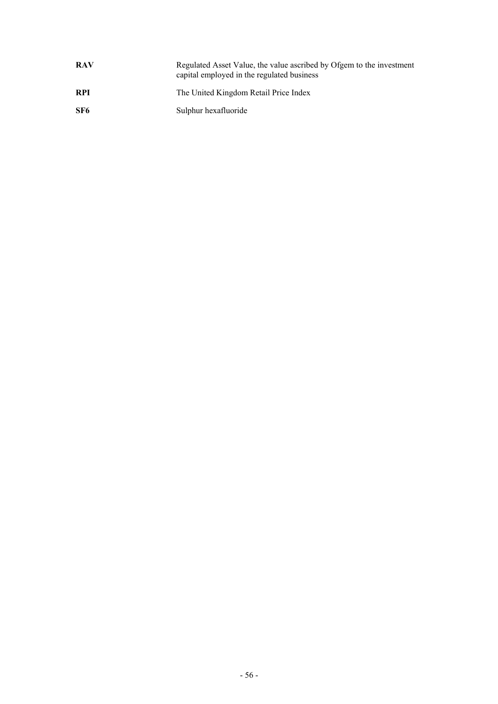| <b>RAV</b> | Regulated Asset Value, the value ascribed by Ofgem to the investment<br>capital employed in the regulated business |
|------------|--------------------------------------------------------------------------------------------------------------------|
| <b>RPI</b> | The United Kingdom Retail Price Index                                                                              |
| SF6        | Sulphur hexafluoride                                                                                               |